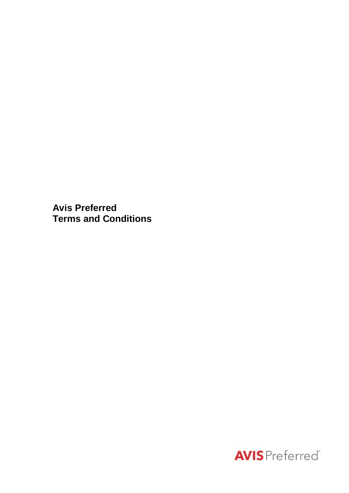**Avis Preferred Terms and Conditions**

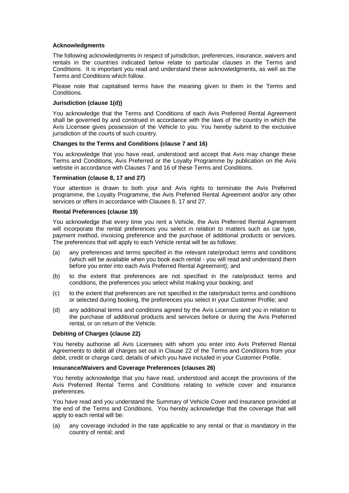### **Acknowledgments**

The following acknowledgments in respect of jurisdiction, preferences, insurance, waivers and rentals in the countries indicated below relate to particular clauses in the Terms and Conditions. It is important you read and understand these acknowledgments, as well as the Terms and Conditions which follow.

Please note that capitalised terms have the meaning given to them in the Terms and Conditions.

### **Jurisdiction (clause 1(d))**

You acknowledge that the Terms and Conditions of each Avis Preferred Rental Agreement shall be governed by and construed in accordance with the laws of the country in which the Avis Licensee gives possession of the Vehicle to you. You hereby submit to the exclusive jurisdiction of the courts of such country.

### **Changes to the Terms and Conditions (clause 7 and 16)**

You acknowledge that you have read, understood and accept that Avis may change these Terms and Conditions, Avis Preferred or the Loyalty Programme by publication on the Avis website in accordance with Clauses 7 and 16 of these Terms and Conditions.

### **Termination (clause 8, 17 and 27)**

Your attention is drawn to both your and Avis rights to terminate the Avis Preferred programme, the Loyalty Programme, the Avis Preferred Rental Agreement and/or any other services or offers in accordance with Clauses 8, 17 and 27.

### **Rental Preferences (clause 19)**

You acknowledge that every time you rent a Vehicle, the Avis Preferred Rental Agreement will incorporate the rental preferences you select in relation to matters such as car type. payment method, invoicing preference and the purchase of additional products or services. The preferences that will apply to each Vehicle rental will be as follows:

- (a) any preferences and terms specified in the relevant rate/product terms and conditions (which will be available when you book each rental - you will read and understand them before you enter into each Avis Preferred Rental Agreement); and
- (b) to the extent that preferences are not specified in the rate/product terms and conditions, the preferences you select whilst making your booking; and
- (c) to the extent that preferences are not specified in the rate/product terms and conditions or selected during booking, the preferences you select in your Customer Profile; and
- (d) any additional terms and conditions agreed by the Avis Licensee and you in relation to the purchase of additional products and services before or during the Avis Preferred rental, or on return of the Vehicle.

### **Debiting of Charges (clause 22)**

You hereby authorise all Avis Licensees with whom you enter into Avis Preferred Rental Agreements to debit all charges set out in Clause 22 of the Terms and Conditions from your debit, credit or charge card, details of which you have included in your Customer Profile.

### **Insurance/Waivers and Coverage Preferences (clauses 26)**

You hereby acknowledge that you have read, understood and accept the provisions of the Avis Preferred Rental Terms and Conditions relating to vehicle cover and insurance preferences.

You have read and you understand the Summary of Vehicle Cover and Insurance provided at the end of the Terms and Conditions. You hereby acknowledge that the coverage that will apply to each rental will be:

(a) any coverage included in the rate applicable to any rental or that is mandatory in the country of rental; and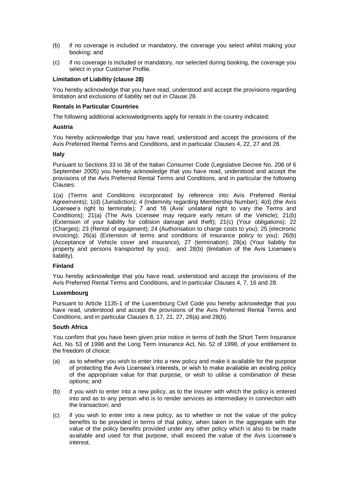- (b) if no coverage is included or mandatory, the coverage you select whilst making your booking; and
- (c) if no coverage is included or mandatory, nor selected during booking, the coverage you select in your Customer Profile.

### **Limitation of Liability (clause 28)**

You hereby acknowledge that you have read, understood and accept the provisions regarding limitation and exclusions of liability set out in Clause 28.

### **Rentals in Particular Countries**

The following additional acknowledgments apply for rentals in the country indicated:

### **Austria**

You hereby acknowledge that you have read, understood and accept the provisions of the Avis Preferred Rental Terms and Conditions, and in particular Clauses 4, 22, 27 and 28.

### **Italy**

Pursuant to Sections 33 to 38 of the Italian Consumer Code (Legislative Decree No. 206 of 6 September 2005) you hereby acknowledge that you have read, understood and accept the provisions of the Avis Preferred Rental Terms and Conditions, and in particular the following Clauses:

1(a) (Terms and Conditions incorporated by reference into Avis Preferred Rental Agreements); 1(d) (Jurisdiction); 4 (Indemnity regarding Membership Number); 4(d) (the Avis Licensee's right to terminate); 7 and 16 (Avis' unilateral right to vary the Terms and Conditions); 21(a) (The Avis Licensee may require early return of the Vehicle); 21(b) (Extension of your liability for collision damage and theft); 21(c) (Your obligations); 22 (Charges); 23 (Rental of equipment); 24 (Authorisation to charge costs to you); 25 (electronic invoicing); 26(a) (Extension of terms and conditions of insurance policy to you); 26(b) (Acceptance of Vehicle cover and insurance); 27 (termination); 28(a) (Your liability for property and persons transported by you); and 28(b) (limitation of the Avis Licensee's liability).

### **Finland**

You hereby acknowledge that you have read, understood and accept the provisions of the Avis Preferred Rental Terms and Conditions, and in particular Clauses 4, 7, 16 and 28.

### **Luxembourg**

Pursuant to Article 1135-1 of the Luxembourg Civil Code you hereby acknowledge that you have read, understood and accept the provisions of the Avis Preferred Rental Terms and Conditions, and in particular Clauses 8, 17, 21, 27, 28(a) and 28(b).

### **South Africa**

You confirm that you have been given prior notice in terms of both the Short Term Insurance Act, No. 53 of 1998 and the Long Term Insurance Act, No. 52 of 1998, of your entitlement to the freedom of choice:

- (a) as to whether you wish to enter into a new policy and make it available for the purpose of protecting the Avis Licensee's interests, or wish to make available an existing policy of the appropriate value for that purpose, or wish to utilise a combination of these options; and
- (b) if you wish to enter into a new policy, as to the insurer with which the policy is entered into and as to any person who is to render services as intermediary in connection with the transaction; and
- (c) if you wish to enter into a new policy, as to whether or not the value of the policy benefits to be provided in terms of that policy, when taken in the aggregate with the value of the policy benefits provided under any other policy which is also to be made available and used for that purpose, shall exceed the value of the Avis Licensee's interest.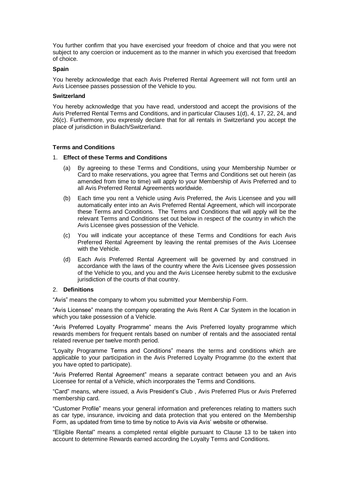You further confirm that you have exercised your freedom of choice and that you were not subject to any coercion or inducement as to the manner in which you exercised that freedom of choice.

#### **Spain**

You hereby acknowledge that each Avis Preferred Rental Agreement will not form until an Avis Licensee passes possession of the Vehicle to you.

#### **Switzerland**

You hereby acknowledge that you have read, understood and accept the provisions of the Avis Preferred Rental Terms and Conditions, and in particular Clauses 1(d), 4, 17, 22, 24, and 26(c). Furthermore, you expressly declare that for all rentals in Switzerland you accept the place of jurisdiction in Bulach/Switzerland.

### **Terms and Conditions**

### 1. **Effect of these Terms and Conditions**

- (a) By agreeing to these Terms and Conditions, using your Membership Number or Card to make reservations, you agree that Terms and Conditions set out herein (as amended from time to time) will apply to your Membership of Avis Preferred and to all Avis Preferred Rental Agreements worldwide.
- (b) Each time you rent a Vehicle using Avis Preferred, the Avis Licensee and you will automatically enter into an Avis Preferred Rental Agreement, which will incorporate these Terms and Conditions. The Terms and Conditions that will apply will be the relevant Terms and Conditions set out below in respect of the country in which the Avis Licensee gives possession of the Vehicle.
- (c) You will indicate your acceptance of these Terms and Conditions for each Avis Preferred Rental Agreement by leaving the rental premises of the Avis Licensee with the Vehicle.
- (d) Each Avis Preferred Rental Agreement will be governed by and construed in accordance with the laws of the country where the Avis Licensee gives possession of the Vehicle to you, and you and the Avis Licensee hereby submit to the exclusive jurisdiction of the courts of that country.

### 2. **Definitions**

"Avis" means the company to whom you submitted your Membership Form.

"Avis Licensee" means the company operating the Avis Rent A Car System in the location in which you take possession of a Vehicle.

"Avis Preferred Loyalty Programme" means the Avis Preferred loyalty programme which rewards members for frequent rentals based on number of rentals and the associated rental related revenue per twelve month period.

"Loyalty Programme Terms and Conditions" means the terms and conditions which are applicable to your participation in the Avis Preferred Loyalty Programme (to the extent that you have opted to participate).

"Avis Preferred Rental Agreement" means a separate contract between you and an Avis Licensee for rental of a Vehicle, which incorporates the Terms and Conditions.

"Card" means, where issued, a Avis President's Club , Avis Preferred Plus or Avis Preferred membership card.

"Customer Profile" means your general information and preferences relating to matters such as car type, insurance, invoicing and data protection that you entered on the Membership Form, as updated from time to time by notice to Avis via Avis' website or otherwise.

"Eligible Rental" means a completed rental eligible pursuant to Clause 13 to be taken into account to determine Rewards earned according the Loyalty Terms and Conditions.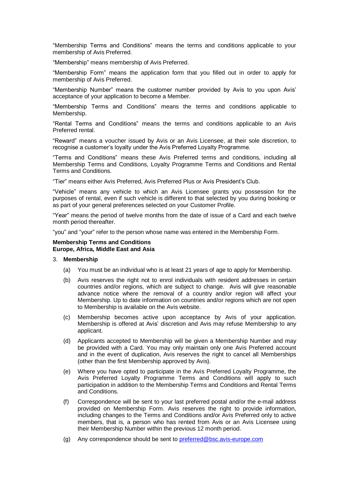"Membership Terms and Conditions" means the terms and conditions applicable to your membership of Avis Preferred.

"Membership" means membership of Avis Preferred.

"Membership Form" means the application form that you filled out in order to apply for membership of Avis Preferred.

"Membership Number" means the customer number provided by Avis to you upon Avis' acceptance of your application to become a Member.

"Membership Terms and Conditions" means the terms and conditions applicable to Membership.

"Rental Terms and Conditions" means the terms and conditions applicable to an Avis Preferred rental.

"Reward" means a voucher issued by Avis or an Avis Licensee, at their sole discretion, to recognise a customer's loyalty under the Avis Preferred Loyalty Programme.

"Terms and Conditions" means these Avis Preferred terms and conditions, including all Membership Terms and Conditions, Loyalty Programme Terms and Conditions and Rental Terms and Conditions.

"Tier" means either Avis Preferred, Avis Preferred Plus or Avis President's Club.

"Vehicle" means any vehicle to which an Avis Licensee grants you possession for the purposes of rental, even if such vehicle is different to that selected by you during booking or as part of your general preferences selected on your Customer Profile.

"Year" means the period of twelve months from the date of issue of a Card and each twelve month period thereafter.

"you" and "your" refer to the person whose name was entered in the Membership Form.

#### **Membership Terms and Conditions Europe, Africa, Middle East and Asia**

### 3. **Membership**

- (a) You must be an individual who is at least 21 years of age to apply for Membership.
- (b) Avis reserves the right not to enrol individuals with resident addresses in certain countries and/or regions, which are subject to change. Avis will give reasonable advance notice where the removal of a country and/or region will affect your Membership. Up to date information on countries and/or regions which are not open to Membership is available on the Avis website.
- (c) Membership becomes active upon acceptance by Avis of your application. Membership is offered at Avis' discretion and Avis may refuse Membership to any applicant.
- (d) Applicants accepted to Membership will be given a Membership Number and may be provided with a Card. You may only maintain only one Avis Preferred account and in the event of duplication, Avis reserves the right to cancel all Memberships (other than the first Membership approved by Avis).
- (e) Where you have opted to participate in the Avis Preferred Loyalty Programme, the Avis Preferred Loyalty Programme Terms and Conditions will apply to such participation in addition to the Membership Terms and Conditions and Rental Terms and Conditions.
- (f) Correspondence will be sent to your last preferred postal and/or the e-mail address provided on Membership Form. Avis reserves the right to provide information, including changes to the Terms and Conditions and/or Avis Preferred only to active members, that is, a person who has rented from Avis or an Avis Licensee using their Membership Number within the previous 12 month period.
- (g) Any correspondence should be sent to [preferred@bsc.avis-europe.com](mailto:preferred@bsc.avis-europe.com)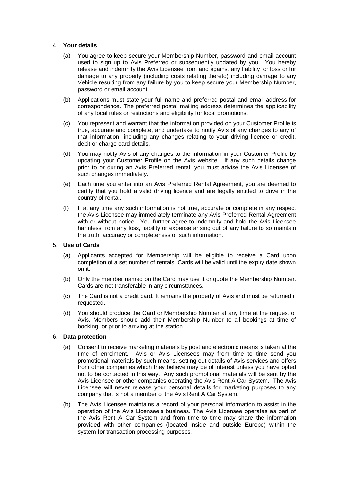## 4. **Your details**

- (a) You agree to keep secure your Membership Number, password and email account used to sign up to Avis Preferred or subsequently updated by you. You hereby release and indemnify the Avis Licensee from and against any liability for loss or for damage to any property (including costs relating thereto) including damage to any Vehicle resulting from any failure by you to keep secure your Membership Number, password or email account.
- (b) Applications must state your full name and preferred postal and email address for correspondence. The preferred postal mailing address determines the applicability of any local rules or restrictions and eligibility for local promotions.
- (c) You represent and warrant that the information provided on your Customer Profile is true, accurate and complete, and undertake to notify Avis of any changes to any of that information, including any changes relating to your driving licence or credit, debit or charge card details.
- (d) You may notify Avis of any changes to the information in your Customer Profile by updating your Customer Profile on the Avis website. If any such details change prior to or during an Avis Preferred rental, you must advise the Avis Licensee of such changes immediately.
- (e) Each time you enter into an Avis Preferred Rental Agreement, you are deemed to certify that you hold a valid driving licence and are legally entitled to drive in the country of rental.
- (f) If at any time any such information is not true, accurate or complete in any respect the Avis Licensee may immediately terminate any Avis Preferred Rental Agreement with or without notice. You further agree to indemnify and hold the Avis Licensee harmless from any loss, liability or expense arising out of any failure to so maintain the truth, accuracy or completeness of such information.

### 5. **Use of Cards**

- (a) Applicants accepted for Membership will be eligible to receive a Card upon completion of a set number of rentals. Cards will be valid until the expiry date shown on it.
- (b) Only the member named on the Card may use it or quote the Membership Number. Cards are not transferable in any circumstances.
- (c) The Card is not a credit card. It remains the property of Avis and must be returned if requested.
- (d) You should produce the Card or Membership Number at any time at the request of Avis. Members should add their Membership Number to all bookings at time of booking, or prior to arriving at the station.

### 6. **Data protection**

- (a) Consent to receive marketing materials by post and electronic means is taken at the time of enrolment. Avis or Avis Licensees may from time to time send you promotional materials by such means, setting out details of Avis services and offers from other companies which they believe may be of interest unless you have opted not to be contacted in this way. Any such promotional materials will be sent by the Avis Licensee or other companies operating the Avis Rent A Car System. The Avis Licensee will never release your personal details for marketing purposes to any company that is not a member of the Avis Rent A Car System.
- (b) The Avis Licensee maintains a record of your personal information to assist in the operation of the Avis Licensee's business. The Avis Licensee operates as part of the Avis Rent A Car System and from time to time may share the information provided with other companies (located inside and outside Europe) within the system for transaction processing purposes.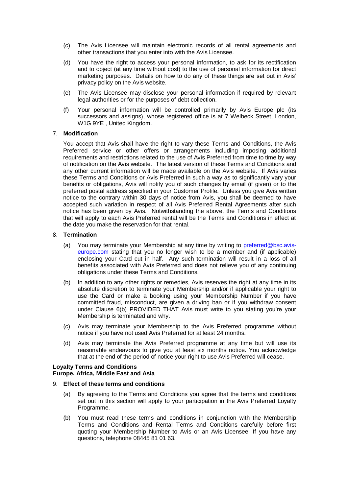- (c) The Avis Licensee will maintain electronic records of all rental agreements and other transactions that you enter into with the Avis Licensee.
- (d) You have the right to access your personal information, to ask for its rectification and to object (at any time without cost) to the use of personal information for direct marketing purposes. Details on how to do any of these things are set out in Avis' privacy policy on the Avis website.
- (e) The Avis Licensee may disclose your personal information if required by relevant legal authorities or for the purposes of debt collection.
- (f) Your personal information will be controlled primarily by Avis Europe plc (its successors and assigns), whose registered office is at 7 Welbeck Street, London, W1G 9YE , United Kingdom.

## 7. **Modification**

You accept that Avis shall have the right to vary these Terms and Conditions, the Avis Preferred service or other offers or arrangements including imposing additional requirements and restrictions related to the use of Avis Preferred from time to time by way of notification on the Avis website. The latest version of these Terms and Conditions and any other current information will be made available on the Avis website. If Avis varies these Terms and Conditions or Avis Preferred in such a way as to significantly vary your benefits or obligations, Avis will notify you of such changes by email (if given) or to the preferred postal address specified in your Customer Profile. Unless you give Avis written notice to the contrary within 30 days of notice from Avis, you shall be deemed to have accepted such variation in respect of all Avis Preferred Rental Agreements after such notice has been given by Avis. Notwithstanding the above, the Terms and Conditions that will apply to each Avis Preferred rental will be the Terms and Conditions in effect at the date you make the reservation for that rental.

### 8. **Termination**

- (a) You may terminate your Membership at any time by writing to [preferred@bsc.avis](mailto:preferred@bsc.avis-europe.com)[europe.com](mailto:preferred@bsc.avis-europe.com) stating that you no longer wish to be a member and (if applicable) enclosing your Card cut in half. Any such termination will result in a loss of all benefits associated with Avis Preferred and does not relieve you of any continuing obligations under these Terms and Conditions.
- (b) In addition to any other rights or remedies, Avis reserves the right at any time in its absolute discretion to terminate your Membership and/or if applicable your right to use the Card or make a booking using your Membership Number if you have committed fraud, misconduct, are given a driving ban or if you withdraw consent under Clause 6(b) PROVIDED THAT Avis must write to you stating you're your Membership is terminated and why.
- (c) Avis may terminate your Membership to the Avis Preferred programme without notice if you have not used Avis Preferred for at least 24 months.
- (d) Avis may terminate the Avis Preferred programme at any time but will use its reasonable endeavours to give you at least six months notice. You acknowledge that at the end of the period of notice your right to use Avis Preferred will cease.

#### **Loyalty Terms and Conditions Europe, Africa, Middle East and Asia**

### 9. **Effect of these terms and conditions**

- (a) By agreeing to the Terms and Conditions you agree that the terms and conditions set out in this section will apply to your participation in the Avis Preferred Loyalty Programme.
- (b) You must read these terms and conditions in conjunction with the Membership Terms and Conditions and Rental Terms and Conditions carefully before first quoting your Membership Number to Avis or an Avis Licensee. If you have any questions, telephone 08445 81 01 63.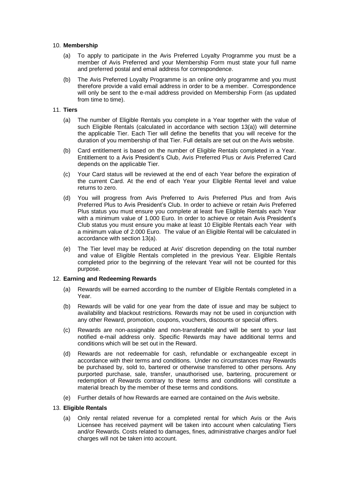## 10. **Membership**

- (a) To apply to participate in the Avis Preferred Loyalty Programme you must be a member of Avis Preferred and your Membership Form must state your full name and preferred postal and email address for correspondence.
- (b) The Avis Preferred Loyalty Programme is an online only programme and you must therefore provide a valid email address in order to be a member. Correspondence will only be sent to the e-mail address provided on Membership Form (as updated from time to time).

### 11. **Tiers**

- (a) The number of Eligible Rentals you complete in a Year together with the value of such Eligible Rentals (calculated in accordance with section 13(a)) will determine the applicable Tier. Each Tier will define the benefits that you will receive for the duration of you membership of that Tier. Full details are set out on the Avis website.
- (b) Card entitlement is based on the number of Eligible Rentals completed in a Year. Entitlement to a Avis President's Club, Avis Preferred Plus or Avis Preferred Card depends on the applicable Tier.
- (c) Your Card status will be reviewed at the end of each Year before the expiration of the current Card. At the end of each Year your Eligible Rental level and value returns to zero.
- (d) You will progress from Avis Preferred to Avis Preferred Plus and from Avis Preferred Plus to Avis President's Club. In order to achieve or retain Avis Preferred Plus status you must ensure you complete at least five Eligible Rentals each Year with a minimum value of 1.000 Euro. In order to achieve or retain Avis President's Club status you must ensure you make at least 10 Eligible Rentals each Year with a minimum value of 2.000 Euro. The value of an Eligible Rental will be calculated in accordance with section 13(a).
- (e) The Tier level may be reduced at Avis' discretion depending on the total number and value of Eligible Rentals completed in the previous Year. Eligible Rentals completed prior to the beginning of the relevant Year will not be counted for this purpose.

## 12. **Earning and Redeeming Rewards**

- (a) Rewards will be earned according to the number of Eligible Rentals completed in a Year.
- (b) Rewards will be valid for one year from the date of issue and may be subject to availability and blackout restrictions. Rewards may not be used in conjunction with any other Reward, promotion, coupons, vouchers, discounts or special offers.
- (c) Rewards are non-assignable and non-transferable and will be sent to your last notified e-mail address only. Specific Rewards may have additional terms and conditions which will be set out in the Reward.
- (d) Rewards are not redeemable for cash, refundable or exchangeable except in accordance with their terms and conditions. Under no circumstances may Rewards be purchased by, sold to, bartered or otherwise transferred to other persons. Any purported purchase, sale, transfer, unauthorised use, bartering, procurement or redemption of Rewards contrary to these terms and conditions will constitute a material breach by the member of these terms and conditions.
- (e) Further details of how Rewards are earned are contained on the Avis website.

### 13. **Eligible Rentals**

(a) Only rental related revenue for a completed rental for which Avis or the Avis Licensee has received payment will be taken into account when calculating Tiers and/or Rewards. Costs related to damages, fines, administrative charges and/or fuel charges will not be taken into account.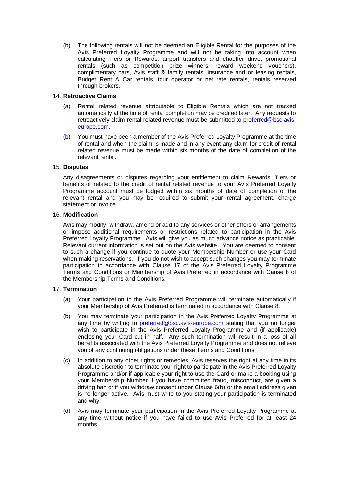(b) The following rentals will not be deemed an Eligible Rental for the purposes of the Avis Preferred Loyalty Programme and will not be taking into account when calculating Tiers or Rewards: airport transfers and chauffer drive, promotional rentals (such as competition prize winners, reward weekend vouchers), complimentary cars, Avis staff & family rentals, insurance and or leasing rentals, Budget Rent A Car rentals, tour operator or net rate rentals, rentals reserved through brokers.

# 14. **Retroactive Claims**

- (a) Rental related revenue attributable to Eligible Rentals which are not tracked automatically at the time of rental completion may be credited later. Any requests to retroactively claim rental related revenue must be submitted to [preferred@bsc.avis](mailto:preferred@bsc.avis-europe.com)[europe.com.](mailto:preferred@bsc.avis-europe.com)
- (b) You must have been a member of the Avis Preferred Loyalty Programme at the time of rental and when the claim is made and in any event any claim for credit of rental related revenue must be made within six months of the date of completion of the relevant rental.

### 15. **Disputes**

Any disagreements or disputes regarding your entitlement to claim Rewards, Tiers or benefits or related to the credit of rental related revenue to your Avis Preferred Loyalty Programme account must be lodged within six months of date of completion of the relevant rental and you may be required to submit your rental agreement, charge statement or invoice.

## 16. **Modification**

Avis may modify, withdraw, amend or add to any services or other offers or arrangements or impose additional requirements or restrictions related to participation in the Avis Preferred Loyalty Programme. Avis will give you as much advance notice as practicable. Relevant current information is set out on the Avis website. You are deemed to consent to such a change if you continue to quote your Membership Number or use your Card when making reservations. If you do not wish to accept such changes you may terminate participation in accordance with Clause 17 of the Avis Preferred Loyalty Programme Terms and Conditions or Membership of Avis Preferred in accordance with Cause 8 of the Membership Terms and Conditions.

## 17. **Termination**

- (a) Your participation in the Avis Preferred Programme will terminate automatically if your Membership of Avis Preferred is terminated in accordance with Clause 8.
- (b) You may terminate your participation in the Avis Preferred Loyalty Programme at any time by writing to **preferred@bsc.avis-europe.com** stating that you no longer wish to participate in the Avis Preferred Loyalty Programme and (if applicable) enclosing your Card cut in half. Any such termination will result in a loss of all benefits associated with the Avis Preferred Loyalty Programme and does not relieve you of any continuing obligations under these Terms and Conditions.
- (c) In addition to any other rights or remedies, Avis reserves the right at any time in its absolute discretion to terminate your right to participate in the Avis Preferred Loyalty Programme and/or if applicable your right to use the Card or make a booking using your Membership Number if you have committed fraud, misconduct, are given a driving ban or if you withdraw consent under Clause 6(b) or the email address given is no longer active. Avis must write to you stating your participation is terminated and why.
- (d) Avis may terminate your participation in the Avis Preferred Loyalty Programme at any time without notice if you have failed to use Avis Preferred for at least 24 months.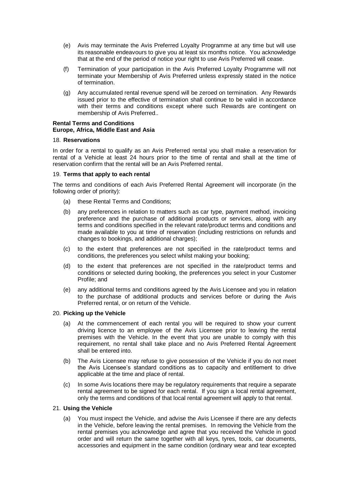- (e) Avis may terminate the Avis Preferred Loyalty Programme at any time but will use its reasonable endeavours to give you at least six months notice. You acknowledge that at the end of the period of notice your right to use Avis Preferred will cease.
- (f) Termination of your participation in the Avis Preferred Loyalty Programme will not terminate your Membership of Avis Preferred unless expressly stated in the notice of termination.
- (g) Any accumulated rental revenue spend will be zeroed on termination. Any Rewards issued prior to the effective of termination shall continue to be valid in accordance with their terms and conditions except where such Rewards are contingent on membership of Avis Preferred..

### **Rental Terms and Conditions Europe, Africa, Middle East and Asia**

### 18. **Reservations**

In order for a rental to qualify as an Avis Preferred rental you shall make a reservation for rental of a Vehicle at least 24 hours prior to the time of rental and shall at the time of reservation confirm that the rental will be an Avis Preferred rental.

### 19. **Terms that apply to each rental**

The terms and conditions of each Avis Preferred Rental Agreement will incorporate (in the following order of priority):

- (a) these Rental Terms and Conditions;
- (b) any preferences in relation to matters such as car type, payment method, invoicing preference and the purchase of additional products or services, along with any terms and conditions specified in the relevant rate/product terms and conditions and made available to you at time of reservation (including restrictions on refunds and changes to bookings, and additional charges);
- (c) to the extent that preferences are not specified in the rate/product terms and conditions, the preferences you select whilst making your booking;
- (d) to the extent that preferences are not specified in the rate/product terms and conditions or selected during booking, the preferences you select in your Customer Profile; and
- (e) any additional terms and conditions agreed by the Avis Licensee and you in relation to the purchase of additional products and services before or during the Avis Preferred rental, or on return of the Vehicle.

### 20. **Picking up the Vehicle**

- (a) At the commencement of each rental you will be required to show your current driving licence to an employee of the Avis Licensee prior to leaving the rental premises with the Vehicle. In the event that you are unable to comply with this requirement, no rental shall take place and no Avis Preferred Rental Agreement shall be entered into.
- (b) The Avis Licensee may refuse to give possession of the Vehicle if you do not meet the Avis Licensee's standard conditions as to capacity and entitlement to drive applicable at the time and place of rental.
- (c) In some Avis locations there may be regulatory requirements that require a separate rental agreement to be signed for each rental. If you sign a local rental agreement, only the terms and conditions of that local rental agreement will apply to that rental.

## 21. **Using the Vehicle**

(a) You must inspect the Vehicle, and advise the Avis Licensee if there are any defects in the Vehicle, before leaving the rental premises. In removing the Vehicle from the rental premises you acknowledge and agree that you received the Vehicle in good order and will return the same together with all keys, tyres, tools, car documents, accessories and equipment in the same condition (ordinary wear and tear excepted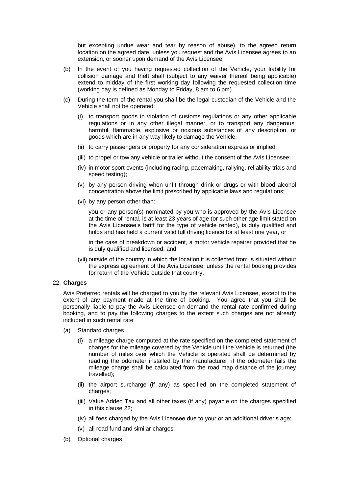but excepting undue wear and tear by reason of abuse), to the agreed return location on the agreed date, unless you request and the Avis Licensee agrees to an extension, or sooner upon demand of the Avis Licensee.

- (b) In the event of you having requested collection of the Vehicle, your liability for collision damage and theft shall (subject to any waiver thereof being applicable) extend to midday of the first working day following the requested collection time (working day is defined as Monday to Friday, 8 am to 6 pm).
- (c) During the term of the rental you shall be the legal custodian of the Vehicle and the Vehicle shall not be operated:
	- (i) to transport goods in violation of customs regulations or any other applicable regulations or in any other illegal manner, or to transport any dangerous, harmful, flammable, explosive or noxious substances of any description, or goods which are in any way likely to damage the Vehicle;
	- (ii) to carry passengers or property for any consideration express or implied;
	- (iii) to propel or tow any vehicle or trailer without the consent of the Avis Licensee;
	- (iv) in motor sport events (including racing, pacemaking, rallying, reliability trials and speed testing);
	- (v) by any person driving when unfit through drink or drugs or with blood alcohol concentration above the limit prescribed by applicable laws and regulations;
	- (vi) by any person other than:

you or any person(s) nominated by you who is approved by the Avis Licensee at the time of rental, is at least 23 years of age (or such other age limit stated on the Avis Licensee's tariff for the type of vehicle rented), is duly qualified and holds and has held a current valid full driving licence for at least one year, or

in the case of breakdown or accident, a motor vehicle repairer provided that he is duly qualified and licensed; and

(vii) outside of the country in which the location it is collected from is situated without the express agreement of the Avis Licensee, unless the rental booking provides for return of the Vehicle outside that country.

#### 22. **Charges**

Avis Preferred rentals will be charged to you by the relevant Avis Licensee, except to the extent of any payment made at the time of booking. You agree that you shall be personally liable to pay the Avis Licensee on demand the rental rate confirmed during booking, and to pay the following charges to the extent such charges are not already included in such rental rate:

- (a) Standard charges
	- (i) a mileage charge computed at the rate specified on the completed statement of charges for the mileage covered by the Vehicle until the Vehicle is returned (the number of miles over which the Vehicle is operated shall be determined by reading the odometer installed by the manufacturer; if the odometer fails the mileage charge shall be calculated from the road map distance of the journey travelled);
	- (ii) the airport surcharge (if any) as specified on the completed statement of charges;
	- (iii) Value Added Tax and all other taxes (if any) payable on the charges specified in this clause 22;
	- (iv) all fees charged by the Avis Licensee due to your or an additional driver's age;
	- (v) all road fund and similar charges;
- (b) Optional charges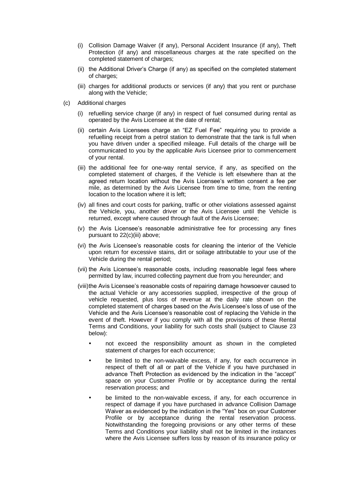- (i) Collision Damage Waiver (if any), Personal Accident Insurance (if any), Theft Protection (if any) and miscellaneous charges at the rate specified on the completed statement of charges;
- (ii) the Additional Driver's Charge (if any) as specified on the completed statement of charges;
- (iii) charges for additional products or services (if any) that you rent or purchase along with the Vehicle;
- (c) Additional charges
	- (i) refuelling service charge (if any) in respect of fuel consumed during rental as operated by the Avis Licensee at the date of rental;
	- (ii) certain Avis Licensees charge an "EZ Fuel Fee" requiring you to provide a refuelling receipt from a petrol station to demonstrate that the tank is full when you have driven under a specified mileage. Full details of the charge will be communicated to you by the applicable Avis Licensee prior to commencement of your rental.
	- (iii) the additional fee for one-way rental service, if any, as specified on the completed statement of charges, if the Vehicle is left elsewhere than at the agreed return location without the Avis Licensee's written consent a fee per mile, as determined by the Avis Licensee from time to time, from the renting location to the location where it is left;
	- (iv) all fines and court costs for parking, traffic or other violations assessed against the Vehicle, you, another driver or the Avis Licensee until the Vehicle is returned, except where caused through fault of the Avis Licensee;
	- (v) the Avis Licensee's reasonable administrative fee for processing any fines pursuant to 22(c)(iii) above;
	- (vi) the Avis Licensee's reasonable costs for cleaning the interior of the Vehicle upon return for excessive stains, dirt or soilage attributable to your use of the Vehicle during the rental period;
	- (vii) the Avis Licensee's reasonable costs, including reasonable legal fees where permitted by law, incurred collecting payment due from you hereunder; and
	- (viii)the Avis Licensee's reasonable costs of repairing damage howsoever caused to the actual Vehicle or any accessories supplied, irrespective of the group of vehicle requested, plus loss of revenue at the daily rate shown on the completed statement of charges based on the Avis Licensee's loss of use of the Vehicle and the Avis Licensee's reasonable cost of replacing the Vehicle in the event of theft. However if you comply with all the provisions of these Rental Terms and Conditions, your liability for such costs shall (subject to Clause 23 below):
		- not exceed the responsibility amount as shown in the completed statement of charges for each occurrence;
		- be limited to the non-waivable excess, if any, for each occurrence in respect of theft of all or part of the Vehicle if you have purchased in advance Theft Protection as evidenced by the indication in the "accept" space on your Customer Profile or by acceptance during the rental reservation process; and
		- be limited to the non-waivable excess, if any, for each occurrence in respect of damage if you have purchased in advance Collision Damage Waiver as evidenced by the indication in the "Yes" box on your Customer Profile or by acceptance during the rental reservation process. Notwithstanding the foregoing provisions or any other terms of these Terms and Conditions your liability shall not be limited in the instances where the Avis Licensee suffers loss by reason of its insurance policy or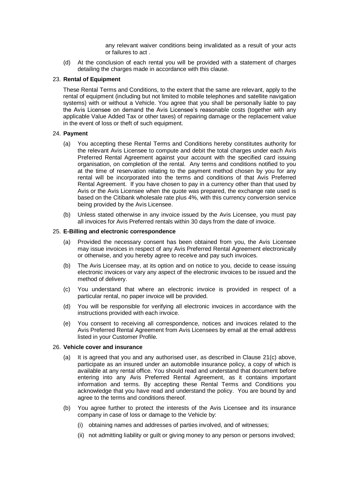any relevant waiver conditions being invalidated as a result of your acts or failures to act .

(d) At the conclusion of each rental you will be provided with a statement of charges detailing the charges made in accordance with this clause.

### 23. **Rental of Equipment**

These Rental Terms and Conditions, to the extent that the same are relevant, apply to the rental of equipment (including but not limited to mobile telephones and satellite navigation systems) with or without a Vehicle. You agree that you shall be personally liable to pay the Avis Licensee on demand the Avis Licensee's reasonable costs (together with any applicable Value Added Tax or other taxes) of repairing damage or the replacement value in the event of loss or theft of such equipment.

### 24. **Payment**

- (a) You accepting these Rental Terms and Conditions hereby constitutes authority for the relevant Avis Licensee to compute and debit the total charges under each Avis Preferred Rental Agreement against your account with the specified card issuing organisation, on completion of the rental. Any terms and conditions notified to you at the time of reservation relating to the payment method chosen by you for any rental will be incorporated into the terms and conditions of that Avis Preferred Rental Agreement. If you have chosen to pay in a currency other than that used by Avis or the Avis Licensee when the quote was prepared, the exchange rate used is based on the Citibank wholesale rate plus 4%, with this currency conversion service being provided by the Avis Licensee.
- (b) Unless stated otherwise in any invoice issued by the Avis Licensee, you must pay all invoices for Avis Preferred rentals within 30 days from the date of invoice.

### 25. **E-Billing and electronic correspondence**

- (a) Provided the necessary consent has been obtained from you, the Avis Licensee may issue invoices in respect of any Avis Preferred Rental Agreement electronically or otherwise, and you hereby agree to receive and pay such invoices.
- (b) The Avis Licensee may, at its option and on notice to you, decide to cease issuing electronic invoices or vary any aspect of the electronic invoices to be issued and the method of delivery.
- (c) You understand that where an electronic invoice is provided in respect of a particular rental, no paper invoice will be provided.
- (d) You will be responsible for verifying all electronic invoices in accordance with the instructions provided with each invoice.
- (e) You consent to receiving all correspondence, notices and invoices related to the Avis Preferred Rental Agreement from Avis Licensees by email at the email address listed in your Customer Profile.

### 26. **Vehicle cover and insurance**

- (a) It is agreed that you and any authorised user, as described in Clause 21(c) above, participate as an insured under an automobile insurance policy, a copy of which is available at any rental office. You should read and understand that document before entering into any Avis Preferred Rental Agreement, as it contains important information and terms. By accepting these Rental Terms and Conditions you acknowledge that you have read and understand the policy. You are bound by and agree to the terms and conditions thereof.
- (b) You agree further to protect the interests of the Avis Licensee and its insurance company in case of loss or damage to the Vehicle by:
	- (i) obtaining names and addresses of parties involved, and of witnesses;
	- (ii) not admitting liability or guilt or giving money to any person or persons involved;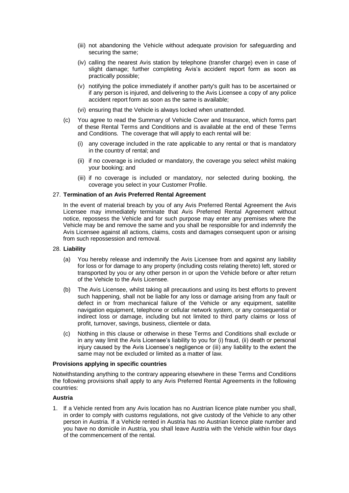- (iii) not abandoning the Vehicle without adequate provision for safeguarding and securing the same;
- (iv) calling the nearest Avis station by telephone (transfer charge) even in case of slight damage; further completing Avis's accident report form as soon as practically possible;
- (v) notifying the police immediately if another party's guilt has to be ascertained or if any person is injured, and delivering to the Avis Licensee a copy of any police accident report form as soon as the same is available;
- (vi) ensuring that the Vehicle is always locked when unattended.
- (c) You agree to read the Summary of Vehicle Cover and Insurance, which forms part of these Rental Terms and Conditions and is available at the end of these Terms and Conditions. The coverage that will apply to each rental will be:
	- (i) any coverage included in the rate applicable to any rental or that is mandatory in the country of rental; and
	- (ii) if no coverage is included or mandatory, the coverage you select whilst making your booking; and
	- (iii) if no coverage is included or mandatory, nor selected during booking, the coverage you select in your Customer Profile.

### 27. **Termination of an Avis Preferred Rental Agreement**

In the event of material breach by you of any Avis Preferred Rental Agreement the Avis Licensee may immediately terminate that Avis Preferred Rental Agreement without notice, repossess the Vehicle and for such purpose may enter any premises where the Vehicle may be and remove the same and you shall be responsible for and indemnify the Avis Licensee against all actions, claims, costs and damages consequent upon or arising from such repossession and removal.

#### 28. **Liability**

- (a) You hereby release and indemnify the Avis Licensee from and against any liability for loss or for damage to any property (including costs relating thereto) left, stored or transported by you or any other person in or upon the Vehicle before or after return of the Vehicle to the Avis Licensee.
- (b) The Avis Licensee, whilst taking all precautions and using its best efforts to prevent such happening, shall not be liable for any loss or damage arising from any fault or defect in or from mechanical failure of the Vehicle or any equipment, satellite navigation equipment, telephone or cellular network system, or any consequential or indirect loss or damage, including but not limited to third party claims or loss of profit, turnover, savings, business, clientele or data.
- (c) Nothing in this clause or otherwise in these Terms and Conditions shall exclude or in any way limit the Avis Licensee's liability to you for (i) fraud, (ii) death or personal injury caused by the Avis Licensee's negligence or (iii) any liability to the extent the same may not be excluded or limited as a matter of law.

#### **Provisions applying in specific countries**

Notwithstanding anything to the contrary appearing elsewhere in these Terms and Conditions the following provisions shall apply to any Avis Preferred Rental Agreements in the following countries:

### **Austria**

1. If a Vehicle rented from any Avis location has no Austrian licence plate number you shall, in order to comply with customs regulations, not give custody of the Vehicle to any other person in Austria. If a Vehicle rented in Austria has no Austrian licence plate number and you have no domicile in Austria, you shall leave Austria with the Vehicle within four days of the commencement of the rental.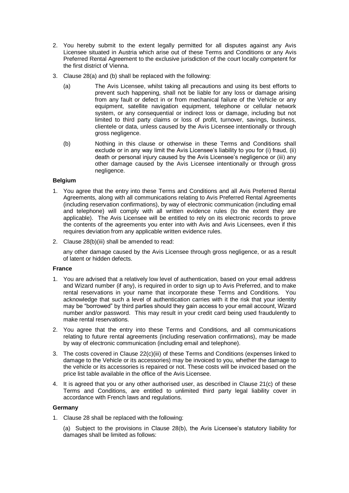- 2. You hereby submit to the extent legally permitted for all disputes against any Avis Licensee situated in Austria which arise out of these Terms and Conditions or any Avis Preferred Rental Agreement to the exclusive jurisdiction of the court locally competent for the first district of Vienna.
- 3. Clause 28(a) and (b) shall be replaced with the following:
	- (a) The Avis Licensee, whilst taking all precautions and using its best efforts to prevent such happening, shall not be liable for any loss or damage arising from any fault or defect in or from mechanical failure of the Vehicle or any equipment, satellite navigation equipment, telephone or cellular network system, or any consequential or indirect loss or damage, including but not limited to third party claims or loss of profit, turnover, savings, business, clientele or data, unless caused by the Avis Licensee intentionally or through gross negligence.
	- (b) Nothing in this clause or otherwise in these Terms and Conditions shall exclude or in any way limit the Avis Licensee's liability to you for (i) fraud, (ii) death or personal injury caused by the Avis Licensee's negligence or (iii) any other damage caused by the Avis Licensee intentionally or through gross negligence.

### **Belgium**

- 1. You agree that the entry into these Terms and Conditions and all Avis Preferred Rental Agreements, along with all communications relating to Avis Preferred Rental Agreements (including reservation confirmations), by way of electronic communication (including email and telephone) will comply with all written evidence rules (to the extent they are applicable). The Avis Licensee will be entitled to rely on its electronic records to prove the contents of the agreements you enter into with Avis and Avis Licensees, even if this requires deviation from any applicable written evidence rules.
- 2. Clause 28(b)(iii) shall be amended to read:

any other damage caused by the Avis Licensee through gross negligence, or as a result of latent or hidden defects.

### **France**

- 1. You are advised that a relatively low level of authentication, based on your email address and Wizard number (if any), is required in order to sign up to Avis Preferred, and to make rental reservations in your name that incorporate these Terms and Conditions. You acknowledge that such a level of authentication carries with it the risk that your identity may be "borrowed" by third parties should they gain access to your email account, Wizard number and/or password. This may result in your credit card being used fraudulently to make rental reservations.
- 2. You agree that the entry into these Terms and Conditions, and all communications relating to future rental agreements (including reservation confirmations), may be made by way of electronic communication (including email and telephone).
- 3. The costs covered in Clause 22(c)(iii) of these Terms and Conditions (expenses linked to damage to the Vehicle or its accessories) may be invoiced to you, whether the damage to the vehicle or its accessories is repaired or not. These costs will be invoiced based on the price list table available in the office of the Avis Licensee.
- 4. It is agreed that you or any other authorised user, as described in Clause 21(c) of these Terms and Conditions, are entitled to unlimited third party legal liability cover in accordance with French laws and regulations.

## **Germany**

1. Clause 28 shall be replaced with the following:

(a) Subject to the provisions in Clause 28(b), the Avis Licensee's statutory liability for damages shall be limited as follows: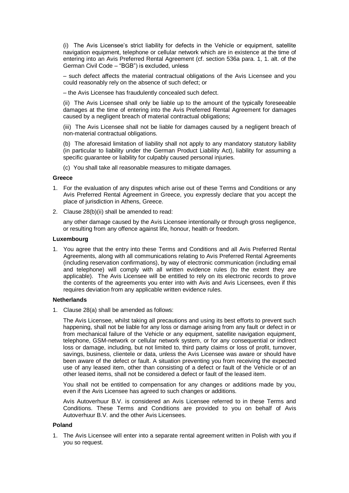(i) The Avis Licensee's strict liability for defects in the Vehicle or equipment, satellite navigation equipment, telephone or cellular network which are in existence at the time of entering into an Avis Preferred Rental Agreement (cf. section 536a para. 1, 1. alt. of the German Civil Code – "BGB") is excluded, unless

– such defect affects the material contractual obligations of the Avis Licensee and you could reasonably rely on the absence of such defect; or

– the Avis Licensee has fraudulently concealed such defect.

(ii) The Avis Licensee shall only be liable up to the amount of the typically foreseeable damages at the time of entering into the Avis Preferred Rental Agreement for damages caused by a negligent breach of material contractual obligations;

(iii) The Avis Licensee shall not be liable for damages caused by a negligent breach of non-material contractual obligations.

(b) The aforesaid limitation of liability shall not apply to any mandatory statutory liability (in particular to liability under the German Product Liability Act), liability for assuming a specific quarantee or liability for culpably caused personal injuries.

(c) You shall take all reasonable measures to mitigate damages.

### **Greece**

- 1. For the evaluation of any disputes which arise out of these Terms and Conditions or any Avis Preferred Rental Agreement in Greece, you expressly declare that you accept the place of jurisdiction in Athens, Greece.
- 2. Clause 28(b)(ii) shall be amended to read:

any other damage caused by the Avis Licensee intentionally or through gross negligence, or resulting from any offence against life, honour, health or freedom.

#### **Luxembourg**

1. You agree that the entry into these Terms and Conditions and all Avis Preferred Rental Agreements, along with all communications relating to Avis Preferred Rental Agreements (including reservation confirmations), by way of electronic communication (including email and telephone) will comply with all written evidence rules (to the extent they are applicable). The Avis Licensee will be entitled to rely on its electronic records to prove the contents of the agreements you enter into with Avis and Avis Licensees, even if this requires deviation from any applicable written evidence rules.

### **Netherlands**

1. Clause 28(a) shall be amended as follows:

The Avis Licensee, whilst taking all precautions and using its best efforts to prevent such happening, shall not be liable for any loss or damage arising from any fault or defect in or from mechanical failure of the Vehicle or any equipment, satellite navigation equipment, telephone, GSM-network or cellular network system, or for any consequential or indirect loss or damage, including, but not limited to, third party claims or loss of profit, turnover, savings, business, clientele or data, unless the Avis Licensee was aware or should have been aware of the defect or fault. A situation preventing you from receiving the expected use of any leased item, other than consisting of a defect or fault of the Vehicle or of an other leased items, shall not be considered a defect or fault of the leased item.

You shall not be entitled to compensation for any changes or additions made by you, even if the Avis Licensee has agreed to such changes or additions.

Avis Autoverhuur B.V. is considered an Avis Licensee referred to in these Terms and Conditions. These Terms and Conditions are provided to you on behalf of Avis Autoverhuur B.V. and the other Avis Licensees.

### **Poland**

1. The Avis Licensee will enter into a separate rental agreement written in Polish with you if you so request.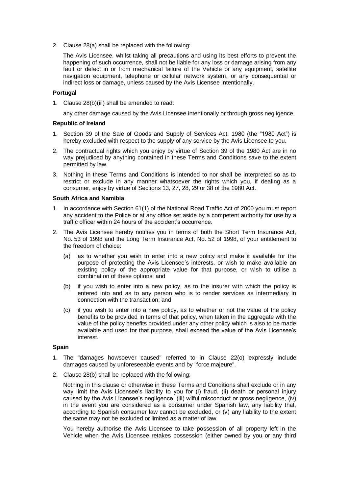2. Clause 28(a) shall be replaced with the following:

The Avis Licensee, whilst taking all precautions and using its best efforts to prevent the happening of such occurrence, shall not be liable for any loss or damage arising from any fault or defect in or from mechanical failure of the Vehicle or any equipment, satellite navigation equipment, telephone or cellular network system, or any consequential or indirect loss or damage, unless caused by the Avis Licensee intentionally.

## **Portugal**

1. Clause 28(b)(iii) shall be amended to read:

any other damage caused by the Avis Licensee intentionally or through gross negligence.

### **Republic of Ireland**

- 1. Section 39 of the Sale of Goods and Supply of Services Act, 1980 (the "1980 Act") is hereby excluded with respect to the supply of any service by the Avis Licensee to you.
- 2. The contractual rights which you enjoy by virtue of Section 39 of the 1980 Act are in no way prejudiced by anything contained in these Terms and Conditions save to the extent permitted by law.
- 3. Nothing in these Terms and Conditions is intended to nor shall be interpreted so as to restrict or exclude in any manner whatsoever the rights which you, if dealing as a consumer, enjoy by virtue of Sections 13, 27, 28, 29 or 38 of the 1980 Act.

### **South Africa and Namibia**

- 1. In accordance with Section 61(1) of the National Road Traffic Act of 2000 you must report any accident to the Police or at any office set aside by a competent authority for use by a traffic officer within 24 hours of the accident's occurrence.
- 2. The Avis Licensee hereby notifies you in terms of both the Short Term Insurance Act, No. 53 of 1998 and the Long Term Insurance Act, No. 52 of 1998, of your entitlement to the freedom of choice:
	- (a) as to whether you wish to enter into a new policy and make it available for the purpose of protecting the Avis Licensee's interests, or wish to make available an existing policy of the appropriate value for that purpose, or wish to utilise a combination of these options; and
	- (b) if you wish to enter into a new policy, as to the insurer with which the policy is entered into and as to any person who is to render services as intermediary in connection with the transaction; and
	- (c) if you wish to enter into a new policy, as to whether or not the value of the policy benefits to be provided in terms of that policy, when taken in the aggregate with the value of the policy benefits provided under any other policy which is also to be made available and used for that purpose, shall exceed the value of the Avis Licensee's interest.

### **Spain**

- 1. The "damages howsoever caused" referred to in Clause 22(o) expressly include damages caused by unforeseeable events and by "force majeure".
- 2. Clause 28(b) shall be replaced with the following:

Nothing in this clause or otherwise in these Terms and Conditions shall exclude or in any way limit the Avis Licensee's liability to you for (i) fraud, (ii) death or personal injury caused by the Avis Licensee's negligence, (iii) wilful misconduct or gross negligence, (iv) in the event you are considered as a consumer under Spanish law, any liability that, according to Spanish consumer law cannot be excluded, or (v) any liability to the extent the same may not be excluded or limited as a matter of law.

You hereby authorise the Avis Licensee to take possession of all property left in the Vehicle when the Avis Licensee retakes possession (either owned by you or any third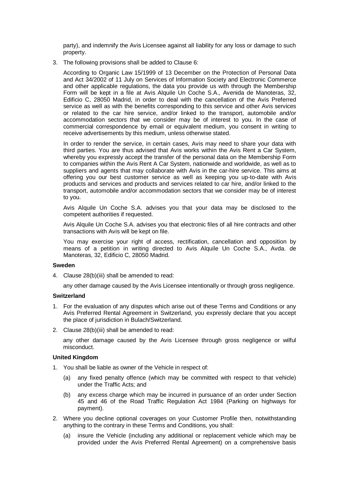party), and indemnify the Avis Licensee against all liability for any loss or damage to such property.

3. The following provisions shall be added to Clause 6:

According to Organic Law 15/1999 of 13 December on the Protection of Personal Data and Act 34/2002 of 11 July on Services of Information Society and Electronic Commerce and other applicable regulations, the data you provide us with through the Membership Form will be kept in a file at Avis Alquile Un Coche S.A., Avenida de Manoteras, 32, Edificio C, 28050 Madrid, in order to deal with the cancellation of the Avis Preferred service as well as with the benefits corresponding to this service and other Avis services or related to the car hire service, and/or linked to the transport, automobile and/or accommodation sectors that we consider may be of interest to you. In the case of commercial correspondence by email or equivalent medium, you consent in writing to receive advertisements by this medium, unless otherwise stated.

In order to render the service, in certain cases, Avis may need to share your data with third parties. You are thus advised that Avis works within the Avis Rent a Car System, whereby you expressly accept the transfer of the personal data on the Membership Form to companies within the Avis Rent A Car System, nationwide and worldwide, as well as to suppliers and agents that may collaborate with Avis in the car-hire service. This aims at offering you our best customer service as well as keeping you up-to-date with Avis products and services and products and services related to car hire, and/or linked to the transport, automobile and/or accommodation sectors that we consider may be of interest to you.

Avis Alquile Un Coche S.A. advises you that your data may be disclosed to the competent authorities if requested.

Avis Alquile Un Coche S.A. advises you that electronic files of all hire contracts and other transactions with Avis will be kept on file.

You may exercise your right of access, rectification, cancellation and opposition by means of a petition in writing directed to Avis Alquile Un Coche S.A., Avda. de Manoteras, 32, Edificio C, 28050 Madrid.

## **Sweden**

4. Clause 28(b)(iii) shall be amended to read:

any other damage caused by the Avis Licensee intentionally or through gross negligence.

### **Switzerland**

- 1. For the evaluation of any disputes which arise out of these Terms and Conditions or any Avis Preferred Rental Agreement in Switzerland, you expressly declare that you accept the place of jurisdiction in Bulach/Switzerland.
- 2. Clause 28(b)(iii) shall be amended to read:

any other damage caused by the Avis Licensee through gross negligence or wilful misconduct.

### **United Kingdom**

- 1. You shall be liable as owner of the Vehicle in respect of:
	- (a) any fixed penalty offence (which may be committed with respect to that vehicle) under the Traffic Acts; and
	- (b) any excess charge which may be incurred in pursuance of an order under Section 45 and 46 of the Road Traffic Regulation Act 1984 (Parking on highways for payment).
- 2. Where you decline optional coverages on your Customer Profile then, notwithstanding anything to the contrary in these Terms and Conditions, you shall:
	- (a) insure the Vehicle (including any additional or replacement vehicle which may be provided under the Avis Preferred Rental Agreement) on a comprehensive basis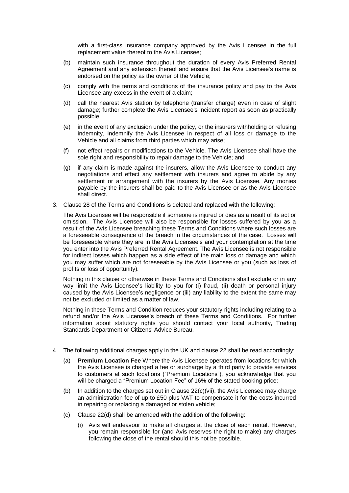with a first-class insurance company approved by the Avis Licensee in the full replacement value thereof to the Avis Licensee;

- (b) maintain such insurance throughout the duration of every Avis Preferred Rental Agreement and any extension thereof and ensure that the Avis Licensee's name is endorsed on the policy as the owner of the Vehicle;
- (c) comply with the terms and conditions of the insurance policy and pay to the Avis Licensee any excess in the event of a claim;
- (d) call the nearest Avis station by telephone (transfer charge) even in case of slight damage; further complete the Avis Licensee's incident report as soon as practically possible;
- (e) in the event of any exclusion under the policy, or the insurers withholding or refusing indemnity, indemnify the Avis Licensee in respect of all loss or damage to the Vehicle and all claims from third parties which may arise;
- (f) not effect repairs or modifications to the Vehicle. The Avis Licensee shall have the sole right and responsibility to repair damage to the Vehicle; and
- (g) if any claim is made against the insurers, allow the Avis Licensee to conduct any negotiations and effect any settlement with insurers and agree to abide by any settlement or arrangement with the insurers by the Avis Licensee. Any monies payable by the insurers shall be paid to the Avis Licensee or as the Avis Licensee shall direct.
- 3. Clause 28 of the Terms and Conditions is deleted and replaced with the following:

The Avis Licensee will be responsible if someone is injured or dies as a result of its act or omission. The Avis Licensee will also be responsible for losses suffered by you as a result of the Avis Licensee breaching these Terms and Conditions where such losses are a foreseeable consequence of the breach in the circumstances of the case. Losses will be foreseeable where they are in the Avis Licensee's and your contemplation at the time you enter into the Avis Preferred Rental Agreement. The Avis Licensee is not responsible for indirect losses which happen as a side effect of the main loss or damage and which you may suffer which are not foreseeable by the Avis Licensee or you (such as loss of profits or loss of opportunity).

Nothing in this clause or otherwise in these Terms and Conditions shall exclude or in any way limit the Avis Licensee's liability to you for (i) fraud, (ii) death or personal injury caused by the Avis Licensee's negligence or (iii) any liability to the extent the same may not be excluded or limited as a matter of law.

Nothing in these Terms and Condition reduces your statutory rights including relating to a refund and/or the Avis Licensee's breach of these Terms and Conditions. For further information about statutory rights you should contact your local authority, Trading Standards Department or Citizens' Advice Bureau.

- 4. The following additional charges apply in the UK and clause 22 shall be read accordingly:
	- (a) **Premium Location Fee** Where the Avis Licensee operates from locations for which the Avis Licensee is charged a fee or surcharge by a third party to provide services to customers at such locations ("Premium Locations"), you acknowledge that you will be charged a "Premium Location Fee" of 16% of the stated booking price;
	- (b) In addition to the charges set out in Clause  $22(c)$ (vii), the Avis Licensee may charge an administration fee of up to £50 plus VAT to compensate it for the costs incurred in repairing or replacing a damaged or stolen vehicle;
	- (c) Clause 22(d) shall be amended with the addition of the following:
		- (i) Avis will endeavour to make all charges at the close of each rental. However, you remain responsible for (and Avis reserves the right to make) any charges following the close of the rental should this not be possible.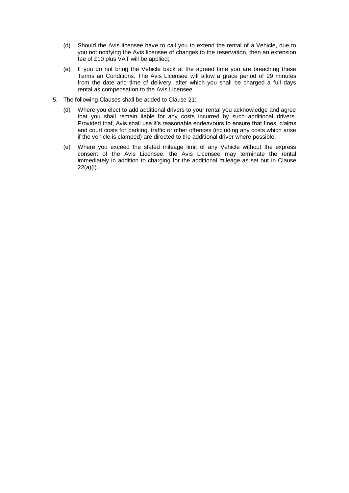- (d) Should the Avis licensee have to call you to extend the rental of a Vehicle, due to you not notifying the Avis licensee of changes to the reservation, then an extension fee of £10 plus VAT will be applied;
- (e) If you do not bring the Vehicle back at the agreed time you are breaching these Terms an Conditions. The Avis Licensee will allow a grace period of 29 minutes from the date and time of delivery, after which you shall be charged a full days rental as compensation to the Avis Licensee.
- 5. The following Clauses shall be added to Clause 21:
	- (d) Where you elect to add additional drivers to your rental you acknowledge and agree that you shall remain liable for any costs incurred by such additional drivers. Provided that, Avis shall use it's reasonable endeavours to ensure that fines, claims and court costs for parking, traffic or other offences (including any costs which arise if the vehicle is clamped) are directed to the additional driver where possible.
	- (e) Where you exceed the stated mileage limit of any Vehicle without the express consent of the Avis Licensee, the Avis Licensee may terminate the rental immediately in addition to charging for the additional mileage as set out in Clause 22(a)(i).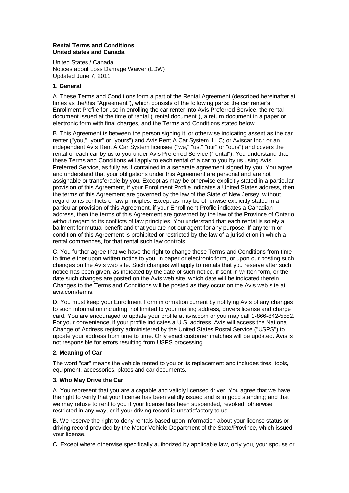### **Rental Terms and Conditions United states and Canada**

United States / Canada Notices about Loss Damage Waiver (LDW) Updated June 7, 2011

### **1. General**

A. These Terms and Conditions form a part of the Rental Agreement (described hereinafter at times as the/this "Agreement"), which consists of the following parts: the car renter's Enrollment Profile for use in enrolling the car renter into Avis Preferred Service, the rental document issued at the time of rental ("rental document"), a return document in a paper or electronic form with final charges, and the Terms and Conditions stated below.

B. This Agreement is between the person signing it, or otherwise indicating assent as the car renter ("you," "your" or "yours") and Avis Rent A Car System, LLC; or Aviscar Inc.; or an independent Avis Rent A Car System licensee ("we," "us," "our" or "ours") and covers the rental of each car by us to you under Avis Preferred Service ("rental"). You understand that these Terms and Conditions will apply to each rental of a car to you by us using Avis Preferred Service, as fully as if contained in a separate agreement signed by you. You agree and understand that your obligations under this Agreement are personal and are not assignable or transferable by you. Except as may be otherwise explicitly stated in a particular provision of this Agreement, if your Enrollment Profile indicates a United States address, then the terms of this Agreement are governed by the law of the State of New Jersey, without regard to its conflicts of law principles. Except as may be otherwise explicitly stated in a particular provision of this Agreement, if your Enrollment Profile indicates a Canadian address, then the terms of this Agreement are governed by the law of the Province of Ontario, without regard to its conflicts of law principles. You understand that each rental is solely a bailment for mutual benefit and that you are not our agent for any purpose. If any term or condition of this Agreement is prohibited or restricted by the law of a jurisdiction in which a rental commences, for that rental such law controls.

C. You further agree that we have the right to change these Terms and Conditions from time to time either upon written notice to you, in paper or electronic form, or upon our posting such changes on the Avis web site. Such changes will apply to rentals that you reserve after such notice has been given, as indicated by the date of such notice, if sent in written form, or the date such changes are posted on the Avis web site, which date will be indicated therein. Changes to the Terms and Conditions will be posted as they occur on the Avis web site at avis.com/terms.

D. You must keep your Enrollment Form information current by notifying Avis of any changes to such information including, not limited to your mailing address, drivers license and charge card. You are encouraged to update your profile at avis.com or you may call 1-866-842-5552. For your convenience, if your profile indicates a U.S. address, Avis will access the National Change of Address registry administered by the United States Postal Service ("USPS") to update your address from time to time. Only exact customer matches will be updated. Avis is not responsible for errors resulting from USPS processing.

## **2. Meaning of Car**

The word "car" means the vehicle rented to you or its replacement and includes tires, tools, equipment, accessories, plates and car documents.

## **3. Who May Drive the Car**

A. You represent that you are a capable and validly licensed driver. You agree that we have the right to verify that your license has been validly issued and is in good standing; and that we may refuse to rent to you if your license has been suspended, revoked, otherwise restricted in any way, or if your driving record is unsatisfactory to us.

B. We reserve the right to deny rentals based upon information about your license status or driving record provided by the Motor Vehicle Department of the State/Province, which issued your license.

C. Except where otherwise specifically authorized by applicable law, only you, your spouse or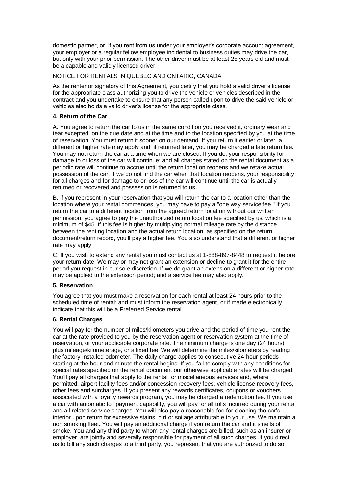domestic partner, or, if you rent from us under your employer's corporate account agreement, your employer or a regular fellow employee incidental to business duties may drive the car, but only with your prior permission. The other driver must be at least 25 years old and must be a capable and validly licensed driver.

## NOTICE FOR RENTALS IN QUEBEC AND ONTARIO, CANADA

As the renter or signatory of this Agreement, you certify that you hold a valid driver's license for the appropriate class authorizing you to drive the vehicle or vehicles described in the contract and you undertake to ensure that any person called upon to drive the said vehicle or vehicles also holds a valid driver's license for the appropriate class.

## **4. Return of the Car**

A. You agree to return the car to us in the same condition you received it, ordinary wear and tear excepted, on the due date and at the time and to the location specified by you at the time of reservation. You must return it sooner on our demand. If you return it earlier or later, a different or higher rate may apply and, if returned later, you may be charged a late return fee. You may not return the car at a time when we are closed. If you do, your responsibility for damage to or loss of the car will continue; and all charges stated on the rental document as a periodic rate will continue to accrue until the return location reopens and we retake actual possession of the car. If we do not find the car when that location reopens, your responsibility for all charges and for damage to or loss of the car will continue until the car is actually returned or recovered and possession is returned to us.

B. If you represent in your reservation that you will return the car to a location other than the location where your rental commences, you may have to pay a "one way service fee." If you return the car to a different location from the agreed return location without our written permission, you agree to pay the unauthorized return location fee specified by us, which is a minimum of \$45. If this fee is higher by multiplying normal mileage rate by the distance between the renting location and the actual return location, as specified on the return document/return record, you'll pay a higher fee. You also understand that a different or higher rate may apply.

C. If you wish to extend any rental you must contact us at 1-888-897-8448 to request it before your return date. We may or may not grant an extension or decline to grant it for the entire period you request in our sole discretion. If we do grant an extension a different or higher rate may be applied to the extension period; and a service fee may also apply.

### **5. Reservation**

You agree that you must make a reservation for each rental at least 24 hours prior to the scheduled time of rental; and must inform the reservation agent, or if made electronically, indicate that this will be a Preferred Service rental.

### **6. Rental Charges**

You will pay for the number of miles/kilometers you drive and the period of time you rent the car at the rate provided to you by the reservation agent or reservation system at the time of reservation, or your applicable corporate rate. The minimum charge is one day (24 hours) plus mileage/kilometerage, or a fixed fee. We will determine the miles/kilometers by reading the factory-installed odometer. The daily charge applies to consecutive 24-hour periods starting at the hour and minute the rental begins. If you fail to comply with any conditions for special rates specified on the rental document our otherwise applicable rates will be charged. You'll pay all charges that apply to the rental for miscellaneous services and, where permitted, airport facility fees and/or concession recovery fees, vehicle license recovery fees, other fees and surcharges. If you present any rewards certificates, coupons or vouchers associated with a loyalty rewards program, you may be charged a redemption fee. If you use a car with automatic toll payment capability, you will pay for all tolls incurred during your rental and all related service charges. You will also pay a reasonable fee for cleaning the car's interior upon return for excessive stains, dirt or soilage attributable to your use. We maintain a non smoking fleet. You will pay an additional charge if you return the car and it smells of smoke. You and any third party to whom any rental charges are billed, such as an insurer or employer, are jointly and severally responsible for payment of all such charges. If you direct us to bill any such charges to a third party, you represent that you are authorized to do so.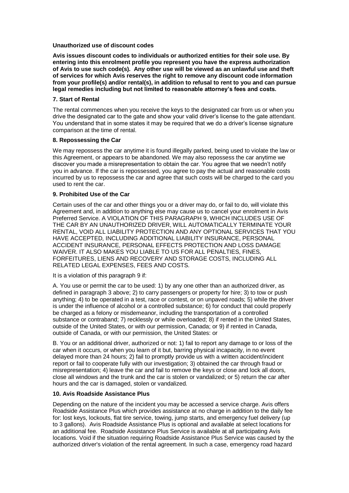### **Unauthorized use of discount codes**

**Avis issues discount codes to individuals or authorized entities for their sole use. By entering into this enrolment profile you represent you have the express authorization of Avis to use such code(s). Any other use will be viewed as an unlawful use and theft of services for which Avis reserves the right to remove any discount code information from your profile(s) and/or rental(s), in addition to refusal to rent to you and can pursue legal remedies including but not limited to reasonable attorney's fees and costs.**

### **7. Start of Rental**

The rental commences when you receive the keys to the designated car from us or when you drive the designated car to the gate and show your valid driver's license to the gate attendant. You understand that in some states it may be required that we do a driver's license signature comparison at the time of rental.

# **8. Repossessing the Car**

We may repossess the car anytime it is found illegally parked, being used to violate the law or this Agreement, or appears to be abandoned. We may also repossess the car anytime we discover you made a misrepresentation to obtain the car. You agree that we needn't notify you in advance. If the car is repossessed, you agree to pay the actual and reasonable costs incurred by us to repossess the car and agree that such costs will be charged to the card you used to rent the car.

### **9. Prohibited Use of the Car**

Certain uses of the car and other things you or a driver may do, or fail to do, will violate this Agreement and, in addition to anything else may cause us to cancel your enrolment in Avis Preferred Service. A VIOLATION OF THIS PARAGRAPH 9, WHICH INCLUDES USE OF THE CAR BY AN UNAUTHORIZED DRIVER, WILL AUTOMATICALLY TERMINATE YOUR RENTAL, VOID ALL LIABILITY PROTECTION AND ANY OPTIONAL SERVICES THAT YOU HAVE ACCEPTED, INCLUDING ADDITIONAL LIABILITY INSURANCE, PERSONAL ACCIDENT INSURANCE, PERSONAL EFFECTS PROTECTION AND LOSS DAMAGE WAIVER. IT ALSO MAKES YOU LIABLE TO US FOR ALL PENALTIES, FINES, FORFEITURES, LIENS AND RECOVERY AND STORAGE COSTS, INCLUDING ALL RELATED LEGAL EXPENSES, FEES AND COSTS.

### It is a violation of this paragraph 9 if:

A. You use or permit the car to be used: 1) by any one other than an authorized driver, as defined in paragraph 3 above; 2) to carry passengers or property for hire; 3) to tow or push anything; 4) to be operated in a test, race or contest, or on unpaved roads; 5) while the driver is under the influence of alcohol or a controlled substance; 6) for conduct that could properly be charged as a felony or misdemeanor, including the transportation of a controlled substance or contraband; 7) recklessly or while overloaded; 8) if rented in the United States, outside of the United States, or with our permission, Canada; or 9) if rented in Canada, outside of Canada, or with our permission, the United States: or

B. You or an additional driver, authorized or not: 1) fail to report any damage to or loss of the car when it occurs, or when you learn of it but, barring physical incapacity, in no event delayed more than 24 hours; 2) fail to promptly provide us with a written accident/incident report or fail to cooperate fully with our investigation; 3) obtained the car through fraud or misrepresentation; 4) leave the car and fail to remove the keys or close and lock all doors, close all windows and the trunk and the car is stolen or vandalized; or 5) return the car after hours and the car is damaged, stolen or vandalized.

## **10. Avis Roadside Assistance Plus**

Depending on the nature of the incident you may be accessed a service charge. Avis offers Roadside Assistance Plus which provides assistance at no charge in addition to the daily fee for: lost keys, lockouts, flat tire service, towing, jump starts, and emergency fuel delivery (up to 3 gallons). Avis Roadside Assistance Plus is optional and available at select locations for an additional fee. Roadside Assistance Plus Service is available at all participating Avis locations. Void if the situation requiring Roadside Assistance Plus Service was caused by the authorized driver's violation of the rental agreement. In such a case, emergency road hazard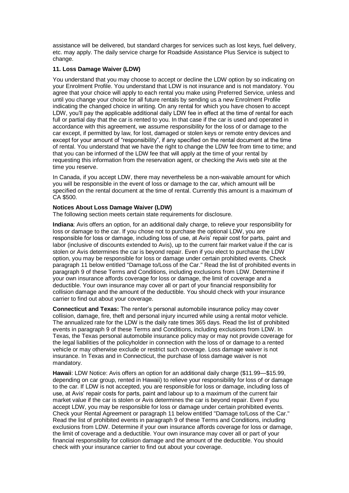assistance will be delivered, but standard charges for services such as lost keys, fuel delivery, etc. may apply. The daily service charge for Roadside Assistance Plus Service is subject to change.

## **11. Loss Damage Waiver (LDW)**

You understand that you may choose to accept or decline the LDW option by so indicating on your Enrolment Profile. You understand that LDW is not insurance and is not mandatory. You agree that your choice will apply to each rental you make using Preferred Service, unless and until you change your choice for all future rentals by sending us a new Enrolment Profile indicating the changed choice in writing. On any rental for which you have chosen to accept LDW, you'll pay the applicable additional daily LDW fee in effect at the time of rental for each full or partial day that the car is rented to you. In that case if the car is used and operated in accordance with this agreement, we assume responsibility for the loss of or damage to the car except, if permitted by law, for lost, damaged or stolen keys or remote entry devices and except for your amount of "responsibility", if any specified on the rental document at the time of rental. You understand that we have the right to change the LDW fee from time to time; and that you can be informed of the LDW fee that will apply at the time of your rental by requesting this information from the reservation agent, or checking the Avis web site at the time you reserve.

In Canada, if you accept LDW, there may nevertheless be a non-waivable amount for which you will be responsible in the event of loss or damage to the car, which amount will be specified on the rental document at the time of rental. Currently this amount is a maximum of CA \$500.

## **Notices About Loss Damage Waiver (LDW)**

The following section meets certain state requirements for disclosure.

**Indiana**: Avis offers an option, for an additional daily charge, to relieve your responsibility for loss or damage to the car. If you chose not to purchase the optional LDW, you are responsible for loss or damage, including loss of use, at Avis' repair cost for parts, paint and labor (inclusive of discounts extended to Avis), up to the current fair market value if the car is stolen or Avis determines the car is beyond repair. Even if you elect to purchase the LDW option, you may be responsible for loss or damage under certain prohibited events. Check paragraph 11 below entitled "Damage to/Loss of the Car." Read the list of prohibited events in paragraph 9 of these Terms and Conditions, including exclusions from LDW. Determine if your own insurance affords coverage for loss or damage, the limit of coverage and a deductible. Your own insurance may cover all or part of your financial responsibility for collision damage and the amount of the deductible. You should check with your insurance carrier to find out about your coverage.

**Connecticut and Texas:** The renter's personal automobile insurance policy may cover collision, damage, fire, theft and personal injury incurred while using a rental motor vehicle. The annualized rate for the LDW is the daily rate times 365 days. Read the list of prohibited events in paragraph 9 of these Terms and Conditions, including exclusions from LDW. In Texas, the Texas personal automobile insurance policy may or may not provide coverage for the legal liabilities of the policyholder in connection with the loss of or damage to a rented vehicle or may otherwise exclude or restrict such coverage. Loss damage waiver is not insurance. In Texas and in Connecticut, the purchase of loss damage waiver is not mandatory.

**Hawaii**: LDW Notice: Avis offers an option for an additional daily charge (\$11.99—\$15.99, depending on car group, rented in Hawaii) to relieve your responsibility for loss of or damage to the car. If LDW is not accepted, you are responsible for loss or damage, including loss of use, at Avis' repair costs for parts, paint and labour up to a maximum of the current fair market value if the car is stolen or Avis determines the car is beyond repair. Even if you accept LDW, you may be responsible for loss or damage under certain prohibited events. Check your Rental Agreement or paragraph 11 below entitled "Damage to/Loss of the Car." Read the list of prohibited events in paragraph 9 of these Terms and Conditions, including exclusions from LDW. Determine if your own insurance affords coverage for loss or damage, the limit of coverage and a deductible. Your own insurance may cover all or part of your financial responsibility for collision damage and the amount of the deductible. You should check with your insurance carrier to find out about your coverage.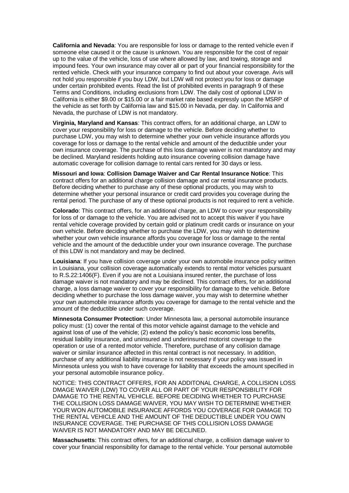**California and Nevada**: You are responsible for loss or damage to the rented vehicle even if someone else caused it or the cause is unknown. You are responsible for the cost of repair up to the value of the vehicle, loss of use where allowed by law, and towing, storage and impound fees. Your own insurance may cover all or part of your financial responsibility for the rented vehicle. Check with your insurance company to find out about your coverage. Avis will not hold you responsible if you buy LDW, but LDW will not protect you for loss or damage under certain prohibited events. Read the list of prohibited events in paragraph 9 of these Terms and Conditions, including exclusions from LDW. The daily cost of optional LDW in California is either \$9.00 or \$15.00 or a fair market rate based expressly upon the MSRP of the vehicle as set forth by California law and \$15.00 in Nevada, per day. In California and Nevada, the purchase of LDW is not mandatory.

**Virginia, Maryland and Kansas**: This contract offers, for an additional charge, an LDW to cover your responsibility for loss or damage to the vehicle. Before deciding whether to purchase LDW, you may wish to determine whether your own vehicle insurance affords you coverage for loss or damage to the rental vehicle and amount of the deductible under your own insurance coverage. The purchase of this loss damage waiver is not mandatory and may be declined. Maryland residents holding auto insurance covering collision damage have automatic coverage for collision damage to rental cars rented for 30 days or less.

**Missouri and Iowa**: **Collision Damage Waiver and Car Rental Insurance Notice**: This contract offers for an additional charge collision damage and car rental insurance products. Before deciding whether to purchase any of these optional products, you may wish to determine whether your personal insurance or credit card provides you coverage during the rental period. The purchase of any of these optional products is not required to rent a vehicle.

**Colorado**: This contract offers, for an additional charge, an LDW to cover your responsibility for loss of or damage to the vehicle. You are advised not to accept this waiver if you have rental vehicle coverage provided by certain gold or platinum credit cards or insurance on your own vehicle. Before deciding whether to purchase the LDW, you may wish to determine whether your own vehicle insurance affords you coverage for loss or damage to the rental vehicle and the amount of the deductible under your own insurance coverage. The purchase of this LDW is not mandatory and may be declined.

**Louisiana**: If you have collision coverage under your own automobile insurance policy written in Louisiana, your collision coverage automatically extends to rental motor vehicles pursuant to R.S.22:1406(F). Even if you are not a Louisiana insured renter, the purchase of loss damage waiver is not mandatory and may be declined. This contract offers, for an additional charge, a loss damage waiver to cover your responsibility for damage to the vehicle. Before deciding whether to purchase the loss damage waiver, you may wish to determine whether your own automobile insurance affords you coverage for damage to the rental vehicle and the amount of the deductible under such coverage.

**Minnesota Consumer Protection**: Under Minnesota law, a personal automobile insurance policy must: (1) cover the rental of this motor vehicle against damage to the vehicle and against loss of use of the vehicle; (2) extend the policy's basic economic loss benefits, residual liability insurance, and uninsured and underinsured motorist coverage to the operation or use of a rented motor vehicle. Therefore, purchase of any collision damage waiver or similar insurance affected in this rental contract is not necessary. In addition, purchase of any additional liability insurance is not necessary if your policy was issued in Minnesota unless you wish to have coverage for liability that exceeds the amount specified in your personal automobile insurance policy.

NOTICE: THIS CONTRACT OFFERS, FOR AN ADDITONAL CHARGE, A COLLISION LOSS DMAGE WAIVER (LDW) TO COVER ALL OR PART OF YOUR RESPONSIBILITY FOR DAMAGE TO THE RENTAL VEHICLE. BEFORE DECIDING WHETHER TO PURCHASE THE COLLISION LOSS DAMAGE WAIVER, YOU MAY WISH TO DETERMINE WHETHER YOUR WON AUTOMOBILE INSURANCE AFFORDS YOU COVERAGE FOR DAMAGE TO THE RENTAL VEHICLE AND THE AMOUNT OF THE DEDUCTIBLE UNDER YOU OWN INSURANCE COVERAGE. THE PURCHASE OF THIS COLLISION LOSS DAMAGE WAIVER IS NOT MANDATORY AND MAY BE DECLINED.

**Massachusetts**: This contract offers, for an additional charge, a collision damage waiver to cover your financial responsibility for damage to the rental vehicle. Your personal automobile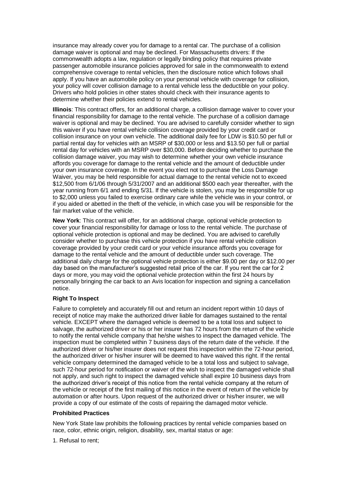insurance may already cover you for damage to a rental car. The purchase of a collision damage waiver is optional and may be declined. For Massachusetts drivers: If the commonwealth adopts a law, regulation or legally binding policy that requires private passenger automobile insurance policies approved for sale in the commonwealth to extend comprehensive coverage to rental vehicles, then the disclosure notice which follows shall apply. If you have an automobile policy on your personal vehicle with coverage for collision, your policy will cover collision damage to a rental vehicle less the deductible on your policy. Drivers who hold policies in other states should check with their insurance agents to determine whether their policies extend to rental vehicles.

**Illinois**: This contract offers, for an additional charge, a collision damage waiver to cover your financial responsibility for damage to the rental vehicle. The purchase of a collision damage waiver is optional and may be declined. You are advised to carefully consider whether to sign this waiver if you have rental vehicle collision coverage provided by your credit card or collision insurance on your own vehicle. The additional daily fee for LDW is \$10.50 per full or partial rental day for vehicles with an MSRP of \$30,000 or less and \$13.50 per full or partial rental day for vehicles with an MSRP over \$30,000. Before deciding whether to purchase the collision damage waiver, you may wish to determine whether your own vehicle insurance affords you coverage for damage to the rental vehicle and the amount of deductible under your own insurance coverage. In the event you elect not to purchase the Loss Damage Waiver, you may be held responsible for actual damage to the rental vehicle not to exceed \$12,500 from 6/1/06 through 5/31/2007 and an additional \$500 each year thereafter, with the year running from 6/1 and ending 5/31. If the vehicle is stolen, you may be responsible for up to \$2,000 unless you failed to exercise ordinary care while the vehicle was in your control, or if you aided or abetted in the theft of the vehicle, in which case you will be responsible for the fair market value of the vehicle.

**New York**: This contract will offer, for an additional charge, optional vehicle protection to cover your financial responsibility for damage or loss to the rental vehicle. The purchase of optional vehicle protection is optional and may be declined. You are advised to carefully consider whether to purchase this vehicle protection if you have rental vehicle collision coverage provided by your credit card or your vehicle insurance affords you coverage for damage to the rental vehicle and the amount of deductible under such coverage. The additional daily charge for the optional vehicle protection is either \$9.00 per day or \$12.00 per day based on the manufacturer's suggested retail price of the car. If you rent the car for 2 days or more, you may void the optional vehicle protection within the first 24 hours by personally bringing the car back to an Avis location for inspection and signing a cancellation notice.

## **Right To Inspect**

Failure to completely and accurately fill out and return an incident report within 10 days of receipt of notice may make the authorized driver liable for damages sustained to the rental vehicle. EXCEPT where the damaged vehicle is deemed to be a total loss and subject to salvage, the authorized driver or his or her insurer has 72 hours from the return of the vehicle to notify the rental vehicle company that he/she wishes to inspect the damaged vehicle. The inspection must be completed within 7 business days of the return date of the vehicle. If the authorized driver or his/her insurer does not request this inspection within the 72-hour period, the authorized driver or his/her insurer will be deemed to have waived this right. If the rental vehicle company determined the damaged vehicle to be a total loss and subject to salvage, such 72-hour period for notification or waiver of the wish to inspect the damaged vehicle shall not apply, and such right to inspect the damaged vehicle shall expire 10 business days from the authorized driver's receipt of this notice from the rental vehicle company at the return of the vehicle or receipt of the first mailing of this notice in the event of return of the vehicle by automation or after hours. Upon request of the authorized driver or his/her insurer, we will provide a copy of our estimate of the costs of repairing the damaged motor vehicle.

## **Prohibited Practices**

New York State law prohibits the following practices by rental vehicle companies based on race, color, ethnic origin, religion, disability, sex, marital status or age:

1. Refusal to rent;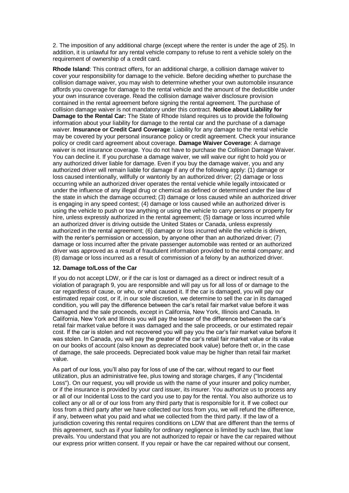2. The imposition of any additional charge (except where the renter is under the age of 25). In addition, it is unlawful for any rental vehicle company to refuse to rent a vehicle solely on the requirement of ownership of a credit card.

**Rhode Island**: This contract offers, for an additional charge, a collision damage waiver to cover your responsibility for damage to the vehicle. Before deciding whether to purchase the collision damage waiver, you may wish to determine whether your own automobile insurance affords you coverage for damage to the rental vehicle and the amount of the deductible under your own insurance coverage. Read the collision damage waiver disclosure provision contained in the rental agreement before signing the rental agreement. The purchase of collision damage waiver is not mandatory under this contract. **Notice about Liability for Damage to the Rental Car:** The State of Rhode Island requires us to provide the following information about your liability for damage to the rental car and the purchase of a damage waiver. **Insurance or Credit Card Coverage**: Liability for any damage to the rental vehicle may be covered by your personal insurance policy or credit agreement. Check your insurance policy or credit card agreement about coverage. **Damage Waiver Coverage**: A damage waiver is not insurance coverage. You do not have to purchase the Collision Damage Waiver. You can decline it. If you purchase a damage waiver, we will waive our right to hold you or any authorized driver liable for damage. Even if you buy the damage waiver, you and any authorized driver will remain liable for damage if any of the following apply: (1) damage or loss caused intentionally, willfully or wantonly by an authorized driver; (2) damage or loss occurring while an authorized driver operates the rental vehicle while legally intoxicated or under the influence of any illegal drug or chemical as defined or determined under the law of the state in which the damage occurred; (3) damage or loss caused while an authorized driver is engaging in any speed contest; (4) damage or loss caused while an authorized driver is using the vehicle to push or tow anything or using the vehicle to carry persons or property for hire, unless expressly authorized in the rental agreement; (5) damage or loss incurred while an authorized driver is driving outside the United States or Canada, unless expressly authorized in the rental agreement; (6) damage or loss incurred while the vehicle is driven, with the renter's permission or accession, by anyone other than an authorized driver; (7) damage or loss incurred after the private passenger automobile was rented or an authorized driver was approved as a result of fraudulent information provided to the rental company; and (8) damage or loss incurred as a result of commission of a felony by an authorized driver.

### **12. Damage to/Loss of the Car**

If you do not accept LDW, or if the car is lost or damaged as a direct or indirect result of a violation of paragraph 9, you are responsible and will pay us for all loss of or damage to the car regardless of cause, or who, or what caused it. If the car is damaged, you will pay our estimated repair cost, or if, in our sole discretion, we determine to sell the car in its damaged condition, you will pay the difference between the car's retail fair market value before it was damaged and the sale proceeds, except in California, New York, Illinois and Canada. In California, New York and Illinois you will pay the lesser of the difference between the car's retail fair market value before it was damaged and the sale proceeds, or our estimated repair cost. If the car is stolen and not recovered you will pay you the car's fair market value before it was stolen. In Canada, you will pay the greater of the car's retail fair market value or its value on our books of account (also known as depreciated book value) before theft or, in the case of damage, the sale proceeds. Depreciated book value may be higher than retail fair market value.

As part of our loss, you'll also pay for loss of use of the car, without regard to our fleet utilization, plus an administrative fee, plus towing and storage charges, if any ("Incidental Loss"). On our request, you will provide us with the name of your insurer and policy number, or if the insurance is provided by your card issuer, its insurer. You authorize us to process any or all of our Incidental Loss to the card you use to pay for the rental. You also authorize us to collect any or all or of our loss from any third party that is responsible for it. If we collect our loss from a third party after we have collected our loss from you, we will refund the difference, if any, between what you paid and what we collected from the third party. If the law of a jurisdiction covering this rental requires conditions on LDW that are different than the terms of this agreement, such as if your liability for ordinary negligence is limited by such law, that law prevails. You understand that you are not authorized to repair or have the car repaired without our express prior written consent. If you repair or have the car repaired without our consent,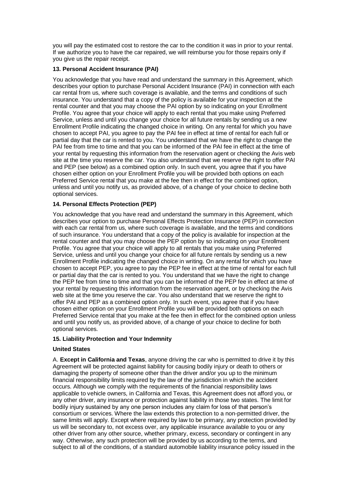you will pay the estimated cost to restore the car to the condition it was in prior to your rental. If we authorize you to have the car repaired, we will reimburse you for those repairs only if you give us the repair receipt.

## **13. Personal Accident Insurance (PAI)**

You acknowledge that you have read and understand the summary in this Agreement, which describes your option to purchase Personal Accident Insurance (PAI) in connection with each car rental from us, where such coverage is available, and the terms and conditions of such insurance. You understand that a copy of the policy is available for your inspection at the rental counter and that you may choose the PAI option by so indicating on your Enrollment Profile. You agree that your choice will apply to each rental that you make using Preferred Service, unless and until you change your choice for all future rentals by sending us a new Enrollment Profile indicating the changed choice in writing. On any rental for which you have chosen to accept PAI, you agree to pay the PAI fee in effect at time of rental for each full or partial day that the car is rented to you. You understand that we have the right to change the PAI fee from time to time and that you can be informed of the PAI fee in effect at the time of your rental by requesting this information from the reservation agent or checking the Avis web site at the time you reserve the car. You also understand that we reserve the right to offer PAI and PEP (see below) as a combined option only. In such event, you agree that if you have chosen either option on your Enrollment Profile you will be provided both options on each Preferred Service rental that you make at the fee then in effect for the combined option, unless and until you notify us, as provided above, of a change of your choice to decline both optional services.

# **14. Personal Effects Protection (PEP)**

You acknowledge that you have read and understand the summary in this Agreement, which describes your option to purchase Personal Effects Protection Insurance (PEP) in connection with each car rental from us, where such coverage is available, and the terms and conditions of such insurance. You understand that a copy of the policy is available for inspection at the rental counter and that you may choose the PEP option by so indicating on your Enrollment Profile. You agree that your choice will apply to all rentals that you make using Preferred Service, unless and until you change your choice for all future rentals by sending us a new Enrollment Profile indicating the changed choice in writing. On any rental for which you have chosen to accept PEP, you agree to pay the PEP fee in effect at the time of rental for each full or partial day that the car is rented to you. You understand that we have the right to change the PEP fee from time to time and that you can be informed of the PEP fee in effect at time of your rental by requesting this information from the reservation agent, or by checking the Avis web site at the time you reserve the car. You also understand that we reserve the right to offer PAI and PEP as a combined option only. In such event, you agree that if you have chosen either option on your Enrollment Profile you will be provided both options on each Preferred Service rental that you make at the fee then in effect for the combined option unless and until you notify us, as provided above, of a change of your choice to decline for both optional services.

## **15. Liability Protection and Your Indemnity**

## **United States**

A. **Except in California and Texas**, anyone driving the car who is permitted to drive it by this Agreement will be protected against liability for causing bodily injury or death to others or damaging the property of someone other than the driver and/or you up to the minimum financial responsibility limits required by the law of the jurisdiction in which the accident occurs. Although we comply with the requirements of the financial responsibility laws applicable to vehicle owners, in California and Texas, this Agreement does not afford you, or any other driver, any insurance or protection against liability in those two states. The limit for bodily injury sustained by any one person includes any claim for loss of that person's consortium or services. Where the law extends this protection to a non-permitted driver, the same limits will apply. Except where required by law to be primary, any protection provided by us will be secondary to, not excess over, any applicable insurance available to you or any other driver from any other source, whether primary, excess, secondary or contingent in any way. Otherwise, any such protection will be provided by us according to the terms, and subject to all of the conditions, of a standard automobile liability insurance policy issued in the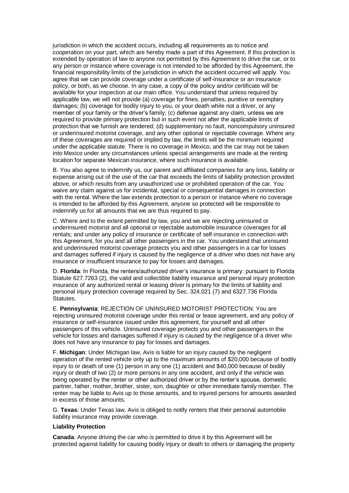jurisdiction in which the accident occurs, including all requirements as to notice and cooperation on your part, which are hereby made a part of this Agreement. If this protection is extended by operation of law to anyone not permitted by this Agreement to drive the car, or to any person or instance where coverage is not intended to be afforded by this Agreement, the financial responsibility limits of the jurisdiction in which the accident occurred will apply. You agree that we can provide coverage under a certificate of self-insurance or an insurance policy, or both, as we choose. In any case, a copy of the policy and/or certificate will be available for your inspection at our main office. You understand that unless required by applicable law, we will not provide (a) coverage for fines, penalties, punitive or exemplary damages; (b) coverage for bodily injury to you, or your death while not a driver, or any member of your family or the driver's family; (c) defense against any claim, unless we are required to provide primary protection but in such event not after the applicable limits of protection that we furnish are tendered; (d) supplementary no fault, noncompulsory uninsured or underinsured motorist coverage, and any other optional or rejectable coverage. Where any of these coverages are required or implied by law, the limits will be the minimum required under the applicable statute. There is no coverage in Mexico, and the car may not be taken into Mexico under any circumstances unless special arrangements are made at the renting location for separate Mexican insurance, where such insurance is available.

B. You also agree to indemnify us, our parent and affiliated companies for any loss, liability or expense arising out of the use of the car that exceeds the limits of liability protection provided above, or which results from any unauthorized use or prohibited operation of the car. You waive any claim against us for incidental, special or consequential damages in connection with the rental. Where the law extends protection to a person or instance where no coverage is intended to be afforded by this Agreement, anyone so protected will be responsible to indemnify us for all amounts that we are thus required to pay.

C. Where and to the extent permitted by law, you and we are rejecting uninsured or underinsured motorist and all optional or rejectable automobile insurance coverages for all rentals; and under any policy of insurance or certificate of self-insurance in connection with this Agreement, for you and all other passengers in the car. You understand that uninsured and underinsured motorist coverage protects you and other passengers in a car for losses and damages suffered if injury is caused by the negligence of a driver who does not have any insurance or insufficient insurance to pay for losses and damages.

D. **Florida**: In Florida, the renters/authorized driver's insurance is primary: pursuant to Florida Statute 627.7263 (2), the valid and collectible liability insurance and personal injury protection insurance of any authorized rental or leasing driver is primary for the limits of liability and personal injury protection coverage required by Sec. 324.021 (7) and 6327.736 Florida Statutes.

E. **Pennsylvania**: REJECTION OF UNINSURED MOTORIST PROTECTION: You are rejecting uninsured motorist coverage under this rental or lease agreement, and any policy of insurance or self-insurance issued under this agreement, for yourself and all other passengers of this vehicle. Uninsured coverage protects you and other passengers in the vehicle for losses and damages suffered if injury is caused by the negligence of a driver who does not have any insurance to pay for losses and damages.

F. **Michigan**: Under Michigan law, Avis is liable for an injury caused by the negligent operation of the rented vehicle only up to the maximum amounts of \$20,000 because of bodily injury to or death of one (1) person in any one (1) accident and \$40,000 because of bodily injury or death of two (2) or more persons in any one accident, and only if the vehicle was being operated by the renter or other authorized driver or by the renter's spouse, domestic partner, father, mother, brother, sister, son, daughter or other immediate family member. The renter may be liable to Avis up to those amounts, and to injured persons for amounts awarded in excess of those amounts.

G. **Texas**: Under Texas law, Avis is obliged to notify renters that their personal automobile liability insurance may provide coverage.

### **Liability Protection**

**Canada**: Anyone driving the car who is permitted to drive it by this Agreement will be protected against liability for causing bodily injury or death to others or damaging the property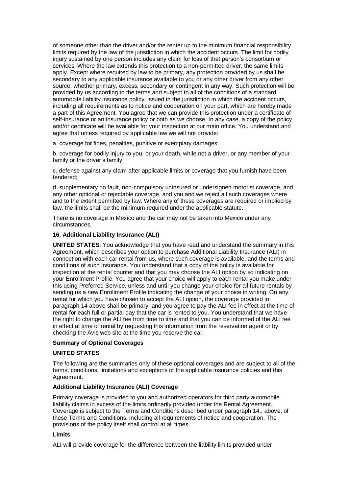of someone other than the driver and/or the renter up to the minimum financial responsibility limits required by the law of the jurisdiction in which the accident occurs. The limit for bodily injury sustained by one person includes any claim for loss of that person's consortium or services. Where the law extends this protection to a non-permitted driver, the same limits apply. Except where required by law to be primary, any protection provided by us shall be secondary to any applicable insurance available to you or any other driver from any other source, whether primary, excess, secondary or contingent in any way. Such protection will be provided by us according to the terms and subject to all of the conditions of a standard automobile liability insurance policy, issued in the jurisdiction in which the accident occurs, including all requirements as to notice and cooperation on your part, which are hereby made a part of this Agreement. You agree that we can provide this protection under a certificate of self-insurance or an insurance policy or both as we choose. In any case, a copy of the policy and/or certificate will be available for your inspection at our main office. You understand and agree that unless required by applicable law we will not provide:

a. coverage for fines, penalties, punitive or exemplary damages;

b. coverage for bodily injury to you, or your death, while not a driver, or any member of your family or the driver's family;

c. defense against any claim after applicable limits or coverage that you furnish have been tendered;

d. supplementary no fault, non-compulsory uninsured or undersigned motorist coverage, and any other optional or rejectable coverage, and you and we reject all such coverages where and to the extent permitted by law. Where any of these coverages are required or implied by law, the limits shall be the minimum required under the applicable statute.

There is no coverage in Mexico and the car may not be taken into Mexico under any circumstances.

### **16. Additional Liability Insurance (ALI)**

**UNITED STATES**: You acknowledge that you have read and understand the summary in this Agreement, which describes your option to purchase Additional Liability Insurance (ALI) in connection with each car rental from us, where such coverage is available, and the terms and conditions of such insurance. You understand that a copy of the policy is available for inspection at the rental counter and that you may choose the ALI option by so indicating on your Enrollment Profile. You agree that your choice will apply to each rental you make under this using Preferred Service, unless and until you change your choice for all future rentals by sending us a new Enrollment Profile indicating the change of your choice in writing. On any rental for which you have chosen to accept the ALI option, the coverage provided in paragraph 14 above shall be primary; and you agree to pay the ALI fee in effect at the time of rental for each full or partial day that the car is rented to you. You understand that we have the right to change the ALI fee from time to time and that you can be informed of the ALI fee in effect at time of rental by requesting this information from the reservation agent or by checking the Avis web site at the time you reserve the car.

### **Summary of Optional Coverages**

### **UNITED STATES**

The following are the summaries only of these optional coverages and are subject to all of the terms, conditions, limitations and exceptions of the applicable insurance policies and this Agreement.

### **Additional Liability Insurance (ALI) Coverage**

Primary coverage is provided to you and authorized operators for third party automobile liability claims in excess of the limits ordinarily provided under the Rental Agreement. Coverage is subject to the Terms and Conditions described under paragraph 14., above, of these Terms and Conditions, including all requirements of notice and cooperation. The provisions of the policy itself shall control at all times.

### **Limits**

ALI will provide coverage for the difference between the liability limits provided under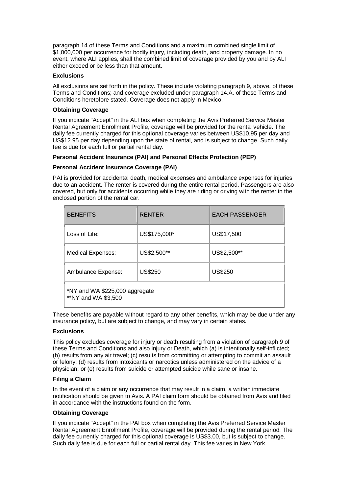paragraph 14 of these Terms and Conditions and a maximum combined single limit of \$1,000,000 per occurrence for bodily injury, including death, and property damage. In no event, where ALI applies, shall the combined limit of coverage provided by you and by ALI either exceed or be less than that amount.

## **Exclusions**

All exclusions are set forth in the policy. These include violating paragraph 9, above, of these Terms and Conditions; and coverage excluded under paragraph 14.A. of these Terms and Conditions heretofore stated. Coverage does not apply in Mexico.

## **Obtaining Coverage**

If you indicate "Accept" in the ALI box when completing the Avis Preferred Service Master Rental Agreement Enrollment Profile, coverage will be provided for the rental vehicle. The daily fee currently charged for this optional coverage varies between US\$10.95 per day and US\$12.95 per day depending upon the state of rental, and is subject to change. Such daily fee is due for each full or partial rental day.

### **Personal Accident Insurance (PAI) and Personal Effects Protection (PEP)**

### **Personal Accident Insurance Coverage (PAI)**

PAI is provided for accidental death, medical expenses and ambulance expenses for injuries due to an accident. The renter is covered during the entire rental period. Passengers are also covered, but only for accidents occurring while they are riding or driving with the renter in the enclosed portion of the rental car.

| <b>BENEFITS</b>                                       | <b>RENTER</b>  | <b>EACH PASSENGER</b>     |  |  |  |
|-------------------------------------------------------|----------------|---------------------------|--|--|--|
| Loss of Life:                                         | US\$175,000*   | US\$17,500<br>US\$2,500** |  |  |  |
| <b>Medical Expenses:</b>                              | US\$2,500**    |                           |  |  |  |
| Ambulance Expense:                                    | <b>US\$250</b> | <b>US\$250</b>            |  |  |  |
| *NY and WA \$225,000 aggregate<br>**NY and WA \$3,500 |                |                           |  |  |  |

These benefits are payable without regard to any other benefits, which may be due under any insurance policy, but are subject to change, and may vary in certain states.

# **Exclusions**

This policy excludes coverage for injury or death resulting from a violation of paragraph 9 of these Terms and Conditions and also injury or Death, which (a) is intentionally self-inflicted; (b) results from any air travel; (c) results from committing or attempting to commit an assault or felony; (d) results from intoxicants or narcotics unless administered on the advice of a physician; or (e) results from suicide or attempted suicide while sane or insane.

### **Filing a Claim**

In the event of a claim or any occurrence that may result in a claim, a written immediate notification should be given to Avis. A PAI claim form should be obtained from Avis and filed in accordance with the instructions found on the form.

## **Obtaining Coverage**

If you indicate "Accept" in the PAI box when completing the Avis Preferred Service Master Rental Agreement Enrollment Profile, coverage will be provided during the rental period. The daily fee currently charged for this optional coverage is US\$3.00, but is subject to change. Such daily fee is due for each full or partial rental day. This fee varies in New York.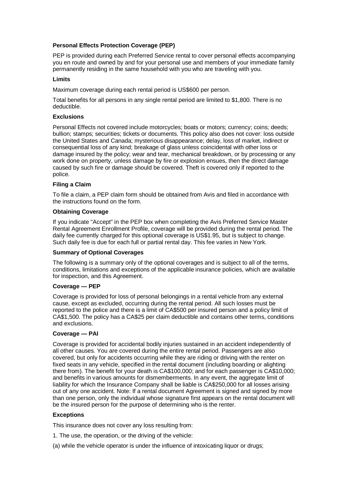## **Personal Effects Protection Coverage (PEP)**

PEP is provided during each Preferred Service rental to cover personal effects accompanying you en route and owned by and for your personal use and members of your immediate family permanently residing in the same household with you who are traveling with you.

## **Limits**

Maximum coverage during each rental period is US\$600 per person.

Total benefits for all persons in any single rental period are limited to \$1,800. There is no deductible.

### **Exclusions**

Personal Effects not covered include motorcycles; boats or motors; currency; coins; deeds; bullion; stamps; securities; tickets or documents. This policy also does not cover: loss outside the United States and Canada; mysterious disappearance; delay, loss of market, indirect or consequential loss of any kind; breakage of glass unless coincidental with other loss or damage insured by the policy; wear and tear, mechanical breakdown, or by processing or any work done on property, unless damage by fire or explosion ensues, then the direct damage caused by such fire or damage should be covered. Theft is covered only if reported to the police.

### **Filing a Claim**

To file a claim, a PEP claim form should be obtained from Avis and filed in accordance with the instructions found on the form.

### **Obtaining Coverage**

If you indicate "Accept" in the PEP box when completing the Avis Preferred Service Master Rental Agreement Enrollment Profile, coverage will be provided during the rental period. The daily fee currently charged for this optional coverage is US\$1.95, but is subject to change. Such daily fee is due for each full or partial rental day. This fee varies in New York.

### **Summary of Optional Coverages**

The following is a summary only of the optional coverages and is subject to all of the terms, conditions, limitations and exceptions of the applicable insurance policies, which are available for inspection, and this Agreement.

# **Coverage — PEP**

Coverage is provided for loss of personal belongings in a rental vehicle from any external cause, except as excluded, occurring during the rental period. All such losses must be reported to the police and there is a limit of CA\$500 per insured person and a policy limit of CA\$1,500. The policy has a CA\$25 per claim deductible and contains other terms, conditions and exclusions.

### **Coverage — PAI**

Coverage is provided for accidental bodily injuries sustained in an accident independently of all other causes. You are covered during the entire rental period. Passengers are also covered, but only for accidents occurring while they are riding or driving with the renter on fixed seats in any vehicle, specified in the rental document (including boarding or alighting there from). The benefit for your death is CA\$100,000; and for each passenger is CA\$10,000; and benefits in various amounts for dismemberments. In any event, the aggregate limit of liability for which the Insurance Company shall be liable is CA\$250,000 for all losses arising out of any one accident. Note: If a rental document Agreement is signed and signed by more than one person, only the individual whose signature first appears on the rental document will be the insured person for the purpose of determining who is the renter.

## **Exceptions**

This insurance does not cover any loss resulting from:

1. The use, the operation, or the driving of the vehicle:

(a) while the vehicle operator is under the influence of intoxicating liquor or drugs;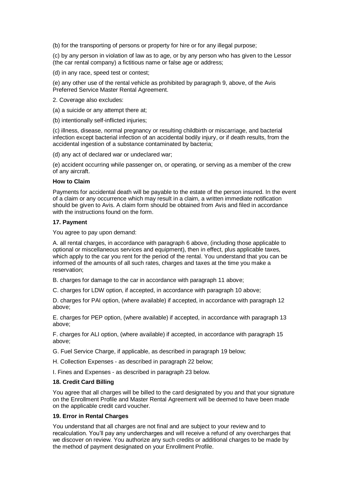(b) for the transporting of persons or property for hire or for any illegal purpose;

(c) by any person in violation of law as to age, or by any person who has given to the Lessor (the car rental company) a fictitious name or false age or address;

(d) in any race, speed test or contest;

(e) any other use of the rental vehicle as prohibited by paragraph 9, above, of the Avis Preferred Service Master Rental Agreement.

2. Coverage also excludes:

(a) a suicide or any attempt there at;

(b) intentionally self-inflicted injuries;

(c) illness, disease, normal pregnancy or resulting childbirth or miscarriage, and bacterial infection except bacterial infection of an accidental bodily injury, or if death results, from the accidental ingestion of a substance contaminated by bacteria;

(d) any act of declared war or undeclared war;

(e) accident occurring while passenger on, or operating, or serving as a member of the crew of any aircraft.

#### **How to Claim**

Payments for accidental death will be payable to the estate of the person insured. In the event of a claim or any occurrence which may result in a claim, a written immediate notification should be given to Avis. A claim form should be obtained from Avis and filed in accordance with the instructions found on the form.

### **17. Payment**

You agree to pay upon demand:

A. all rental charges, in accordance with paragraph 6 above, (including those applicable to optional or miscellaneous services and equipment), then in effect, plus applicable taxes, which apply to the car you rent for the period of the rental. You understand that you can be informed of the amounts of all such rates, charges and taxes at the time you make a reservation;

B. charges for damage to the car in accordance with paragraph 11 above;

C. charges for LDW option, if accepted, in accordance with paragraph 10 above;

D. charges for PAI option, (where available) if accepted, in accordance with paragraph 12 above;

E. charges for PEP option, (where available) if accepted, in accordance with paragraph 13 above;

F. charges for ALI option, (where available) if accepted, in accordance with paragraph 15 above;

G. Fuel Service Charge, if applicable, as described in paragraph 19 below;

H. Collection Expenses - as described in paragraph 22 below;

I. Fines and Expenses - as described in paragraph 23 below.

## **18. Credit Card Billing**

You agree that all charges will be billed to the card designated by you and that your signature on the Enrollment Profile and Master Rental Agreement will be deemed to have been made on the applicable credit card voucher.

### **19. Error in Rental Charges**

You understand that all charges are not final and are subject to your review and to recalculation. You'll pay any undercharges and will receive a refund of any overcharges that we discover on review. You authorize any such credits or additional charges to be made by the method of payment designated on your Enrollment Profile.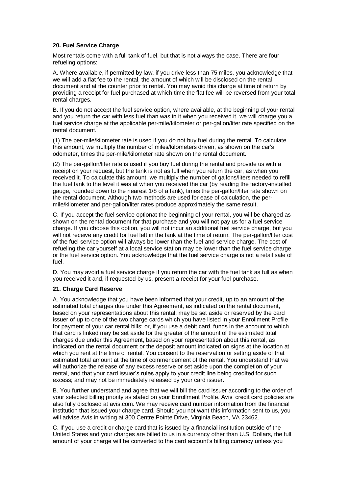## **20. Fuel Service Charge**

Most rentals come with a full tank of fuel, but that is not always the case. There are four refueling options:

A. Where available, if permitted by law, if you drive less than 75 miles, you acknowledge that we will add a flat fee to the rental, the amount of which will be disclosed on the rental document and at the counter prior to rental. You may avoid this charge at time of return by providing a receipt for fuel purchased at which time the flat fee will be reversed from your total rental charges.

B. If you do not accept the fuel service option, where available, at the beginning of your rental and you return the car with less fuel than was in it when you received it, we will charge you a fuel service charge at the applicable per-mile/kilometer or per-gallon/liter rate specified on the rental document.

(1) The per-mile/kilometer rate is used if you do not buy fuel during the rental. To calculate this amount, we multiply the number of miles/kilometers driven, as shown on the car's odometer, times the per-mile/kilometer rate shown on the rental document.

(2) The per-gallon/liter rate is used if you buy fuel during the rental and provide us with a receipt on your request, but the tank is not as full when you return the car, as when you received it. To calculate this amount, we multiply the number of gallons/liters needed to refill the fuel tank to the level it was at when you received the car (by reading the factory-installed gauge, rounded down to the nearest 1/8 of a tank), times the per-gallon/liter rate shown on the rental document. Although two methods are used for ease of calculation, the permile/kilometer and per-gallon/liter rates produce approximately the same result.

C. If you accept the fuel service optionat the beginning of your rental, you will be charged as shown on the rental document for that purchase and you will not pay us for a fuel service charge. If you choose this option, you will not incur an additional fuel service charge, but you will not receive any credit for fuel left in the tank at the time of return. The per-gallon/liter cost of the fuel service option will always be lower than the fuel and service charge. The cost of refueling the car yourself at a local service station may be lower than the fuel service charge or the fuel service option. You acknowledge that the fuel service charge is not a retail sale of fuel.

D. You may avoid a fuel service charge if you return the car with the fuel tank as full as when you received it and, if requested by us, present a receipt for your fuel purchase.

## **21. Charge Card Reserve**

A. You acknowledge that you have been informed that your credit, up to an amount of the estimated total charges due under this Agreement, as indicated on the rental document, based on your representations about this rental, may be set aside or reserved by the card issuer of up to one of the two charge cards which you have listed in your Enrollment Profile for payment of your car rental bills; or, if you use a debit card, funds in the account to which that card is linked may be set aside for the greater of the amount of the estimated total charges due under this Agreement, based on your representation about this rental, as indicated on the rental document or the deposit amount indicated on signs at the location at which you rent at the time of rental. You consent to the reservation or setting aside of that estimated total amount at the time of commencement of the rental. You understand that we will authorize the release of any excess reserve or set aside upon the completion of your rental, and that your card issuer's rules apply to your credit line being credited for such excess; and may not be immediately released by your card issuer.

B. You further understand and agree that we will bill the card issuer according to the order of your selected billing priority as stated on your Enrollment Profile. Avis' credit card policies are also fully disclosed at avis.com. We may receive card number information from the financial institution that issued your charge card. Should you not want this information sent to us, you will advise Avis in writing at 300 Centre Pointe Drive, Virginia Beach, VA 23462.

C. If you use a credit or charge card that is issued by a financial institution outside of the United States and your charges are billed to us in a currency other than U.S. Dollars, the full amount of your charge will be converted to the card account's billing currency unless you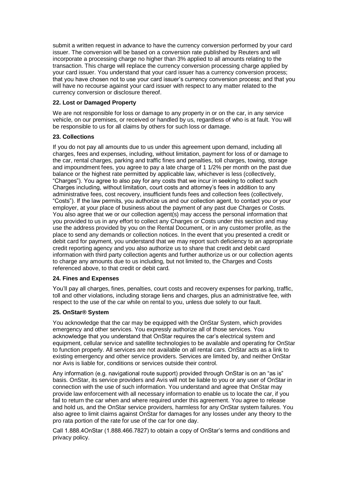submit a written request in advance to have the currency conversion performed by your card issuer. The conversion will be based on a conversion rate published by Reuters and will incorporate a processing charge no higher than 3% applied to all amounts relating to the transaction. This charge will replace the currency conversion processing charge applied by your card issuer. You understand that your card issuer has a currency conversion process; that you have chosen not to use your card issuer's currency conversion process; and that you will have no recourse against your card issuer with respect to any matter related to the currency conversion or disclosure thereof.

## **22. Lost or Damaged Property**

We are not responsible for loss or damage to any property in or on the car, in any service vehicle, on our premises, or received or handled by us, regardless of who is at fault. You will be responsible to us for all claims by others for such loss or damage.

### **23. Collections**

If you do not pay all amounts due to us under this agreement upon demand, including all charges, fees and expenses, including, without limitation, payment for loss of or damage to the car, rental charges, parking and traffic fines and penalties, toll charges, towing, storage and impoundment fees, you agree to pay a late charge of 1 1/2% per month on the past due balance or the highest rate permitted by applicable law, whichever is less (collectively, "Charges"). You agree to also pay for any costs that we incur in seeking to collect such Charges including, without limitation, court costs and attorney's fees in addition to any administrative fees, cost recovery, insufficient funds fees and collection fees (collectively, "Costs"). If the law permits, you authorize us and our collection agent, to contact you or your employer, at your place of business about the payment of any past due Charges or Costs. You also agree that we or our collection agent(s) may access the personal information that you provided to us in any effort to collect any Charges or Costs under this section and may use the address provided by you on the Rental Document, or in any customer profile, as the place to send any demands or collection notices. In the event that you presented a credit or debit card for payment, you understand that we may report such deficiency to an appropriate credit reporting agency and you also authorize us to share that credit and debit card information with third party collection agents and further authorize us or our collection agents to charge any amounts due to us including, but not limited to, the Charges and Costs referenced above, to that credit or debit card.

## **24. Fines and Expenses**

You'll pay all charges, fines, penalties, court costs and recovery expenses for parking, traffic, toll and other violations, including storage liens and charges, plus an administrative fee, with respect to the use of the car while on rental to you, unless due solely to our fault.

### **25. OnStar® System**

You acknowledge that the car may be equipped with the OnStar System, which provides emergency and other services. You expressly authorize all of those services. You acknowledge that you understand that OnStar requires the car's electrical system and equipment, cellular service and satellite technologies to be available and operating for OnStar to function properly. All services are not available on all rental cars. OnStar acts as a link to existing emergency and other service providers. Services are limited by, and neither OnStar nor Avis is liable for, conditions or services outside their control.

Any information (e.g. navigational route support) provided through OnStar is on an "as is" basis. OnStar, its service providers and Avis will not be liable to you or any user of OnStar in connection with the use of such information. You understand and agree that OnStar may provide law enforcement with all necessary information to enable us to locate the car, if you fail to return the car when and where required under this agreement. You agree to release and hold us, and the OnStar service providers, harmless for any OnStar system failures. You also agree to limit claims against OnStar for damages for any losses under any theory to the pro rata portion of the rate for use of the car for one day.

Call 1.888.4OnStar (1.888.466.7827) to obtain a copy of OnStar's terms and conditions and privacy policy.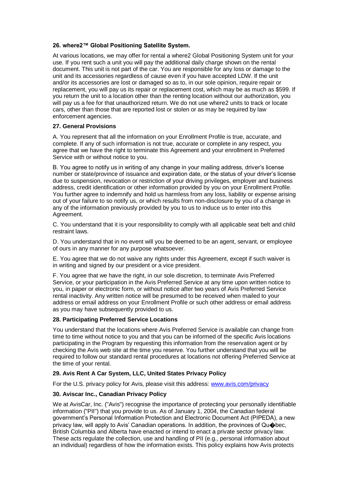## **26. where2™ Global Positioning Satellite System.**

At various locations, we may offer for rental a where2 Global Positioning System unit for your use. If you rent such a unit you will pay the additional daily charge shown on the rental document. This unit is not part of the car. You are responsible for any loss or damage to the unit and its accessories regardless of cause even if you have accepted LDW. If the unit and/or its accessories are lost or damaged so as to, in our sole opinion, require repair or replacement, you will pay us its repair or replacement cost, which may be as much as \$599. If you return the unit to a location other than the renting location without our authorization, you will pay us a fee for that unauthorized return. We do not use where2 units to track or locate cars, other than those that are reported lost or stolen or as may be required by law enforcement agencies.

### **27. General Provisions**

A. You represent that all the information on your Enrollment Profile is true, accurate, and complete. If any of such information is not true, accurate or complete in any respect, you agree that we have the right to terminate this Agreement and your enrollment in Preferred Service with or without notice to you.

B. You agree to notify us in writing of any change in your mailing address, driver's license number or state/province of issuance and expiration date, or the status of your driver's license due to suspension, revocation or restriction of your driving privileges, employer and business address, credit identification or other information provided by you on your Enrollment Profile. You further agree to indemnify and hold us harmless from any loss, liability or expense arising out of your failure to so notify us, or which results from non-disclosure by you of a change in any of the information previously provided by you to us to induce us to enter into this Agreement.

C. You understand that it is your responsibility to comply with all applicable seat belt and child restraint laws.

D. You understand that in no event will you be deemed to be an agent, servant, or employee of ours in any manner for any purpose whatsoever.

E. You agree that we do not waive any rights under this Agreement, except if such waiver is in writing and signed by our president or a vice president.

F. You agree that we have the right, in our sole discretion, to terminate Avis Preferred Service, or your participation in the Avis Preferred Service at any time upon written notice to you, in paper or electronic form, or without notice after two years of Avis Preferred Service rental inactivity. Any written notice will be presumed to be received when mailed to your address or email address on your Enrollment Profile or such other address or email address as you may have subsequently provided to us.

## **28. Participating Preferred Service Locations**

You understand that the locations where Avis Preferred Service is available can change from time to time without notice to you and that you can be informed of the specific Avis locations participating in the Program by requesting this information from the reservation agent or by checking the Avis web site at the time you reserve. You further understand that you will be required to follow our standard rental procedures at locations not offering Preferred Service at the time of your rental.

## **29. Avis Rent A Car System, LLC, United States Privacy Policy**

For the U.S. privacy policy for Avis, please visit this address: [www.avis.com/privacy](https://www.avis.com/car-rental/html/global/en/terms/privacy_policy.html)

## **30. Aviscar Inc., Canadian Privacy Policy**

We at AvisCar, Inc. ("Avis") recognise the importance of protecting your personally identifiable information ("PII") that you provide to us. As of January 1, 2004, the Canadian federal government's Personal Information Protection and Electronic Document Act (PIPEDA), a new privacy law, will apply to Avis' Canadian operations. In addition, the provinces of Qu�bec, British Columbia and Alberta have enacted or intend to enact a private sector privacy law. These acts regulate the collection, use and handling of PII (e.g., personal information about an individual) regardless of how the information exists. This policy explains how Avis protects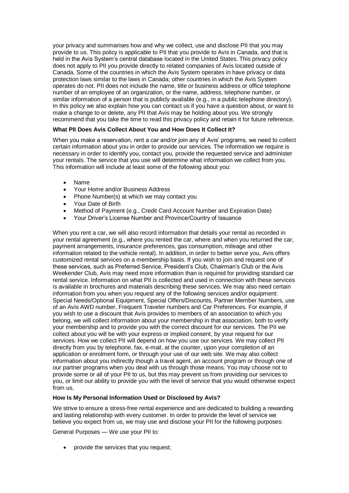your privacy and summarises how and why we collect, use and disclose PII that you may provide to us. This policy is applicable to PII that you provide to Avis in Canada, and that is held in the Avis System's central database located in the United States. This privacy policy does not apply to PII you provide directly to related companies of Avis located outside of Canada. Some of the countries in which the Avis System operates in have privacy or data protection laws similar to the laws in Canada; other countries in which the Avis System operates do not. PII does not include the name, title or business address or office telephone number of an employee of an organization, or the name, address, telephone number, or similar information of a person that is publicly available (e.g., in a public telephone directory). In this policy we also explain how you can contact us if you have a question about, or want to make a change to or delete, any PII that Avis may be holding about you. We strongly recommend that you take the time to read this privacy policy and retain it for future reference.

## **What PII Does Avis Collect About You and How Does It Collect It?**

When you make a reservation, rent a car and/or join any of Avis' programs, we need to collect certain information about you in order to provide our services. The information we require is necessary in order to identify you, contact you, provide the requested service and administer your rentals. The service that you use will determine what information we collect from you. This information will include at least some of the following about you:

- Name
- Your Home and/or Business Address
- Phone Number(s) at which we may contact you
- Your Date of Birth
- Method of Payment (e.g., Credit Card Account Number and Expiration Date)
- Your Driver's License Number and Province/Country of Issuance

When you rent a car, we will also record information that details your rental as recorded in your rental agreement (e.g., where you rented the car, where and when you returned the car, payment arrangements, insurance preferences, gas consumption, mileage and other information related to the vehicle rental). In addition, in order to better serve you, Avis offers customized rental services on a membership basis. If you wish to join and request one of these services, such as Preferred Service, President's Club, Chairman's Club or the Avis Weekender Club, Avis may need more information than is required for providing standard car rental service. Information on what PII is collected and used in connection with these services is available in brochures and materials describing these services. We may also need certain information from you when you request any of the following services and/or equipment: Special Needs/Optional Equipment, Special Offers/Discounts, Partner Member Numbers, use of an Avis AWD number, Frequent Traveler numbers and Car Preferences. For example, if you wish to use a discount that Avis provides to members of an association to which you belong, we will collect information about your membership in that association, both to verify your membership and to provide you with the correct discount for our services. The PII we collect about you will be with your express or implied consent, by your request for our services. How we collect PII will depend on how you use our services. We may collect PII directly from you by telephone, fax, e-mail, at the counter, upon your completion of an application or enrolment form, or through your use of our web site. We may also collect information about you indirectly though a travel agent, an account program or through one of our partner programs when you deal with us through those means. You may choose not to provide some or all of your PII to us, but this may prevent us from providing our services to you, or limit our ability to provide you with the level of service that you would otherwise expect from us.

## **How Is My Personal Information Used or Disclosed by Avis?**

We strive to ensure a stress-free rental experience and are dedicated to building a rewarding and lasting relationship with every customer. In order to provide the level of service we believe you expect from us, we may use and disclose your PII for the following purposes:

General Purposes — We use your PII to:

provide the services that you request;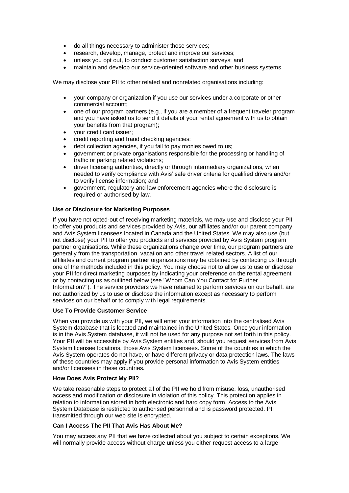- do all things necessary to administer those services;
- research, develop, manage, protect and improve our services;
- unless you opt out, to conduct customer satisfaction surveys; and
- maintain and develop our service-oriented software and other business systems.

We may disclose your PII to other related and nonrelated organisations including:

- your company or organization if you use our services under a corporate or other commercial account;
- one of our program partners (e.g., if you are a member of a frequent traveler program and you have asked us to send it details of your rental agreement with us to obtain your benefits from that program);
- your credit card issuer;
- credit reporting and fraud checking agencies;
- debt collection agencies, if you fail to pay monies owed to us;
- government or private organisations responsible for the processing or handling of traffic or parking related violations;
- driver licensing authorities, directly or through intermediary organizations, when needed to verify compliance with Avis' safe driver criteria for qualified drivers and/or to verify license information; and
- government, regulatory and law enforcement agencies where the disclosure is required or authorised by law.

### **Use or Disclosure for Marketing Purposes**

If you have not opted-out of receiving marketing materials, we may use and disclose your PII to offer you products and services provided by Avis, our affiliates and/or our parent company and Avis System licensees located in Canada and the United States. We may also use (but not disclose) your PII to offer you products and services provided by Avis System program partner organisations. While these organizations change over time, our program partners are generally from the transportation, vacation and other travel related sectors. A list of our affiliates and current program partner organizations may be obtained by contacting us through one of the methods included in this policy. You may choose not to allow us to use or disclose your PII for direct marketing purposes by indicating your preference on the rental agreement or by contacting us as outlined below (see "Whom Can You Contact for Further Information?"). The service providers we have retained to perform services on our behalf, are not authorized by us to use or disclose the information except as necessary to perform services on our behalf or to comply with legal requirements.

### **Use To Provide Customer Service**

When you provide us with your PII, we will enter your information into the centralised Avis System database that is located and maintained in the United States. Once your information is in the Avis System database, it will not be used for any purpose not set forth in this policy. Your PII will be accessible by Avis System entities and, should you request services from Avis System licensee locations, those Avis System licensees. Some of the countries in which the Avis System operates do not have, or have different privacy or data protection laws. The laws of these countries may apply if you provide personal information to Avis System entities and/or licensees in these countries.

### **How Does Avis Protect My PII?**

We take reasonable steps to protect all of the PII we hold from misuse, loss, unauthorised access and modification or disclosure in violation of this policy. This protection applies in relation to information stored in both electronic and hard copy form. Access to the Avis System Database is restricted to authorised personnel and is password protected. PII transmitted through our web site is encrypted.

### **Can I Access The PII That Avis Has About Me?**

You may access any PII that we have collected about you subject to certain exceptions. We will normally provide access without charge unless you either request access to a large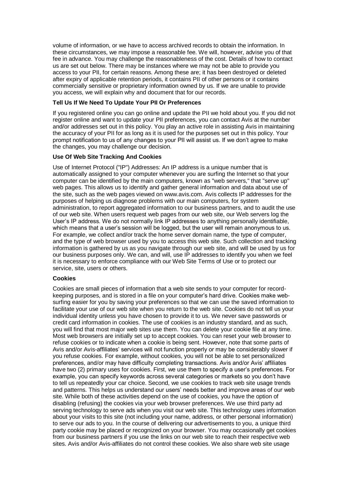volume of information, or we have to access archived records to obtain the information. In these circumstances, we may impose a reasonable fee. We will, however, advise you of that fee in advance. You may challenge the reasonableness of the cost. Details of how to contact us are set out below. There may be instances where we may not be able to provide you access to your PII, for certain reasons. Among these are; it has been destroyed or deleted after expiry of applicable retention periods, it contains PII of other persons or it contains commercially sensitive or proprietary information owned by us. If we are unable to provide you access, we will explain why and document that for our records.

## **Tell Us If We Need To Update Your PII Or Preferences**

If you registered online you can go online and update the PII we hold about you. If you did not register online and want to update your PII preferences, you can contact Avis at the number and/or addresses set out in this policy. You play an active role in assisting Avis in maintaining the accuracy of your PII for as long as it is used for the purposes set out in this policy. Your prompt notification to us of any changes to your PII will assist us. If we don't agree to make the changes, you may challenge our decision.

### **Use Of Web Site Tracking And Cookies**

Use of Internet Protocol ("IP") Addresses: An IP address is a unique number that is automatically assigned to your computer whenever you are surfing the Internet so that your computer can be identified by the main computers, known as "web servers," that "serve up" web pages. This allows us to identify and gather general information and data about use of the site, such as the web pages viewed on www.avis.com. Avis collects IP addresses for the purposes of helping us diagnose problems with our main computers, for system administration, to report aggregated information to our business partners, and to audit the use of our web site. When users request web pages from our web site, our Web servers log the User's IP address. We do not normally link IP addresses to anything personally identifiable, which means that a user's session will be logged, but the user will remain anonymous to us. For example, we collect and/or track the home server domain name, the type of computer, and the type of web browser used by you to access this web site. Such collection and tracking information is gathered by us as you navigate through our web site, and will be used by us for our business purposes only. We can, and will, use IP addresses to identify you when we feel it is necessary to enforce compliance with our Web Site Terms of Use or to protect our service, site, users or others.

### **Cookies**

Cookies are small pieces of information that a web site sends to your computer for recordkeeping purposes, and is stored in a file on your computer's hard drive. Cookies make websurfing easier for you by saving your preferences so that we can use the saved information to facilitate your use of our web site when you return to the web site. Cookies do not tell us your individual identity unless you have chosen to provide it to us. We never save passwords or credit card information in cookies. The use of cookies is an industry standard, and as such, you will find that most major web sites use them. You can delete your cookie file at any time. Most web browsers are initially set up to accept cookies. You can reset your web browser to refuse cookies or to indicate when a cookie is being sent. However, note that some parts of Avis and/or Avis-affiliates' services will not function properly or may be considerably slower if you refuse cookies. For example, without cookies, you will not be able to set personalized preferences, and/or may have difficulty completing transactions. Avis and/or Avis' affiliates have two (2) primary uses for cookies. First, we use them to specify a user's preferences. For example, you can specify keywords across several categories or markets so you don't have to tell us repeatedly your car choice. Second, we use cookies to track web site usage trends and patterns. This helps us understand our users' needs better and improve areas of our web site. While both of these activities depend on the use of cookies, you have the option of disabling (refusing) the cookies via your web browser preferences. We use third party ad serving technology to serve ads when you visit our web site. This technology uses information about your visits to this site (not including your name, address, or other personal information) to serve our ads to you. In the course of delivering our advertisements to you, a unique third party cookie may be placed or recognized on your browser. You may occasionally get cookies from our business partners if you use the links on our web site to reach their respective web sites. Avis and/or Avis-affiliates do not control these cookies. We also share web site usage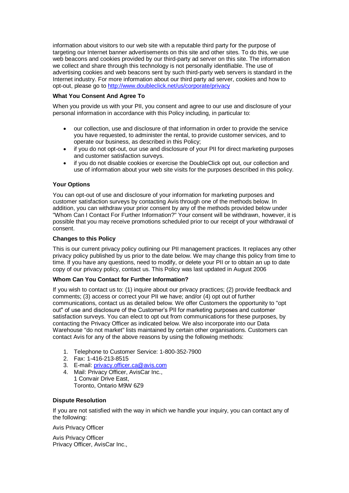information about visitors to our web site with a reputable third party for the purpose of targeting our Internet banner advertisements on this site and other sites. To do this, we use web beacons and cookies provided by our third-party ad server on this site. The information we collect and share through this technology is not personally identifiable. The use of advertising cookies and web beacons sent by such third-party web servers is standard in the Internet industry. For more information about our third party ad server, cookies and how to opt-out, please go to<http://www.doubleclick.net/us/corporate/privacy>

## **What You Consent And Agree To**

When you provide us with your PII, you consent and agree to our use and disclosure of your personal information in accordance with this Policy including, in particular to:

- our collection, use and disclosure of that information in order to provide the service you have requested, to administer the rental, to provide customer services, and to operate our business, as described in this Policy;
- if you do not opt-out, our use and disclosure of your PII for direct marketing purposes and customer satisfaction surveys.
- if you do not disable cookies or exercise the DoubleClick opt out, our collection and use of information about your web site visits for the purposes described in this policy.

## **Your Options**

You can opt-out of use and disclosure of your information for marketing purposes and customer satisfaction surveys by contacting Avis through one of the methods below. In addition, you can withdraw your prior consent by any of the methods provided below under "Whom Can I Contact For Further Information?" Your consent will be withdrawn, however, it is possible that you may receive promotions scheduled prior to our receipt of your withdrawal of consent.

### **Changes to this Policy**

This is our current privacy policy outlining our PII management practices. It replaces any other privacy policy published by us prior to the date below. We may change this policy from time to time. If you have any questions, need to modify, or delete your PII or to obtain an up to date copy of our privacy policy, contact us. This Policy was last updated in August 2006

## **Whom Can You Contact for Further Information?**

If you wish to contact us to: (1) inquire about our privacy practices; (2) provide feedback and comments; (3) access or correct your PII we have; and/or (4) opt out of further communications, contact us as detailed below. We offer Customers the opportunity to "opt out" of use and disclosure of the Customer's PII for marketing purposes and customer satisfaction surveys. You can elect to opt out from communications for these purposes, by contacting the Privacy Officer as indicated below. We also incorporate into our Data Warehouse "do not market" lists maintained by certain other organisations. Customers can contact Avis for any of the above reasons by using the following methods:

- 1. Telephone to Customer Service: 1-800-352-7900
- 2. Fax: 1-416-213-8515
- 3. E-mail: [privacy.officer.ca@avis.com](mailto:privacy.officer.ca@avis.com)
- 4. Mail: Privacy Officer, AvisCar Inc., 1 Convair Drive East, Toronto, Ontario M9W 6Z9

### **Dispute Resolution**

If you are not satisfied with the way in which we handle your inquiry, you can contact any of the following:

Avis Privacy Officer

Avis Privacy Officer Privacy Officer, AvisCar Inc.,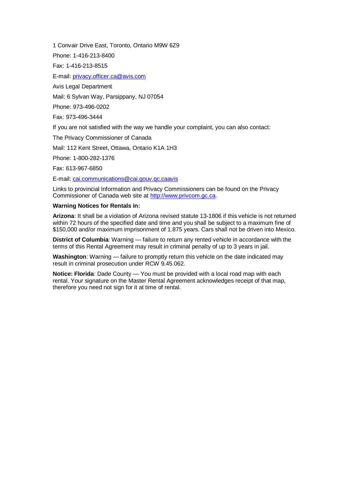1 Convair Drive East, Toronto, Ontario M9W 6Z9 Phone: 1-416-213-8400 Fax: 1-416-213-8515 E-mail: [privacy.officer.ca@avis.com](mailto:privacy.officer.ca@avis.com) Avis Legal Department Mail: 6 Sylvan Way, Parsippany, NJ 07054 Phone: 973-496-0202 Fax: 973-496-3444 If you are not satisfied with the way we handle your complaint, you can also contact: The Privacy Commissioner of Canada Mail: 112 Kent Street, Ottawa, Ontario K1A 1H3 Phone: 1-800-282-1376

Fax: 613-967-6850

E-mail: [cai.communications@cai.gouv.qc.caavis](mailto:cai.communications@cai.gouv.qc.caavis)

Links to provincial Information and Privacy Commissioners can be found on the Privacy Commissioner of Canada web site at [http://www.privcom.gc.ca.](http://www.privcom.gc.ca/)

#### **Warning Notices for Rentals in:**

**Arizona**: It shall be a violation of Arizona revised statute 13-1806 if this vehicle is not returned within 72 hours of the specified date and time and you shall be subject to a maximum fine of \$150,000 and/or maximum imprisonment of 1.875 years. Cars shall not be driven into Mexico.

**District of Columbia**: Warning — failure to return any rented vehicle in accordance with the terms of this Rental Agreement may result in criminal penalty of up to 3 years in jail.

**Washington**: Warning — failure to promptly return this vehicle on the date indicated may result in criminal prosecution under RCW 9.45.062.

**Notice: Florida**: Dade County — You must be provided with a local road map with each rental. Your signature on the Master Rental Agreement acknowledges receipt of that map, therefore you need not sign for it at time of rental.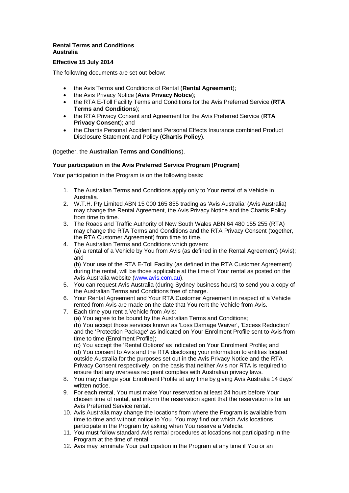## **Rental Terms and Conditions Australia**

# **Effective 15 July 2014**

The following documents are set out below:

- the Avis Terms and Conditions of Rental (**Rental Agreement**);
- the Avis Privacy Notice (**Avis Privacy Notice**);
- the RTA E-Toll Facility Terms and Conditions for the Avis Preferred Service (**RTA Terms and Conditions**);
- the RTA Privacy Consent and Agreement for the Avis Preferred Service (**RTA Privacy Consent**); and
- the Chartis Personal Accident and Personal Effects Insurance combined Product Disclosure Statement and Policy (**Chartis Policy**).

## (together, the **Australian Terms and Conditions**).

# **Your participation in the Avis Preferred Service Program (Program)**

Your participation in the Program is on the following basis:

- 1. The Australian Terms and Conditions apply only to Your rental of a Vehicle in Australia.
- 2. W.T.H. Pty Limited ABN 15 000 165 855 trading as 'Avis Australia' (Avis Australia) may change the Rental Agreement, the Avis Privacy Notice and the Chartis Policy from time to time.
- 3. The Roads and Traffic Authority of New South Wales ABN 64 480 155 255 (RTA) may change the RTA Terms and Conditions and the RTA Privacy Consent (together, the RTA Customer Agreement) from time to time.
- 4. The Australian Terms and Conditions which govern: (a) a rental of a Vehicle by You from Avis (as defined in the Rental Agreement) (Avis); and

(b) Your use of the RTA E-Toll Facility (as defined in the RTA Customer Agreement) during the rental, will be those applicable at the time of Your rental as posted on the Avis Australia website [\(www.avis.com.au\)](http://www.avis.com.au/).

- 5. You can request Avis Australia (during Sydney business hours) to send you a copy of the Australian Terms and Conditions free of charge.
- 6. Your Rental Agreement and Your RTA Customer Agreement in respect of a Vehicle rented from Avis are made on the date that You rent the Vehicle from Avis.
- 7. Each time you rent a Vehicle from Avis:

(a) You agree to be bound by the Australian Terms and Conditions; (b) You accept those services known as 'Loss Damage Waiver', 'Excess Reduction' and the 'Protection Package' as indicated on Your Enrolment Profile sent to Avis from time to time (Enrolment Profile);

(c) You accept the 'Rental Options' as indicated on Your Enrolment Profile; and (d) You consent to Avis and the RTA disclosing your information to entities located outside Australia for the purposes set out in the Avis Privacy Notice and the RTA Privacy Consent respectively, on the basis that neither Avis nor RTA is required to ensure that any overseas recipient complies with Australian privacy laws.

- 8. You may change your Enrolment Profile at any time by giving Avis Australia 14 days' written notice.
- 9. For each rental, You must make Your reservation at least 24 hours before Your chosen time of rental, and inform the reservation agent that the reservation is for an Avis Preferred Service rental.
- 10. Avis Australia may change the locations from where the Program is available from time to time and without notice to You. You may find out which Avis locations participate in the Program by asking when You reserve a Vehicle.
- 11. You must follow standard Avis rental procedures at locations not participating in the Program at the time of rental.
- 12. Avis may terminate Your participation in the Program at any time if You or an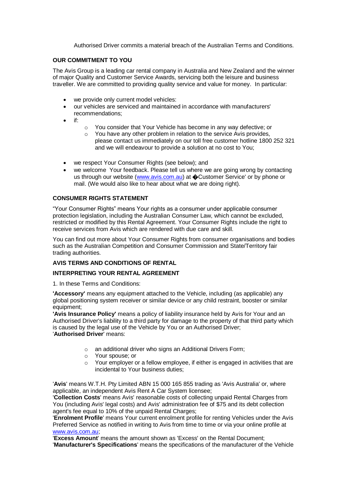Authorised Driver commits a material breach of the Australian Terms and Conditions.

## **OUR COMMITMENT TO YOU**

The Avis Group is a leading car rental company in Australia and New Zealand and the winner of major Quality and Customer Service Awards, servicing both the leisure and business traveller. We are committed to providing quality service and value for money. In particular:

- we provide only current model vehicles:
- our vehicles are serviced and maintained in accordance with manufacturers' recommendations;
- if:
- o You consider that Your Vehicle has become in any way defective; or
- o You have any other problem in relation to the service Avis provides, please contact us immediately on our toll free customer hotline 1800 252 321 and we will endeavour to provide a solution at no cost to You;
- we respect Your Consumer Rights (see below): and
- we welcome Your feedback. Please tell us where we are going wrong by contacting us through our website [\(www.avis.com.au\)](http://www.avis.com.au/) at  $\bigcirc$ Customer Service' or by phone or mail. (We would also like to hear about what we are doing right).

## **CONSUMER RIGHTS STATEMENT**

"Your Consumer Rights" means Your rights as a consumer under applicable consumer protection legislation, including the Australian Consumer Law, which cannot be excluded, restricted or modified by this Rental Agreement. Your Consumer Rights include the right to receive services from Avis which are rendered with due care and skill.

You can find out more about Your Consumer Rights from consumer organisations and bodies such as the Australian Competition and Consumer Commission and State/Territory fair trading authorities.

## **AVIS TERMS AND CONDITIONS OF RENTAL**

## **INTERPRETING YOUR RENTAL AGREEMENT**

1. In these Terms and Conditions:

**'Accessory'** means any equipment attached to the Vehicle, including (as applicable) any global positioning system receiver or similar device or any child restraint, booster or similar equipment;

**'Avis Insurance Policy'** means a policy of liability insurance held by Avis for Your and an Authorised Driver's liability to a third party for damage to the property of that third party which is caused by the legal use of the Vehicle by You or an Authorised Driver; '**Authorised Driver**' means:

- o an additional driver who signs an Additional Drivers Form;
- o Your spouse; or
- o Your employer or a fellow employee, if either is engaged in activities that are incidental to Your business duties;

'**Avis**' means W.T.H. Pty Limited ABN 15 000 165 855 trading as 'Avis Australia' or, where applicable, an independent Avis Rent A Car System licensee;

'**Collection Costs**' means Avis' reasonable costs of collecting unpaid Rental Charges from You (including Avis' legal costs) and Avis' administration fee of \$75 and its debt collection agent's fee equal to 10% of the unpaid Rental Charges;

'**Enrolment Profile**' means Your current enrolment profile for renting Vehicles under the Avis Preferred Service as notified in writing to Avis from time to time or via your online profile at [www.avis.com.au;](http://www.avis.com.au/)

'**Excess Amount**' means the amount shown as 'Excess' on the Rental Document; '**Manufacturer's Specifications**' means the specifications of the manufacturer of the Vehicle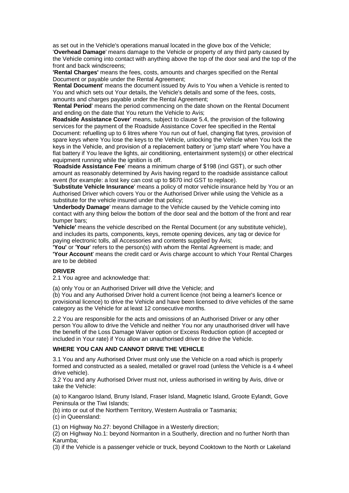as set out in the Vehicle's operations manual located in the glove box of the Vehicle; '**Overhead Damage**' means damage to the Vehicle or property of any third party caused by the Vehicle coming into contact with anything above the top of the door seal and the top of the front and back windscreens;

**'Rental Charges'** means the fees, costs, amounts and charges specified on the Rental Document or payable under the Rental Agreement;

'**Rental Document**' means the document issued by Avis to You when a Vehicle is rented to You and which sets out Your details, the Vehicle's details and some of the fees, costs, amounts and charges payable under the Rental Agreement;

'**Rental Period**' means the period commencing on the date shown on the Rental Document and ending on the date that You return the Vehicle to Avis;

**Roadside Assistance Cover**' means, subject to clause 5.4, the provision of the following services for the payment of the Roadside Assistance Cover fee specified in the Rental Document: refuelling up to 6 litres where You run out of fuel, changing flat tyres, provision of spare keys where You lose the keys to the Vehicle, unlocking the Vehicle when You lock the keys in the Vehicle, and provision of a replacement battery or 'jump start' where You have a flat battery if You leave the lights, air conditioning, entertainment system(s) or other electrical equipment running while the ignition is off.

'**Roadside Assistance Fee**' means a minimum charge of \$198 (incl GST), or such other amount as reasonably determined by Avis having regard to the roadside assistance callout event (for example: a lost key can cost up to \$670 incl GST to replace).

'**Substitute Vehicle Insurance**' means a policy of motor vehicle insurance held by You or an Authorised Driver which covers You or the Authorised Driver while using the Vehicle as a substitute for the vehicle insured under that policy;

'**Underbody Damage**' means damage to the Vehicle caused by the Vehicle coming into contact with any thing below the bottom of the door seal and the bottom of the front and rear bumper bars;

**'Vehicle'** means the vehicle described on the Rental Document (or any substitute vehicle), and includes its parts, components, keys, remote opening devices, any tag or device for paying electronic tolls, all Accessories and contents supplied by Avis;

**'You'** or '**Your**' refers to the person(s) with whom the Rental Agreement is made; and **'Your Account**' means the credit card or Avis charge account to which Your Rental Charges are to be debited

### **DRIVER**

2.1 You agree and acknowledge that:

(a) only You or an Authorised Driver will drive the Vehicle; and

(b) You and any Authorised Driver hold a current licence (not being a learner's licence or provisional licence) to drive the Vehicle and have been licensed to drive vehicles of the same category as the Vehicle for at least 12 consecutive months.

2.2 You are responsible for the acts and omissions of an Authorised Driver or any other person You allow to drive the Vehicle and neither You nor any unauthorised driver will have the benefit of the Loss Damage Waiver option or Excess Reduction option (if accepted or included in Your rate) if You allow an unauthorised driver to drive the Vehicle.

### **WHERE YOU CAN AND CANNOT DRIVE THE VEHICLE**

3.1 You and any Authorised Driver must only use the Vehicle on a road which is properly formed and constructed as a sealed, metalled or gravel road (unless the Vehicle is a 4 wheel drive vehicle).

3.2 You and any Authorised Driver must not, unless authorised in writing by Avis, drive or take the Vehicle:

(a) to Kangaroo Island, Bruny Island, Fraser Island, Magnetic Island, Groote Eylandt, Gove Peninsula or the Tiwi Islands;

(b) into or out of the Northern Territory, Western Australia or Tasmania;

(c) in Queensland:

(1) on Highway No.27: beyond Chillagoe in a Westerly direction;

(2) on Highway No.1: beyond Normanton in a Southerly, direction and no further North than Karumba;

(3) if the Vehicle is a passenger vehicle or truck, beyond Cooktown to the North or Lakeland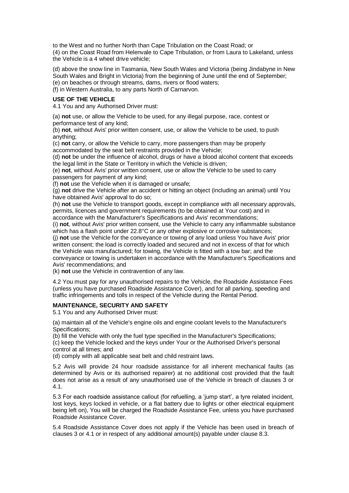to the West and no further North than Cape Tribulation on the Coast Road; or (4) on the Coast Road from Helenvale to Cape Tribulation, or from Laura to Lakeland, unless the Vehicle is a 4 wheel drive vehicle;

(d) above the snow line in Tasmania, New South Wales and Victoria (being Jindabyne in New South Wales and Bright in Victoria) from the beginning of June until the end of September; (e) on beaches or through streams, dams, rivers or flood waters; (f) in Western Australia, to any parts North of Carnarvon.

## **USE OF THE VEHICLE**

4.1 You and any Authorised Driver must:

(a) **not** use, or allow the Vehicle to be used, for any illegal purpose, race, contest or performance test of any kind;

(b) **not**, without Avis' prior written consent, use, or allow the Vehicle to be used, to push anything;

(c) **not** carry, or allow the Vehicle to carry, more passengers than may be properly accommodated by the seat belt restraints provided in the Vehicle;

(d) **not** be under the influence of alcohol, drugs or have a blood alcohol content that exceeds the legal limit in the State or Territory in which the Vehicle is driven;

(e) **not**, without Avis' prior written consent, use or allow the Vehicle to be used to carry passengers for payment of any kind;

(f) **not** use the Vehicle when it is damaged or unsafe;

(g) **not** drive the Vehicle after an accident or hitting an object (including an animal) until You have obtained Avis' approval to do so;

(h) **not** use the Vehicle to transport goods, except in compliance with all necessary approvals, permits, licences and government requirements (to be obtained at Your cost) and in accordance with the Manufacturer's Specifications and Avis' recommendations;

(i) **not**, without Avis' prior written consent, use the Vehicle to carry any inflammable substance which has a flash point under 22.8°C or any other explosive or corrosive substances;

(j) **not** use the Vehicle for the conveyance or towing of any load unless You have Avis' prior written consent; the load is correctly loaded and secured and not in excess of that for which the Vehicle was manufactured; for towing, the Vehicle is fitted with a tow bar; and the conveyance or towing is undertaken in accordance with the Manufacturer's Specifications and Avis' recommendations; and

(k) **not** use the Vehicle in contravention of any law.

4.2 You must pay for any unauthorised repairs to the Vehicle, the Roadside Assistance Fees (unless you have purchased Roadside Assistance Cover), and for all parking, speeding and traffic infringements and tolls in respect of the Vehicle during the Rental Period.

### **MAINTENANCE, SECURITY AND SAFETY**

5.1 You and any Authorised Driver must:

(a) maintain all of the Vehicle's engine oils and engine coolant levels to the Manufacturer's Specifications;

(b) fill the Vehicle with only the fuel type specified in the Manufacturer's Specifications;

(c) keep the Vehicle locked and the keys under Your or the Authorised Driver's personal control at all times; and

(d) comply with all applicable seat belt and child restraint laws.

5.2 Avis will provide 24 hour roadside assistance for all inherent mechanical faults (as determined by Avis or its authorised repairer) at no additional cost provided that the fault does not arise as a result of any unauthorised use of the Vehicle in breach of clauses 3 or 4.1.

5.3 For each roadside assistance callout (for refuelling, a 'jump start', a tyre related incident, lost keys, keys locked in vehicle, or a flat battery due to lights or other electrical equipment being left on), You will be charged the Roadside Assistance Fee, unless you have purchased Roadside Assistance Cover.

5.4 Roadside Assistance Cover does not apply if the Vehicle has been used in breach of clauses 3 or 4.1 or in respect of any additional amount(s) payable under clause 8.3.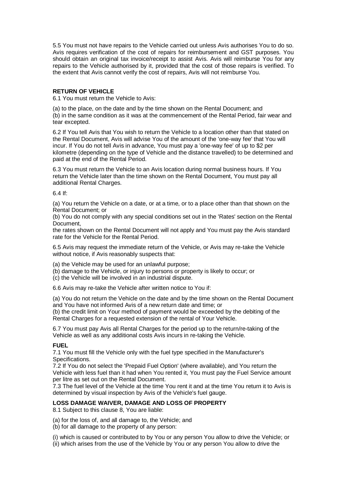5.5 You must not have repairs to the Vehicle carried out unless Avis authorises You to do so. Avis requires verification of the cost of repairs for reimbursement and GST purposes. You should obtain an original tax invoice/receipt to assist Avis. Avis will reimburse You for any repairs to the Vehicle authorised by it, provided that the cost of those repairs is verified. To the extent that Avis cannot verify the cost of repairs, Avis will not reimburse You.

### **RETURN OF VEHICLE**

6.1 You must return the Vehicle to Avis:

(a) to the place, on the date and by the time shown on the Rental Document; and (b) in the same condition as it was at the commencement of the Rental Period, fair wear and tear excepted.

6.2 If You tell Avis that You wish to return the Vehicle to a location other than that stated on the Rental Document, Avis will advise You of the amount of the 'one-way fee' that You will incur. If You do not tell Avis in advance, You must pay a 'one-way fee' of up to \$2 per kilometre (depending on the type of Vehicle and the distance travelled) to be determined and paid at the end of the Rental Period.

6.3 You must return the Vehicle to an Avis location during normal business hours. If You return the Vehicle later than the time shown on the Rental Document, You must pay all additional Rental Charges.

6.4 If:

(a) You return the Vehicle on a date, or at a time, or to a place other than that shown on the Rental Document; or

(b) You do not comply with any special conditions set out in the 'Rates' section on the Rental Document,

the rates shown on the Rental Document will not apply and You must pay the Avis standard rate for the Vehicle for the Rental Period.

6.5 Avis may request the immediate return of the Vehicle, or Avis may re-take the Vehicle without notice, if Avis reasonably suspects that:

(a) the Vehicle may be used for an unlawful purpose;

- (b) damage to the Vehicle, or injury to persons or property is likely to occur; or
- (c) the Vehicle will be involved in an industrial dispute.

6.6 Avis may re-take the Vehicle after written notice to You if:

(a) You do not return the Vehicle on the date and by the time shown on the Rental Document and You have not informed Avis of a new return date and time; or

(b) the credit limit on Your method of payment would be exceeded by the debiting of the Rental Charges for a requested extension of the rental of Your Vehicle.

6.7 You must pay Avis all Rental Charges for the period up to the return/re-taking of the Vehicle as well as any additional costs Avis incurs in re-taking the Vehicle.

### **FUEL**

7.1 You must fill the Vehicle only with the fuel type specified in the Manufacturer's Specifications.

7.2 If You do not select the 'Prepaid Fuel Option' (where available), and You return the Vehicle with less fuel than it had when You rented it, You must pay the Fuel Service amount per litre as set out on the Rental Document.

7.3 The fuel level of the Vehicle at the time You rent it and at the time You return it to Avis is determined by visual inspection by Avis of the Vehicle's fuel gauge.

## **LOSS DAMAGE WAIVER, DAMAGE AND LOSS OF PROPERTY**

8.1 Subject to this clause 8, You are liable:

(a) for the loss of, and all damage to, the Vehicle; and

(b) for all damage to the property of any person:

(i) which is caused or contributed to by You or any person You allow to drive the Vehicle; or (ii) which arises from the use of the Vehicle by You or any person You allow to drive the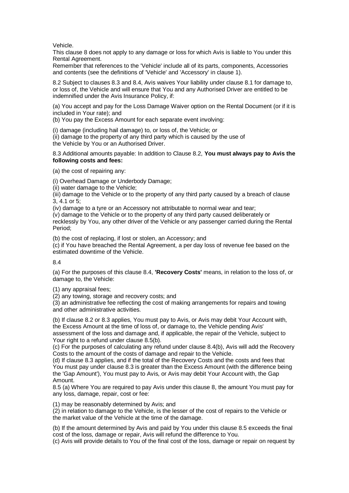Vehicle.

This clause 8 does not apply to any damage or loss for which Avis is liable to You under this Rental Agreement.

Remember that references to the 'Vehicle' include all of its parts, components, Accessories and contents (see the definitions of 'Vehicle' and 'Accessory' in clause 1).

8.2 Subject to clauses 8.3 and 8.4, Avis waives Your liability under clause 8.1 for damage to, or loss of, the Vehicle and will ensure that You and any Authorised Driver are entitled to be indemnified under the Avis Insurance Policy, if:

(a) You accept and pay for the Loss Damage Waiver option on the Rental Document (or if it is included in Your rate); and

(b) You pay the Excess Amount for each separate event involving:

(i) damage (including hail damage) to, or loss of, the Vehicle; or (ii) damage to the property of any third party which is caused by the use of the Vehicle by You or an Authorised Driver.

8.3 Additional amounts payable: In addition to Clause 8.2, **You must always pay to Avis the following costs and fees:**

(a) the cost of repairing any:

(i) Overhead Damage or Underbody Damage;

(ii) water damage to the Vehicle;

(iii) damage to the Vehicle or to the property of any third party caused by a breach of clause 3, 4.1 or 5;

(iv) damage to a tyre or an Accessory not attributable to normal wear and tear;

(v) damage to the Vehicle or to the property of any third party caused deliberately or recklessly by You, any other driver of the Vehicle or any passenger carried during the Rental Period;

(b) the cost of replacing, if lost or stolen, an Accessory; and

(c) if You have breached the Rental Agreement, a per day loss of revenue fee based on the estimated downtime of the Vehicle.

8.4

(a) For the purposes of this clause 8.4, **'Recovery Costs'** means, in relation to the loss of, or damage to, the Vehicle:

(1) any appraisal fees;

(2) any towing, storage and recovery costs; and

(3) an administrative fee reflecting the cost of making arrangements for repairs and towing and other administrative activities.

(b) If clause 8.2 or 8.3 applies, You must pay to Avis, or Avis may debit Your Account with, the Excess Amount at the time of loss of, or damage to, the Vehicle pending Avis' assessment of the loss and damage and, if applicable, the repair of the Vehicle, subject to Your right to a refund under clause 8.5(b).

(c) For the purposes of calculating any refund under clause 8.4(b), Avis will add the Recovery Costs to the amount of the costs of damage and repair to the Vehicle.

(d) If clause 8.3 applies, and if the total of the Recovery Costs and the costs and fees that You must pay under clause 8.3 is greater than the Excess Amount (with the difference being the 'Gap Amount'), You must pay to Avis, or Avis may debit Your Account with, the Gap Amount.

8.5 (a) Where You are required to pay Avis under this clause 8, the amount You must pay for any loss, damage, repair, cost or fee:

(1) may be reasonably determined by Avis; and

(2) in relation to damage to the Vehicle, is the lesser of the cost of repairs to the Vehicle or the market value of the Vehicle at the time of the damage.

(b) If the amount determined by Avis and paid by You under this clause 8.5 exceeds the final cost of the loss, damage or repair, Avis will refund the difference to You.

(c) Avis will provide details to You of the final cost of the loss, damage or repair on request by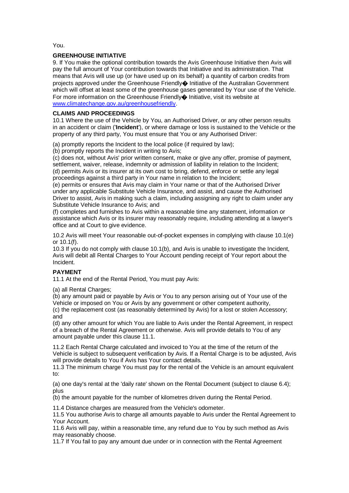You.

## **GREENHOUSE INITIATIVE**

9. If You make the optional contribution towards the Avis Greenhouse Initiative then Avis will pay the full amount of Your contribution towards that Initiative and its administration. That means that Avis will use up (or have used up on its behalf) a quantity of carbon credits from projects approved under the Greenhouse Friendly $\spadesuit$  Initiative of the Australian Government which will offset at least some of the greenhouse gases generated by Your use of the Vehicle. For more information on the Greenhouse Friendly $\bullet$  Initiative, visit its website at [www.climatechange.gov.au/greenhousefriendly.](http://www.climatechange.gov.au/greenhousefriendly)

## **CLAIMS AND PROCEEDINGS**

10.1 Where the use of the Vehicle by You, an Authorised Driver, or any other person results in an accident or claim ('**Incident**'), or where damage or loss is sustained to the Vehicle or the property of any third party, You must ensure that You or any Authorised Driver:

(a) promptly reports the Incident to the local police (if required by law);

(b) promptly reports the Incident in writing to Avis;

(c) does not, without Avis' prior written consent, make or give any offer, promise of payment, settlement, waiver, release, indemnity or admission of liability in relation to the Incident; (d) permits Avis or its insurer at its own cost to bring, defend, enforce or settle any legal proceedings against a third party in Your name in relation to the Incident;

(e) permits or ensures that Avis may claim in Your name or that of the Authorised Driver under any applicable Substitute Vehicle Insurance, and assist, and cause the Authorised Driver to assist, Avis in making such a claim, including assigning any right to claim under any Substitute Vehicle Insurance to Avis; and

(f) completes and furnishes to Avis within a reasonable time any statement, information or assistance which Avis or its insurer may reasonably require, including attending at a lawyer's office and at Court to give evidence.

10.2 Avis will meet Your reasonable out-of-pocket expenses in complying with clause 10.1(e) or 10.1(f).

10.3 If you do not comply with clause 10.1(b), and Avis is unable to investigate the Incident, Avis will debit all Rental Charges to Your Account pending receipt of Your report about the Incident.

# **PAYMENT**

11.1 At the end of the Rental Period, You must pay Avis:

(a) all Rental Charges:

(b) any amount paid or payable by Avis or You to any person arising out of Your use of the Vehicle or imposed on You or Avis by any government or other competent authority, (c) the replacement cost (as reasonably determined by Avis) for a lost or stolen Accessory; and

(d) any other amount for which You are liable to Avis under the Rental Agreement, in respect of a breach of the Rental Agreement or otherwise. Avis will provide details to You of any amount payable under this clause 11.1.

11.2 Each Rental Charge calculated and invoiced to You at the time of the return of the Vehicle is subject to subsequent verification by Avis. If a Rental Charge is to be adjusted, Avis will provide details to You if Avis has Your contact details.

11.3 The minimum charge You must pay for the rental of the Vehicle is an amount equivalent to:

(a) one day's rental at the 'daily rate' shown on the Rental Document (subject to clause 6.4); plus

(b) the amount payable for the number of kilometres driven during the Rental Period.

11.4 Distance charges are measured from the Vehicle's odometer.

11.5 You authorise Avis to charge all amounts payable to Avis under the Rental Agreement to Your Account.

11.6 Avis will pay, within a reasonable time, any refund due to You by such method as Avis may reasonably choose.

11.7 If You fail to pay any amount due under or in connection with the Rental Agreement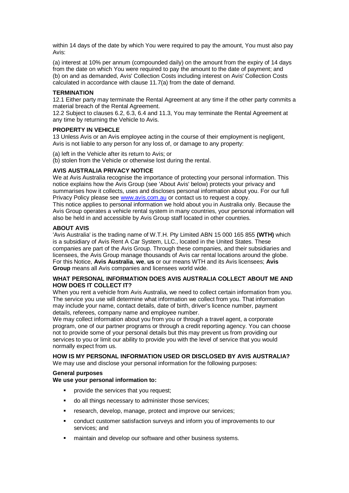within 14 days of the date by which You were required to pay the amount, You must also pay Avis:

(a) interest at 10% per annum (compounded daily) on the amount from the expiry of 14 days from the date on which You were required to pay the amount to the date of payment; and (b) on and as demanded, Avis' Collection Costs including interest on Avis' Collection Costs calculated in accordance with clause 11.7(a) from the date of demand.

## **TERMINATION**

12.1 Either party may terminate the Rental Agreement at any time if the other party commits a material breach of the Rental Agreement.

12.2 Subject to clauses 6.2, 6.3, 6.4 and 11.3, You may terminate the Rental Agreement at any time by returning the Vehicle to Avis.

### **PROPERTY IN VEHICLE**

13 Unless Avis or an Avis employee acting in the course of their employment is negligent, Avis is not liable to any person for any loss of, or damage to any property:

- (a) left in the Vehicle after its return to Avis; or
- (b) stolen from the Vehicle or otherwise lost during the rental.

### **AVIS AUSTRALIA PRIVACY NOTICE**

We at Avis Australia recognise the importance of protecting your personal information. This notice explains how the Avis Group (see 'About Avis' below) protects your privacy and summarises how it collects, uses and discloses personal information about you. For our full Privacy Policy please see [www.avis.com.au](http://www.avis.com.au/) or contact us to request a copy.

This notice applies to personal information we hold about you in Australia only. Because the Avis Group operates a vehicle rental system in many countries, your personal information will also be held in and accessible by Avis Group staff located in other countries.

### **ABOUT AVIS**

'Avis Australia' is the trading name of W.T.H. Pty Limited ABN 15 000 165 855 **(WTH)** which is a subsidiary of Avis Rent A Car System, LLC., located in the United States. These companies are part of the Avis Group. Through these companies, and their subsidiaries and licensees, the Avis Group manage thousands of Avis car rental locations around the globe. For this Notice, **Avis Australia**, **we**, **us** or our means WTH and its Avis licensees; **Avis Group** means all Avis companies and licensees world wide.

### **WHAT PERSONAL INFORMATION DOES AVIS AUSTRALIA COLLECT ABOUT ME AND HOW DOES IT COLLECT IT?**

When you rent a vehicle from Avis Australia, we need to collect certain information from you. The service you use will determine what information we collect from you. That information may include your name, contact details, date of birth, driver's licence number, payment details, referees, company name and employee number.

We may collect information about you from you or through a travel agent, a corporate program, one of our partner programs or through a credit reporting agency. You can choose not to provide some of your personal details but this may prevent us from providing our services to you or limit our ability to provide you with the level of service that you would normally expect from us.

# **HOW IS MY PERSONAL INFORMATION USED OR DISCLOSED BY AVIS AUSTRALIA?**

We may use and disclose your personal information for the following purposes:

### **General purposes**

### **We use your personal information to:**

- provide the services that you request;
- do all things necessary to administer those services;
- research, develop, manage, protect and improve our services;
- conduct customer satisfaction surveys and inform you of improvements to our services; and
- maintain and develop our software and other business systems.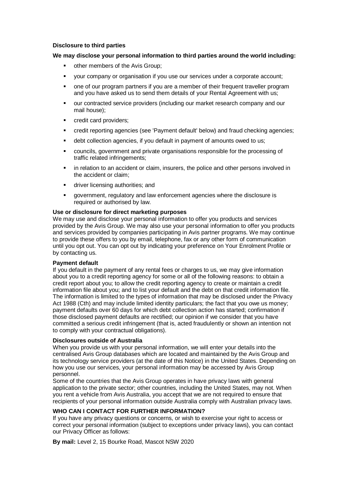## **Disclosure to third parties**

### **We may disclose your personal information to third parties around the world including:**

- other members of the Avis Group;
- your company or organisation if you use our services under a corporate account;
- one of our program partners if you are a member of their frequent traveller program and you have asked us to send them details of your Rental Agreement with us;
- our contracted service providers (including our market research company and our mail house);
- credit card providers;
- credit reporting agencies (see 'Payment default' below) and fraud checking agencies;
- debt collection agencies, if you default in payment of amounts owed to us;
- councils, government and private organisations responsible for the processing of traffic related infringements;
- **in relation to an accident or claim, insurers, the police and other persons involved in** the accident or claim;
- **driver licensing authorities; and**
- government, regulatory and law enforcement agencies where the disclosure is required or authorised by law.

### **Use or disclosure for direct marketing purposes**

We may use and disclose your personal information to offer you products and services provided by the Avis Group. We may also use your personal information to offer you products and services provided by companies participating in Avis partner programs. We may continue to provide these offers to you by email, telephone, fax or any other form of communication until you opt out. You can opt out by indicating your preference on Your Enrolment Profile or by contacting us.

### **Payment default**

If you default in the payment of any rental fees or charges to us, we may give information about you to a credit reporting agency for some or all of the following reasons: to obtain a credit report about you; to allow the credit reporting agency to create or maintain a credit information file about you; and to list your default and the debt on that credit information file. The information is limited to the types of information that may be disclosed under the Privacy Act 1988 (Cth) and may include limited identity particulars; the fact that you owe us money; payment defaults over 60 days for which debt collection action has started; confirmation if those disclosed payment defaults are rectified; our opinion if we consider that you have committed a serious credit infringement (that is, acted fraudulently or shown an intention not to comply with your contractual obligations).

### **Disclosures outside of Australia**

When you provide us with your personal information, we will enter your details into the centralised Avis Group databases which are located and maintained by the Avis Group and its technology service providers (at the date of this Notice) in the United States. Depending on how you use our services, your personal information may be accessed by Avis Group personnel.

Some of the countries that the Avis Group operates in have privacy laws with general application to the private sector; other countries, including the United States, may not. When you rent a vehicle from Avis Australia, you accept that we are not required to ensure that recipients of your personal information outside Australia comply with Australian privacy laws.

## **WHO CAN I CONTACT FOR FURTHER INFORMATION?**

If you have any privacy questions or concerns, or wish to exercise your right to access or correct your personal information (subject to exceptions under privacy laws), you can contact our Privacy Officer as follows:

**By mail:** Level 2, 15 Bourke Road, Mascot NSW 2020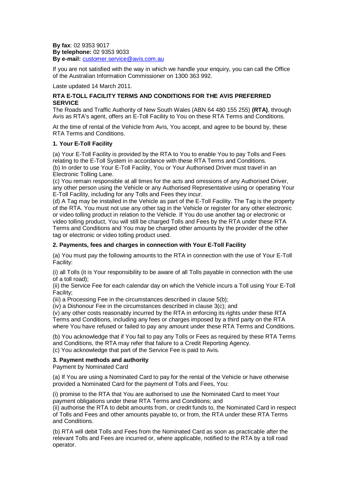**By fax**: 02 9353 9017 **By telephone:** 02 9353 9033 **By e-mail:** [customer.service@avis.com.au](mailto:customer.service@avis.com.au)

If you are not satisfied with the way in which we handle your enquiry, you can call the Office of the Australian Information Commissioner on 1300 363 992.

Laste updated 14 March 2011.

## **RTA E-TOLL FACILITY TERMS AND CONDITIONS FOR THE AVIS PREFERRED SERVICE**

The Roads and Traffic Authority of New South Wales (ABN 64 480 155 255) **(RTA)**, through Avis as RTA's agent, offers an E-Toll Facility to You on these RTA Terms and Conditions.

At the time of rental of the Vehicle from Avis, You accept, and agree to be bound by, these RTA Terms and Conditions.

## **1. Your E-Toll Facility**

(a) Your E-Toll Facility is provided by the RTA to You to enable You to pay Tolls and Fees relating to the E-Toll System in accordance with these RTA Terms and Conditions. (b) In order to use Your E-Toll Facility, You or Your Authorised Driver must travel in an Electronic Tolling Lane.

(c) You remain responsible at all times for the acts and omissions of any Authorised Driver, any other person using the Vehicle or any Authorised Representative using or operating Your E-Toll Facility, including for any Tolls and Fees they incur.

(d) A Tag may be installed in the Vehicle as part of the E-Toll Facility. The Tag is the property of the RTA. You must not use any other tag in the Vehicle or register for any other electronic or video tolling product in relation to the Vehicle. If You do use another tag or electronic or video tolling product, You will still be charged Tolls and Fees by the RTA under these RTA Terms and Conditions and You may be charged other amounts by the provider of the other tag or electronic or video tolling product used.

## **2. Payments, fees and charges in connection with Your E-Toll Facility**

(a) You must pay the following amounts to the RTA in connection with the use of Your E-Toll Facility:

(i) all Tolls (it is Your responsibility to be aware of all Tolls payable in connection with the use of a toll road);

(ii) the Service Fee for each calendar day on which the Vehicle incurs a Toll using Your E-Toll Facility;

(iii) a Processing Fee in the circumstances described in clause 5(b);

(iv) a Dishonour Fee in the circumstances described in clause 3(c); and

(v) any other costs reasonably incurred by the RTA in enforcing its rights under these RTA Terms and Conditions, including any fees or charges imposed by a third party on the RTA where You have refused or failed to pay any amount under these RTA Terms and Conditions.

(b) You acknowledge that if You fail to pay any Tolls or Fees as required by these RTA Terms and Conditions, the RTA may refer that failure to a Credit Reporting Agency. (c) You acknowledge that part of the Service Fee is paid to Avis.

### **3. Payment methods and authority**

Payment by Nominated Card

(a) If You are using a Nominated Card to pay for the rental of the Vehicle or have otherwise provided a Nominated Card for the payment of Tolls and Fees, You:

(i) promise to the RTA that You are authorised to use the Nominated Card to meet Your payment obligations under these RTA Terms and Conditions; and

(ii) authorise the RTA to debit amounts from, or credit funds to, the Nominated Card in respect of Tolls and Fees and other amounts payable to, or from, the RTA under these RTA Terms and Conditions.

(b) RTA will debit Tolls and Fees from the Nominated Card as soon as practicable after the relevant Tolls and Fees are incurred or, where applicable, notified to the RTA by a toll road operator.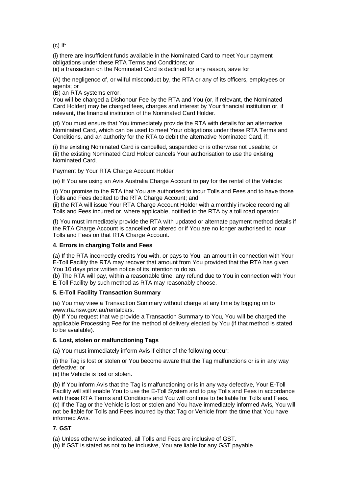(c) If:

(i) there are insufficient funds available in the Nominated Card to meet Your payment obligations under these RTA Terms and Conditions; or

(ii) a transaction on the Nominated Card is declined for any reason, save for:

(A) the negligence of, or wilful misconduct by, the RTA or any of its officers, employees or agents; or

(B) an RTA systems error,

You will be charged a Dishonour Fee by the RTA and You (or, if relevant, the Nominated Card Holder) may be charged fees, charges and interest by Your financial institution or, if relevant, the financial institution of the Nominated Card Holder.

(d) You must ensure that You immediately provide the RTA with details for an alternative Nominated Card, which can be used to meet Your obligations under these RTA Terms and Conditions, and an authority for the RTA to debit the alternative Nominated Card, if:

(i) the existing Nominated Card is cancelled, suspended or is otherwise not useable; or (ii) the existing Nominated Card Holder cancels Your authorisation to use the existing Nominated Card.

Payment by Your RTA Charge Account Holder

(e) If You are using an Avis Australia Charge Account to pay for the rental of the Vehicle:

(i) You promise to the RTA that You are authorised to incur Tolls and Fees and to have those Tolls and Fees debited to the RTA Charge Account; and

(ii) the RTA will issue Your RTA Charge Account Holder with a monthly invoice recording all Tolls and Fees incurred or, where applicable, notified to the RTA by a toll road operator.

(f) You must immediately provide the RTA with updated or alternate payment method details if the RTA Charge Account is cancelled or altered or if You are no longer authorised to incur Tolls and Fees on that RTA Charge Account.

### **4. Errors in charging Tolls and Fees**

(a) If the RTA incorrectly credits You with, or pays to You, an amount in connection with Your E-Toll Facility the RTA may recover that amount from You provided that the RTA has given You 10 days prior written notice of its intention to do so.

(b) The RTA will pay, within a reasonable time, any refund due to You in connection with Your E-Toll Facility by such method as RTA may reasonably choose.

### **5. E-Toll Facility Transaction Summary**

(a) You may view a Transaction Summary without charge at any time by logging on to www.rta.nsw.gov.au/rentalcars.

(b) If You request that we provide a Transaction Summary to You, You will be charged the applicable Processing Fee for the method of delivery elected by You (if that method is stated to be available).

### **6. Lost, stolen or malfunctioning Tags**

(a) You must immediately inform Avis if either of the following occur:

(i) the Tag is lost or stolen or You become aware that the Tag malfunctions or is in any way defective; or

(ii) the Vehicle is lost or stolen.

(b) If You inform Avis that the Tag is malfunctioning or is in any way defective, Your E-Toll Facility will still enable You to use the E-Toll System and to pay Tolls and Fees in accordance with these RTA Terms and Conditions and You will continue to be liable for Tolls and Fees. (c) If the Tag or the Vehicle is lost or stolen and You have immediately informed Avis, You will not be liable for Tolls and Fees incurred by that Tag or Vehicle from the time that You have informed Avis.

## **7. GST**

(a) Unless otherwise indicated, all Tolls and Fees are inclusive of GST.

(b) If GST is stated as not to be inclusive, You are liable for any GST payable.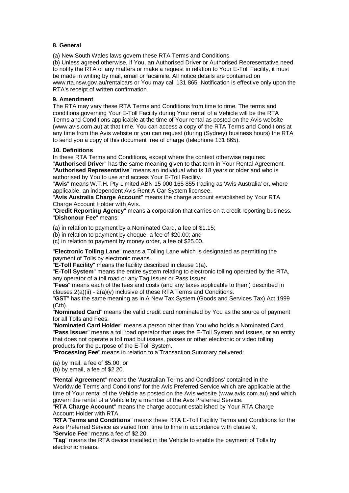## **8. General**

(a) New South Wales laws govern these RTA Terms and Conditions.

(b) Unless agreed otherwise, if You, an Authorised Driver or Authorised Representative need to notify the RTA of any matters or make a request in relation to Your E-Toll Facility, it must be made in writing by mail, email or facsimile. All notice details are contained on www.rta.nsw.gov.au/rentalcars or You may call 131 865. Notification is effective only upon the RTA's receipt of written confirmation.

### **9. Amendment**

The RTA may vary these RTA Terms and Conditions from time to time. The terms and conditions governing Your E-Toll Facility during Your rental of a Vehicle will be the RTA Terms and Conditions applicable at the time of Your rental as posted on the Avis website (www.avis.com.au) at that time. You can access a copy of the RTA Terms and Conditions at any time from the Avis website or you can request (during (Sydney) business hours) the RTA to send you a copy of this document free of charge (telephone 131 865).

### **10. Definitions**

In these RTA Terms and Conditions, except where the context otherwise requires:

"**Authorised Driver**" has the same meaning given to that term in Your Rental Agreement. "**Authorised Representative**" means an individual who is 18 years or older and who is authorised by You to use and access Your E-Toll Facility.

"**Avis**" means W.T.H. Pty Limited ABN 15 000 165 855 trading as 'Avis Australia' or, where applicable, an independent Avis Rent A Car System licensee.

"**Avis Australia Charge Account**" means the charge account established by Your RTA Charge Account Holder with Avis.

"**Credit Reporting Agency**" means a corporation that carries on a credit reporting business. "**Dishonour Fee**" means:

(a) in relation to payment by a Nominated Card, a fee of \$1.15;

(b) in relation to payment by cheque, a fee of \$20.00; and

(c) in relation to payment by money order, a fee of \$25.00.

"**Electronic Tolling Lane**" means a Tolling Lane which is designated as permitting the payment of Tolls by electronic means.

"**E-Toll Facility**" means the facility described in clause 1(a).

"**E-Toll System**" means the entire system relating to electronic tolling operated by the RTA, any operator of a toll road or any Tag Issuer or Pass Issuer.

"**Fees**" means each of the fees and costs (and any taxes applicable to them) described in clauses 2(a)(ii) - 2(a)(v) inclusive of these RTA Terms and Conditions.

"**GST**" has the same meaning as in A New Tax System (Goods and Services Tax) Act 1999 (Cth).

"**Nominated Card**" means the valid credit card nominated by You as the source of payment for all Tolls and Fees.

"**Nominated Card Holder**" means a person other than You who holds a Nominated Card. "**Pass Issuer**" means a toll road operator that uses the E-Toll System and issues, or an entity that does not operate a toll road but issues, passes or other electronic or video tolling products for the purpose of the E-Toll System.

"**Processing Fee**" means in relation to a Transaction Summary delivered:

(a) by mail, a fee of \$5.00; or

(b) by email, a fee of \$2.20.

"**Rental Agreement**" means the 'Australian Terms and Conditions' contained in the 'Worldwide Terms and Conditions' for the Avis Preferred Service which are applicable at the time of Your rental of the Vehicle as posted on the Avis website (www.avis.com.au) and which govern the rental of a Vehicle by a member of the Avis Preferred Service.

"**RTA Charge Account**" means the charge account established by Your RTA Charge Account Holder with RTA.

"**RTA Terms and Conditions**" means these RTA E-Toll Facility Terms and Conditions for the Avis Preferred Service as varied from time to time in accordance with clause 9. "**Service Fee**" means a fee of \$2.20.

"**Tag**" means the RTA device installed in the Vehicle to enable the payment of Tolls by electronic means.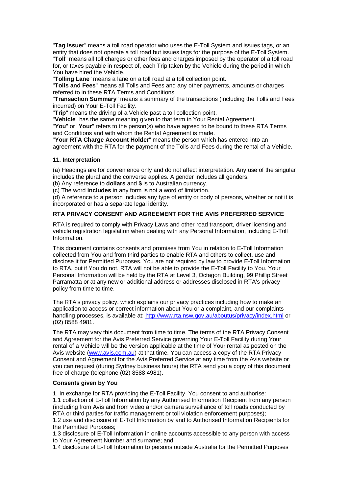"**Tag Issuer**" means a toll road operator who uses the E-Toll System and issues tags, or an entity that does not operate a toll road but issues tags for the purpose of the E-Toll System. "**Toll**" means all toll charges or other fees and charges imposed by the operator of a toll road for, or taxes payable in respect of, each Trip taken by the Vehicle during the period in which You have hired the Vehicle.

"**Tolling Lane**" means a lane on a toll road at a toll collection point.

"**Tolls and Fees**" means all Tolls and Fees and any other payments, amounts or charges referred to in these RTA Terms and Conditions.

"**Transaction Summary**" means a summary of the transactions (including the Tolls and Fees incurred) on Your E-Toll Facility.

"**Trip**" means the driving of a Vehicle past a toll collection point.

"**Vehicle**" has the same meaning given to that term in Your Rental Agreement.

"**You**" or "**Your**" refers to the person(s) who have agreed to be bound to these RTA Terms and Conditions and with whom the Rental Agreement is made.

"**Your RTA Charge Account Holder**" means the person which has entered into an agreement with the RTA for the payment of the Tolls and Fees during the rental of a Vehicle.

#### **11. Interpretation**

(a) Headings are for convenience only and do not affect interpretation. Any use of the singular includes the plural and the converse applies. A gender includes all genders.

(b) Any reference to **dollars** and **\$** is to Australian currency.

(c) The word **includes** in any form is not a word of limitation.

(d) A reference to a person includes any type of entity or body of persons, whether or not it is incorporated or has a separate legal identity.

### **RTA PRIVACY CONSENT AND AGREEMENT FOR THE AVIS PREFERRED SERVICE**

RTA is required to comply with Privacy Laws and other road transport, driver licensing and vehicle registration legislation when dealing with any Personal Information, including E-Toll Information.

This document contains consents and promises from You in relation to E-Toll Information collected from You and from third parties to enable RTA and others to collect, use and disclose it for Permitted Purposes. You are not required by law to provide E-Toll Information to RTA, but if You do not, RTA will not be able to provide the E-Toll Facility to You. Your Personal Information will be held by the RTA at Level 3, Octagon Building, 99 Phillip Street Parramatta or at any new or additional address or addresses disclosed in RTA's privacy policy from time to time.

The RTA's privacy policy, which explains our privacy practices including how to make an application to access or correct information about You or a complaint, and our complaints handling processes, is available at:<http://www.rta.nsw.gov.au/aboutus/privacy/index.html> or (02) 8588 4981.

The RTA may vary this document from time to time. The terms of the RTA Privacy Consent and Agreement for the Avis Preferred Service governing Your E-Toll Facility during Your rental of a Vehicle will be the version applicable at the time of Your rental as posted on the Avis website [\(www.avis.com.au\)](http://www.avis.com.au/) at that time. You can access a copy of the RTA Privacy Consent and Agreement for the Avis Preferred Service at any time from the Avis website or you can request (during Sydney business hours) the RTA send you a copy of this document free of charge (telephone (02) 8588 4981).

#### **Consents given by You**

1. In exchange for RTA providing the E-Toll Facility, You consent to and authorise: 1.1 collection of E-Toll Information by any Authorised Information Recipient from any person (including from Avis and from video and/or camera surveillance of toll roads conducted by RTA or third parties for traffic management or toll violation enforcement purposes);

1.2 use and disclosure of E-Toll Information by and to Authorised Information Recipients for the Permitted Purposes;

1.3 disclosure of E-Toll Information in online accounts accessible to any person with access to Your Agreement Number and surname; and

1.4 disclosure of E-Toll Information to persons outside Australia for the Permitted Purposes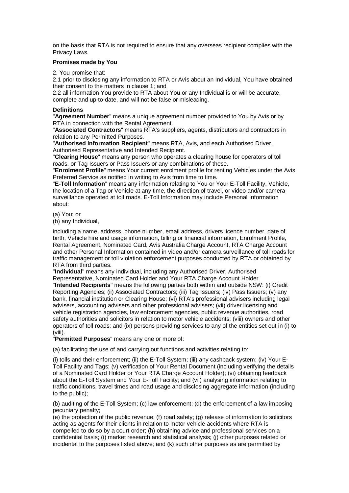on the basis that RTA is not required to ensure that any overseas recipient complies with the Privacy Laws.

## **Promises made by You**

2. You promise that:

2.1 prior to disclosing any information to RTA or Avis about an Individual, You have obtained their consent to the matters in clause 1; and

2.2 all information You provide to RTA about You or any Individual is or will be accurate, complete and up-to-date, and will not be false or misleading.

### **Definitions**

"**Agreement Number**" means a unique agreement number provided to You by Avis or by RTA in connection with the Rental Agreement.

"**Associated Contractors**" means RTA's suppliers, agents, distributors and contractors in relation to any Permitted Purposes.

"**Authorised Information Recipient**" means RTA, Avis, and each Authorised Driver, Authorised Representative and Intended Recipient.

"**Clearing House**" means any person who operates a clearing house for operators of toll roads, or Tag Issuers or Pass Issuers or any combinations of these.

"**Enrolment Profile**" means Your current enrolment profile for renting Vehicles under the Avis Preferred Service as notified in writing to Avis from time to time.

"**E-Toll Information**" means any information relating to You or Your E-Toll Facility, Vehicle, the location of a Tag or Vehicle at any time, the direction of travel, or video and/or camera surveillance operated at toll roads. E-Toll Information may include Personal Information about:

(a) You; or

(b) any Individual,

including a name, address, phone number, email address, drivers licence number, date of birth, Vehicle hire and usage information, billing or financial information, Enrolment Profile, Rental Agreement, Nominated Card, Avis Australia Charge Account, RTA Charge Account and other Personal Information contained in video and/or camera surveillance of toll roads for traffic management or toll violation enforcement purposes conducted by RTA or obtained by RTA from third parties.

"**Individual**" means any individual, including any Authorised Driver, Authorised Representative, Nominated Card Holder and Your RTA Charge Account Holder.

"**Intended Recipients**" means the following parties both within and outside NSW: (i) Credit Reporting Agencies; (ii) Associated Contractors; (iii) Tag Issuers; (iv) Pass Issuers; (v) any bank, financial institution or Clearing House; (vi) RTA's professional advisers including legal advisers, accounting advisers and other professional advisers; (vii) driver licensing and vehicle registration agencies, law enforcement agencies, public revenue authorities, road safety authorities and solicitors in relation to motor vehicle accidents; (viii) owners and other operators of toll roads; and (ix) persons providing services to any of the entities set out in (i) to (viii).

"**Permitted Purposes**" means any one or more of:

(a) facilitating the use of and carrying out functions and activities relating to:

(i) tolls and their enforcement; (ii) the E-Toll System; (iii) any cashback system; (iv) Your E-Toll Facility and Tags; (v) verification of Your Rental Document (including verifying the details of a Nominated Card Holder or Your RTA Charge Account Holder); (vi) obtaining feedback about the E-Toll System and Your E-Toll Facility; and (vii) analysing information relating to traffic conditions, travel times and road usage and disclosing aggregate information (including to the public);

(b) auditing of the E-Toll System; (c) law enforcement; (d) the enforcement of a law imposing pecuniary penalty;

(e) the protection of the public revenue; (f) road safety; (g) release of information to solicitors acting as agents for their clients in relation to motor vehicle accidents where RTA is compelled to do so by a court order; (h) obtaining advice and professional services on a confidential basis; (i) market research and statistical analysis; (j) other purposes related or incidental to the purposes listed above; and (k) such other purposes as are permitted by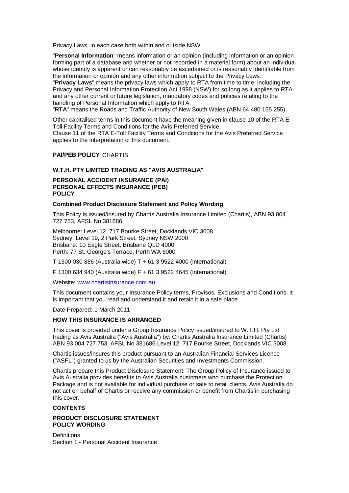Privacy Laws, in each case both within and outside NSW.

"**Personal Information**" means information or an opinion (including information or an opinion forming part of a database and whether or not recorded in a material form) about an individual whose identity is apparent or can reasonably be ascertained or is reasonably identifiable from the information or opinion and any other information subject to the Privacy Laws.

"**Privacy Laws**" means the privacy laws which apply to RTA from time to time, including the Privacy and Personal Information Protection Act 1998 (NSW) for so long as it applies to RTA and any other current or future legislation, mandatory codes and policies relating to the handling of Personal Information which apply to RTA.

"**RTA**" means the Roads and Traffic Authority of New South Wales (ABN 64 480 155 255).

Other capitalised terms in this document have the meaning given in clause 10 of the RTA E-Toll Facility Terms and Conditions for the Avis Preferred Service. Clause 11 of the RTA E-Toll Facility Terms and Conditions for the Avis Preferred Service applies to the interpretation of this document.

### **PAI/PEB POLICY** CHARTIS

### **W.T.H. PTY LIMITED TRADING AS "AVIS AUSTRALIA"**

### **PERSONAL ACCIDENT INSURANCE (PAI) PERSONAL EFFECTS INSURANCE (PEB) POLICY**

#### **Combined Product Disclosure Statement and Policy Wording**

This Policy is issued/insured by Chartis Australia Insurance Limited (Chartis), ABN 93 004 727 753, AFSL No 381686

Melbourne: Level 12, 717 Bourke Street, Docklands VIC 3008 Sydney: Level 19, 2 Park Street, Sydney NSW 2000 Brisbane: 10 Eagle Street, Brisbane QLD 4000 Perth: 77 St. George's Terrace, Perth WA 6000

T 1300 030 886 (Australia wide) T + 61 3 9522 4000 (International)

F 1300 634 940 (Australia wide) F + 61 3 9522 4645 (International)

Website[: www.chartisinsurance.com.au](http://www.chartisinsurance.com.au/)

This document contains your Insurance Policy terms, Provisos, Exclusions and Conditions. It is important that you read and understand it and retain it in a safe place.

Date Prepared: 1 March 2011

### **HOW THIS INSURANCE IS ARRANGED**

This cover is provided under a Group Insurance Policy issued/insured to W.T.H. Pty Ltd trading as Avis Australia ("Avis Australia") by: Chartis Australia Insurance Limited (Chartis) ABN 93 004 727 753, AFSL No 381686 Level 12, 717 Bourke Street, Docklands VIC 3008.

Chartis issues/insures this product pursuant to an Australian Financial Services Licence ("ASFL") granted to us by the Australian Securities and Investments Commission.

Chartis prepare this Product Disclosure Statement. The Group Policy of Insurance issued to Avis Australia provides benefits to Avis Australia customers who purchase the Protection Package and is not available for individual purchase or sale to retail clients. Avis Australia do not act on behalf of Chartis or receive any commission or benefit from Chartis in purchasing this cover.

### **CONTENTS**

### **PRODUCT DISCLOSURE STATEMENT POLICY WORDING**

**Definitions** Section 1 - Personal Accident Insurance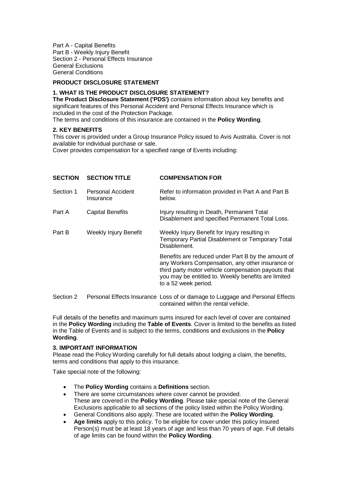Part A - Capital Benefits Part B - Weekly Injury Benefit Section 2 - Personal Effects Insurance General Exclusions General Conditions

# **PRODUCT DISCLOSURE STATEMENT**

# **1. WHAT IS THE PRODUCT DISCLOSURE STATEMENT?**

**The Product Disclosure Statement ('PDS')** contains information about key benefits and significant features of this Personal Accident and Personal Effects Insurance which is included in the cost of the Protection Package. The terms and conditions of this insurance are contained in the **Policy Wording**.

### **2. KEY BENEFITS**

This cover is provided under a Group Insurance Policy issued to Avis Australia. Cover is not available for individual purchase or sale.

Cover provides compensation for a specified range of Events including:

| <b>SECTION</b> | <b>SECTION TITLE</b>           | <b>COMPENSATION FOR</b>                                                                                                                                                                                                                      |  |
|----------------|--------------------------------|----------------------------------------------------------------------------------------------------------------------------------------------------------------------------------------------------------------------------------------------|--|
| Section 1      | Personal Accident<br>Insurance | Refer to information provided in Part A and Part B<br>below.                                                                                                                                                                                 |  |
| Part A         | <b>Capital Benefits</b>        | Injury resulting in Death, Permanent Total<br>Disablement and specified Permanent Total Loss.                                                                                                                                                |  |
| Part B         | Weekly Injury Benefit          | Weekly Injury Benefit for Injury resulting in<br>Temporary Partial Disablement or Temporary Total<br>Disablement.                                                                                                                            |  |
|                |                                | Benefits are reduced under Part B by the amount of<br>any Workers Compensation, any other insurance or<br>third party motor vehicle compensation payouts that<br>you may be entitled to. Weekly benefits are limited<br>to a 52 week period. |  |
| Section 2      |                                | Personal Effects Insurance Loss of or damage to Luggage and Personal Effects                                                                                                                                                                 |  |

Full details of the benefits and maximum sums insured for each level of cover are contained in the **Policy Wording** including the **Table of Events**. Cover is limited to the benefits as listed in the Table of Events and is subject to the terms, conditions and exclusions in the **Policy Wording**.

contained within the rental vehicle.

## **3. IMPORTANT INFORMATION**

Please read the Policy Wording carefully for full details about lodging a claim, the benefits, terms and conditions that apply to this insurance.

Take special note of the following:

- The **Policy Wording** contains a **Definitions** section.
- There are some circumstances where cover cannot be provided. These are covered in the **Policy Wording**. Please take special note of the General Exclusions applicable to all sections of the policy listed within the Policy Wording.
- General Conditions also apply. These are located within the **Policy Wording**.
- **Age limits** apply to this policy. To be eligible for cover under this policy Insured Person(s) must be at least 18 years of age and less than 70 years of age. Full details of age limits can be found within the **Policy Wording**.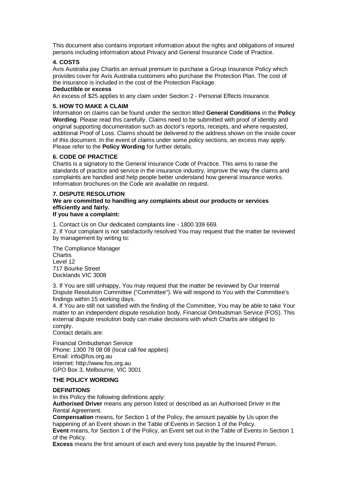This document also contains important information about the rights and obligations of insured persons including information about Privacy and General Insurance Code of Practice.

### **4. COSTS**

Avis Australia pay Chartis an annual premium to purchase a Group Insurance Policy which provides cover for Avis Australia customers who purchase the Protection Plan. The cost of the insurance is included in the cost of the Protection Package.

### **Deductible or excess**

An excess of \$25 applies to any claim under Section 2 - Personal Effects Insurance.

## **5. HOW TO MAKE A CLAIM**

Information on claims can be found under the section titled **General Conditions** in the **Policy Wording**. Please read this carefully. Claims need to be submitted with proof of identity and original supporting documentation such as doctor's reports, receipts, and where requested, additional Proof of Loss. Claims should be delivered to the address shown on the inside cover of this document. In the event of claims under some policy sections, an excess may apply. Please refer to the **Policy Wording** for further details.

### **6. CODE OF PRACTICE**

Chartis is a signatory to the General Insurance Code of Practice. This aims to raise the standards of practice and service in the insurance industry, improve the way the claims and complaints are handled and help people better understand how general insurance works. Information brochures on the Code are available on request.

### **7. DISPUTE RESOLUTION We are committed to handling any complaints about our products or services efficiently and fairly. If you have a complaint:**

1. Contact Us on Our dedicated complaints line - 1800 339 669.

2. If Your complaint is not satisfactorily resolved You may request that the matter be reviewed by management by writing to:

The Compliance Manager Chartis Level 12 717 Bourke Street Docklands VIC 3008

3. If You are still unhappy, You may request that the matter be reviewed by Our Internal Dispute Resolution Committee ("Committee"). We will respond to You with the Committee's findings within 15 working days.

4. If You are still not satisfied with the finding of the Committee, You may be able to take Your matter to an independent dispute resolution body, Financial Ombudsman Service (FOS). This external dispute resolution body can make decisions with which Chartis are obliged to comply.

Contact details are:

Financial Ombudsman Service Phone: 1300 78 08 08 (local call fee applies) Email: info@fos.org.au Internet: http://www.fos.org.au GPO Box 3, Melbourne, VIC 3001

## **THE POLICY WORDING**

### **DEFINITIONS**

In this Policy the following definitions apply:

**Authorised Driver** means any person listed or described as an Authorised Driver in the Rental Agreement.

**Compensation** means, for Section 1 of the Policy, the amount payable by Us upon the happening of an Event shown in the Table of Events in Section 1 of the Policy.

**Event** means, for Section 1 of the Policy, an Event set out in the Table of Events in Section 1 of the Policy.

**Excess** means the first amount of each and every loss payable by the Insured Person.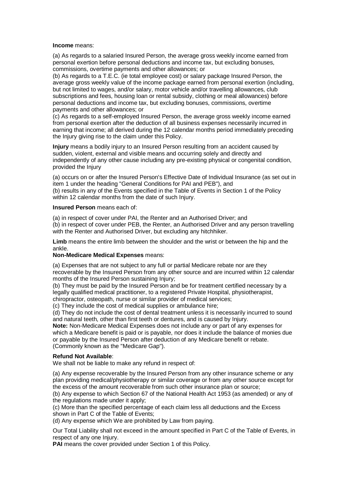#### **Income** means:

(a) As regards to a salaried Insured Person, the average gross weekly income earned from personal exertion before personal deductions and income tax, but excluding bonuses, commissions, overtime payments and other allowances; or

(b) As regards to a T.E.C. (ie total employee cost) or salary package Insured Person, the average gross weekly value of the income package earned from personal exertion (including, but not limited to wages, and/or salary, motor vehicle and/or travelling allowances, club subscriptions and fees, housing loan or rental subsidy, clothing or meal allowances) before personal deductions and income tax, but excluding bonuses, commissions, overtime payments and other allowances; or

(c) As regards to a self-employed Insured Person, the average gross weekly income earned from personal exertion after the deduction of all business expenses necessarily incurred in earning that income; all derived during the 12 calendar months period immediately preceding the Injury giving rise to the claim under this Policy.

**Injury** means a bodily injury to an Insured Person resulting from an accident caused by sudden, violent, external and visible means and occurring solely and directly and independently of any other cause including any pre-existing physical or congenital condition, provided the Injury

(a) occurs on or after the Insured Person's Effective Date of Individual Insurance (as set out in item 1 under the heading "General Conditions for PAI and PEB"), and

(b) results in any of the Events specified in the Table of Events in Section 1 of the Policy within 12 calendar months from the date of such Injury.

#### **Insured Person** means each of:

(a) in respect of cover under PAI, the Renter and an Authorised Driver; and (b) in respect of cover under PEB, the Renter, an Authorised Driver and any person travelling with the Renter and Authorised Driver, but excluding any hitchhiker.

**Limb** means the entire limb between the shoulder and the wrist or between the hip and the ankle.

### **Non-Medicare Medical Expenses** means:

(a) Expenses that are not subject to any full or partial Medicare rebate nor are they recoverable by the Insured Person from any other source and are incurred within 12 calendar months of the Insured Person sustaining Injury;

(b) They must be paid by the Insured Person and be for treatment certified necessary by a legally qualified medical practitioner, to a registered Private Hospital, physiotherapist, chiropractor, osteopath, nurse or similar provider of medical services;

(c) They include the cost of medical supplies or ambulance hire;

(d) They do not include the cost of dental treatment unless it is necessarily incurred to sound and natural teeth, other than first teeth or dentures, and is caused by Injury.

**Note:** Non-Medicare Medical Expenses does not include any or part of any expenses for which a Medicare benefit is paid or is payable, nor does it include the balance of monies due or payable by the Insured Person after deduction of any Medicare benefit or rebate. (Commonly known as the "Medicare Gap").

### **Refund Not Available**:

We shall not be liable to make any refund in respect of:

(a) Any expense recoverable by the Insured Person from any other insurance scheme or any plan providing medical/physiotherapy or similar coverage or from any other source except for the excess of the amount recoverable from such other insurance plan or source;

(b) Any expense to which Section 67 of the National Health Act 1953 (as amended) or any of the regulations made under it apply;

(c) More than the specified percentage of each claim less all deductions and the Excess shown in Part C of the Table of Events;

(d) Any expense which We are prohibited by Law from paying.

Our Total Liability shall not exceed in the amount specified in Part C of the Table of Events, in respect of any one Injury.

**PAI** means the cover provided under Section 1 of this Policy.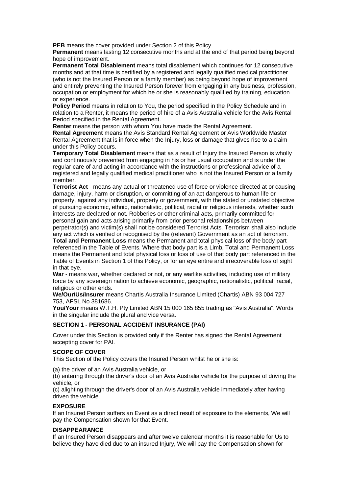**PEB** means the cover provided under Section 2 of this Policy.

**Permanent** means lasting 12 consecutive months and at the end of that period being beyond hope of improvement.

**Permanent Total Disablement** means total disablement which continues for 12 consecutive months and at that time is certified by a registered and legally qualified medical practitioner (who is not the Insured Person or a family member) as being beyond hope of improvement and entirely preventing the Insured Person forever from engaging in any business, profession, occupation or employment for which he or she is reasonably qualified by training, education or experience.

**Policy Period** means in relation to You, the period specified in the Policy Schedule and in relation to a Renter, it means the period of hire of a Avis Australia vehicle for the Avis Rental Period specified in the Rental Agreement.

**Renter** means the person with whom You have made the Rental Agreement.

**Rental Agreement** means the Avis Standard Rental Agreement or Avis Worldwide Master Rental Agreement that is in force when the Injury, loss or damage that gives rise to a claim under this Policy occurs.

**Temporary Total Disablement** means that as a result of Injury the Insured Person is wholly and continuously prevented from engaging in his or her usual occupation and is under the regular care of and acting in accordance with the instructions or professional advice of a registered and legally qualified medical practitioner who is not the Insured Person or a family member.

**Terrorist Act** - means any actual or threatened use of force or violence directed at or causing damage, injury, harm or disruption, or committing of an act dangerous to human life or property, against any individual, property or government, with the stated or unstated objective of pursuing economic, ethnic, nationalistic, political, racial or religious interests, whether such interests are declared or not. Robberies or other criminal acts, primarily committed for personal gain and acts arising primarily from prior personal relationships between

perpetrator(s) and victim(s) shall not be considered Terrorist Acts. Terrorism shall also include any act which is verified or recognised by the (relevant) Government as an act of terrorism.

**Total and Permanent Loss** means the Permanent and total physical loss of the body part referenced in the Table of Events. Where that body part is a Limb, Total and Permanent Loss means the Permanent and total physical loss or loss of use of that body part referenced in the Table of Events in Section 1 of this Policy, or for an eye entire and irrecoverable loss of sight in that eye.

**War** - means war, whether declared or not, or any warlike activities, including use of military force by any sovereign nation to achieve economic, geographic, nationalistic, political, racial, religious or other ends.

**We/Our/Us/Insurer** means Chartis Australia Insurance Limited (Chartis) ABN 93 004 727 753, AFSL No 381686.

**You/Your** means W.T.H. Pty Limited ABN 15 000 165 855 trading as "Avis Australia". Words in the singular include the plural and vice versa.

## **SECTION 1 - PERSONAL ACCIDENT INSURANCE (PAI)**

Cover under this Section is provided only if the Renter has signed the Rental Agreement accepting cover for PAI.

### **SCOPE OF COVER**

This Section of the Policy covers the Insured Person whilst he or she is:

(a) the driver of an Avis Australia vehicle, or

(b) entering through the driver's door of an Avis Australia vehicle for the purpose of driving the vehicle, or

(c) alighting through the driver's door of an Avis Australia vehicle immediately after having driven the vehicle.

### **EXPOSURE**

If an Insured Person suffers an Event as a direct result of exposure to the elements, We will pay the Compensation shown for that Event.

#### **DISAPPEARANCE**

If an Insured Person disappears and after twelve calendar months it is reasonable for Us to believe they have died due to an insured Injury, We will pay the Compensation shown for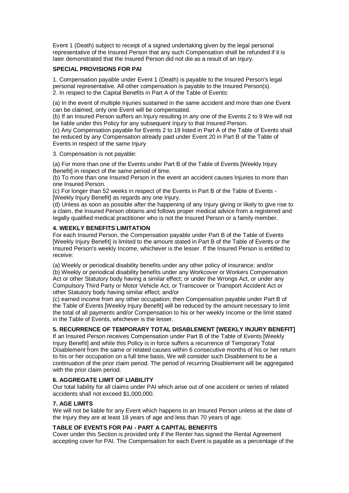Event 1 (Death) subject to receipt of a signed undertaking given by the legal personal representative of the Insured Person that any such Compensation shall be refunded if it is later demonstrated that the Insured Person did not die as a result of an Injury.

## **SPECIAL PROVISIONS FOR PAI**

1. Compensation payable under Event 1 (Death) is payable to the Insured Person's legal personal representative. All other compensation is payable to the Insured Person(s). 2. In respect to the Capital Benefits in Part A of the Table of Events:

(a) In the event of multiple Injuries sustained in the same accident and more than one Event can be claimed, only one Event will be compensated.

(b) If an Insured Person suffers an Injury resulting in any one of the Events 2 to 9 We will not be liable under this Policy for any subsequent Injury to that Insured Person.

(c) Any Compensation payable for Events 2 to 19 listed in Part A of the Table of Events shall be reduced by any Compensation already paid under Event 20 in Part B of the Table of Events in respect of the same Injury

3. Compensation is not payable:

(a) For more than one of the Events under Part B of the Table of Events [Weekly Injury Benefitl in respect of the same period of time.

(b) To more than one Insured Person in the event an accident causes Injuries to more than one Insured Person.

(c) For longer than 52 weeks in respect of the Events in Part B of the Table of Events - [Weekly Injury Benefit] as regards any one Injury.

(d) Unless as soon as possible after the happening of any Injury giving or likely to give rise to a claim, the Insured Person obtains and follows proper medical advice from a registered and legally qualified medical practitioner who is not the Insured Person or a family member.

## **4. WEEKLY BENEFITS LIMITATION**

For each Insured Person, the Compensation payable under Part B of the Table of Events [Weekly Injury Benefit] is limited to the amount stated in Part B of the Table of Events or the Insured Person's weekly Income, whichever is the lesser. If the Insured Person is entitled to receive:

(a) Weekly or periodical disability benefits under any other policy of insurance; and/or (b) Weekly or periodical disability benefits under any Workcover or Workers Compensation Act or other Statutory body having a similar effect; or under the Wrongs Act, or under any Compulsory Third Party or Motor Vehicle Act, or Transcover or Transport Accident Act or other Statutory body having similar effect; and/or

(c) earned income from any other occupation; then Compensation payable under Part B of the Table of Events [Weekly Injury Benefit] will be reduced by the amount necessary to limit the total of all payments and/or Compensation to his or her weekly Income or the limit stated in the Table of Events, whichever is the lesser.

# **5. RECURRENCE OF TEMPORARY TOTAL DISABLEMENT [WEEKLY INJURY BENEFIT]**

If an Insured Person receives Compensation under Part B of the Table of Events [Weekly Injury Benefit] and while this Policy is in force suffers a recurrence of Temporary Total Disablement from the same or related causes within 6 consecutive months of his or her return to his or her occupation on a full time basis, We will consider such Disablement to be a continuation of the prior claim period. The period of recurring Disablement will be aggregated with the prior claim period.

## **6. AGGREGATE LIMIT OF LIABILITY**

Our total liability for all claims under PAI which arise out of one accident or series of related accidents shall not exceed \$1,000,000.

## **7. AGE LIMITS**

We will not be liable for any Event which happens to an Insured Person unless at the date of the Injury they are at least 18 years of age and less than 70 years of age.

## **TABLE OF EVENTS FOR PAI - PART A CAPITAL BENEFITS**

Cover under this Section is provided only if the Renter has signed the Rental Agreement accepting cover for PAI. The Compensation for each Event is payable as a percentage of the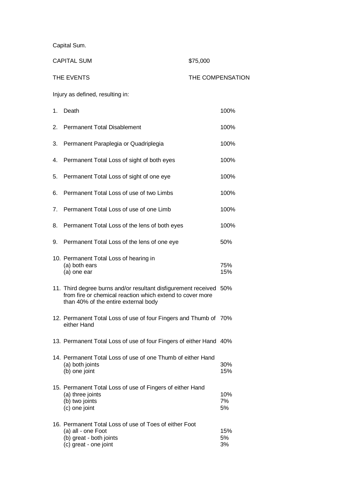Capital Sum.

| <b>CAPITAL SUM</b> |                                                                                                                                                                         | \$75,000 |                  |
|--------------------|-------------------------------------------------------------------------------------------------------------------------------------------------------------------------|----------|------------------|
|                    | THE EVENTS                                                                                                                                                              |          | THE COMPENSATION |
|                    | Injury as defined, resulting in:                                                                                                                                        |          |                  |
| 1.                 | Death                                                                                                                                                                   |          | 100%             |
| 2.                 | <b>Permanent Total Disablement</b>                                                                                                                                      |          | 100%             |
| 3.                 | Permanent Paraplegia or Quadriplegia                                                                                                                                    |          | 100%             |
| 4.                 | Permanent Total Loss of sight of both eyes                                                                                                                              |          | 100%             |
| 5.                 | Permanent Total Loss of sight of one eye                                                                                                                                |          | 100%             |
| 6.                 | Permanent Total Loss of use of two Limbs                                                                                                                                |          | 100%             |
| 7.                 | Permanent Total Loss of use of one Limb                                                                                                                                 |          | 100%             |
| 8.                 | Permanent Total Loss of the lens of both eyes                                                                                                                           |          | 100%             |
| 9.                 | Permanent Total Loss of the lens of one eye                                                                                                                             |          | 50%              |
|                    | 10. Permanent Total Loss of hearing in<br>(a) both ears<br>(a) one ear                                                                                                  |          | 75%<br>15%       |
|                    | 11. Third degree burns and/or resultant disfigurement received 50%<br>from fire or chemical reaction which extend to cover more<br>than 40% of the entire external body |          |                  |
|                    | 12. Permanent Total Loss of use of four Fingers and Thumb of 70%<br>either Hand                                                                                         |          |                  |
|                    | 13. Permanent Total Loss of use of four Fingers of either Hand 40%                                                                                                      |          |                  |
|                    | 14. Permanent Total Loss of use of one Thumb of either Hand<br>(a) both joints<br>(b) one joint                                                                         |          | 30%<br>15%       |
|                    | 15. Permanent Total Loss of use of Fingers of either Hand<br>(a) three joints<br>(b) two joints<br>(c) one joint                                                        |          | 10%<br>7%<br>5%  |
|                    | 16. Permanent Total Loss of use of Toes of either Foot<br>(a) all - one Foot<br>(b) great - both joints<br>(c) great - one joint                                        |          | 15%<br>5%<br>3%  |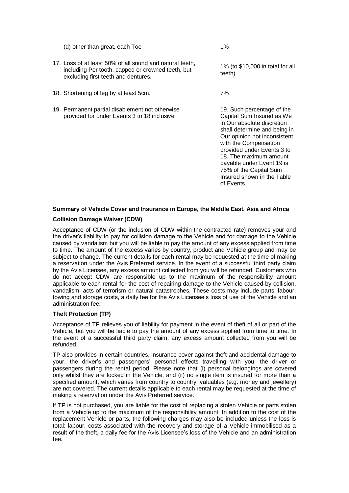(d) other than great, each Toe 1%

- 17. Loss of at least 50% of all sound and natural teeth, including Per tooth, capped or crowned teeth, but excluding first teeth and dentures.
- 18. Shortening of leg by at least 5cm. The matter of  $18.$  Shortening of leg by at least 5cm.
- 19. Permanent partial disablement not otherwise provided for under Events 3 to 18 inclusive

1% (to \$10,000 in total for all teeth)

19. Such percentage of the Capital Sum Insured as We in Our absolute discretion shall determine and being in Our opinion not inconsistent with the Compensation provided under Events 3 to 18. The maximum amount payable under Event 19 is 75% of the Capital Sum Insured shown in the Table of Events

# **Summary of Vehicle Cover and Insurance in Europe, the Middle East, Asia and Africa**

### **Collision Damage Waiver (CDW)**

Acceptance of CDW (or the inclusion of CDW within the contracted rate) removes your and the driver's liability to pay for collision damage to the Vehicle and for damage to the Vehicle caused by vandalism but you will be liable to pay the amount of any excess applied from time to time. The amount of the excess varies by country, product and Vehicle group and may be subject to change. The current details for each rental may be requested at the time of making a reservation under the Avis Preferred service. In the event of a successful third party claim by the Avis Licensee, any excess amount collected from you will be refunded. Customers who do not accept CDW are responsible up to the maximum of the responsibility amount applicable to each rental for the cost of repairing damage to the Vehicle caused by collision, vandalism, acts of terrorism or natural catastrophes. These costs may include parts, labour, towing and storage costs, a daily fee for the Avis Licensee's loss of use of the Vehicle and an administration fee.

### **Theft Protection (TP)**

Acceptance of TP relieves you of liability for payment in the event of theft of all or part of the Vehicle, but you will be liable to pay the amount of any excess applied from time to time. In the event of a successful third party claim, any excess amount collected from you will be refunded.

TP also provides in certain countries, insurance cover against theft and accidental damage to your, the driver's and passengers' personal effects travelling with you, the driver or passengers during the rental period. Please note that (i) personal belongings are covered only whilst they are locked in the Vehicle, and (ii) no single item is insured for more than a specified amount, which varies from country to country; valuables (e.g. money and jewellery) are not covered. The current details applicable to each rental may be requested at the time of making a reservation under the Avis Preferred service.

If TP is not purchased, you are liable for the cost of replacing a stolen Vehicle or parts stolen from a Vehicle up to the maximum of the responsibility amount. In addition to the cost of the replacement Vehicle or parts, the following charges may also be included unless the loss is total: labour, costs associated with the recovery and storage of a Vehicle immobilised as a result of the theft, a daily fee for the Avis Licensee's loss of the Vehicle and an administration fee.